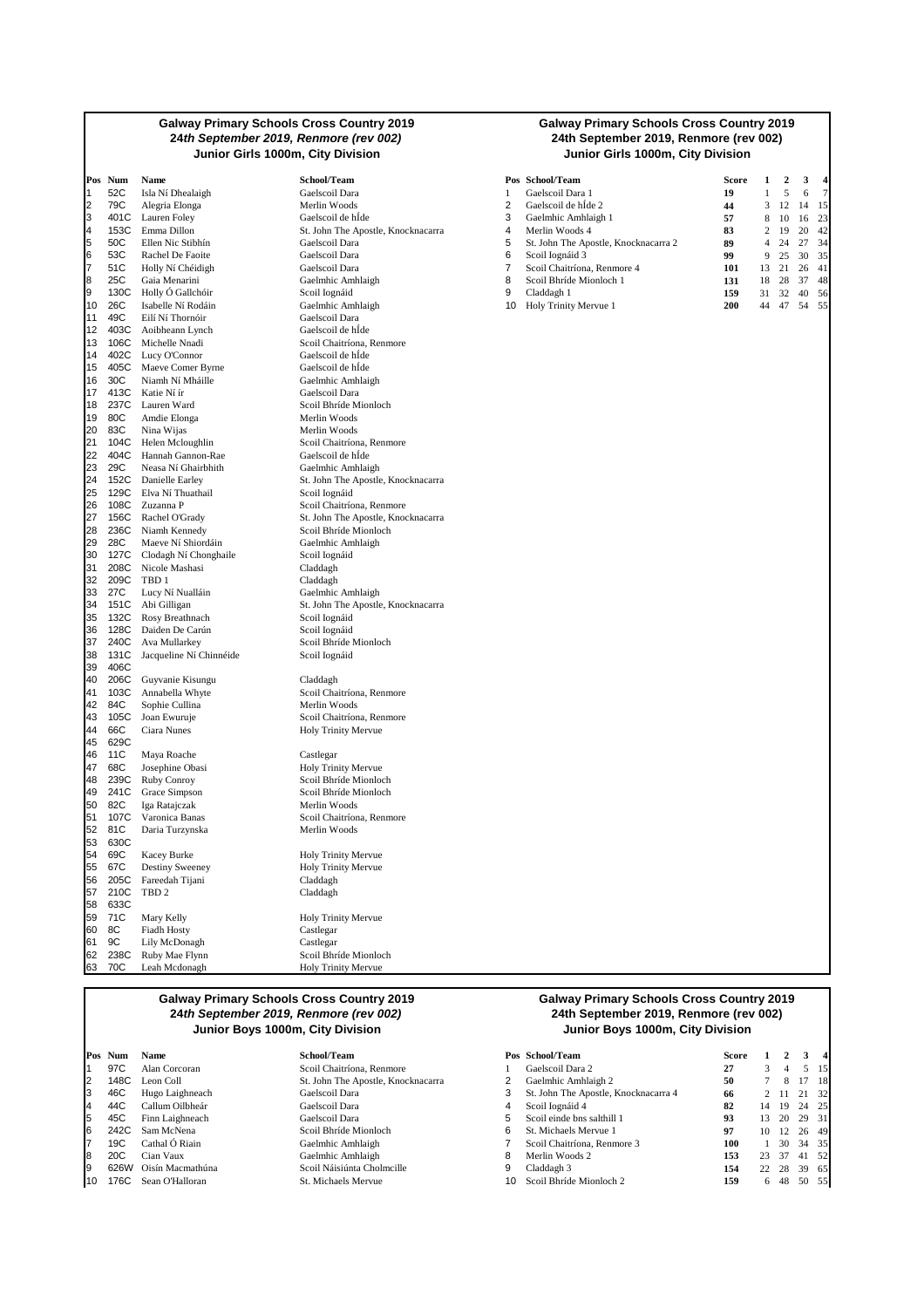#### **Galway Primary Schools Cross Country 2019 24th September 2019, Renmore (rev 002) Junior Girls 1000m, City Division Junior Girls 1000m, City Division**

|                | Pos Num      | Name                                           | School/Team                                 |
|----------------|--------------|------------------------------------------------|---------------------------------------------|
| 1              | 52C          | Isla Ní Dhealaigh                              | Gaelscoil Dara                              |
| $\overline{2}$ | 79C          | Alegria Elonga                                 | Merlin Woods                                |
| 3              | 401C         | Lauren Foley                                   | Gaelscoil de hÍde                           |
| 4              | 153C         | Emma Dillon                                    | St. John The Apostle, Knoo                  |
| 5              | 50C          | Ellen Nic Stibhín                              | Gaelscoil Dara                              |
| 6              | 53C          | Rachel De Faoite                               | Gaelscoil Dara                              |
| $\overline{7}$ | 51C          | Holly Ní Chéidigh                              | Gaelscoil Dara                              |
| 8<br>9         | 25C          | $Gaia$ Menarini                                | Gaelmhic Amhlaigh                           |
| 10             | 26C          | 130C Holly Ó Gallchóir<br>Isabelle Ní Rodáin   | Scoil Iognáid<br>Gaelmhic Amhlaigh          |
| 11             | 49C          | Eilí Ní Thornóir                               | Gaelscoil Dara                              |
| 12             |              | 403C Aoibheann Lynch                           | Gaelscoil de hÍde                           |
| 13             |              | 106C Michelle Nnadi                            | Scoil Chaitríona, Renmore                   |
| 14             |              | 402C Lucy O'Connor                             | Gaelscoil de hÍde                           |
| 15             |              | 405C Maeve Comer Byrne                         | Gaelscoil de hÍde                           |
| 16             | 30C          | Niamh Ní Mháille                               | Gaelmhic Amhlaigh                           |
| 17             | 413C         | Katie Ní ír                                    | Gaelscoil Dara                              |
| 18             |              | 237C Lauren Ward                               | Scoil Bhríde Mionloch                       |
| 19             | 80C          | Amdie Elonga                                   | Merlin Woods                                |
| 20             | 83C          | Nina Wijas                                     | Merlin Woods                                |
| 21             | 104C         | Helen Mcloughlin                               | Scoil Chaitríona, Renmore                   |
| 22             |              | 404C Hannah Gannon-Rae                         | Gaelscoil de hÍde                           |
| 23             | 29C          | Neasa Ní Ghairbhith                            | Gaelmhic Amhlaigh                           |
| 24<br>25       |              | 152C Danielle Earley<br>129C Elva Ní Thuathail | St. John The Apostle, Knoo<br>Scoil Iognáid |
| 26             |              | 108C Zuzanna P                                 | Scoil Chaitríona, Renmore                   |
| 27             | 156C         | Rachel O'Grady                                 | St. John The Apostle, Knoo                  |
| 28             |              | 236C Niamh Kennedy                             | Scoil Bhríde Mionloch                       |
| 29             | 28C          | Maeve Ní Shiordáin                             | Gaelmhic Amhlaigh                           |
| 30             |              | 127C Clodagh Ní Chonghaile                     | Scoil Iognáid                               |
| 31             |              | 208C Nicole Mashasi                            | Claddagh                                    |
| 32             | 209C         | TBD 1                                          | Claddagh                                    |
| 33             | 27C          | Lucy Ní Nualláin                               | Gaelmhic Amhlaigh                           |
| 34             | 151C         | Abi Gilligan                                   | St. John The Apostle, Knoc                  |
| 35             | 132C         | Rosy Breathnach                                | Scoil Iognáid                               |
| 36<br>37       | 128C<br>240C | Daiden De Carún                                | Scoil Iognáid<br>Scoil Bhríde Mionloch      |
| 38             | 131C         | Ava Mullarkey<br>Jacqueline Ní Chinnéide       | Scoil Iognáid                               |
| 39             | 406C         |                                                |                                             |
| 40             | 206C         | Guyvanie Kisungu                               | Claddagh                                    |
| 41             | 103C         | Annabella Whyte                                | Scoil Chaitríona, Renmore                   |
| 42             | 84C          | Sophie Cullina                                 | Merlin Woods                                |
| 43             | 105C         | Joan Ewuruje                                   | Scoil Chaitríona, Renmore                   |
| 44             | 66C          | Ciara Nunes                                    | Holy Trinity Mervue                         |
| 45             | 629C         |                                                |                                             |
| 46             | 11C          | Maya Roache                                    | Castlegar                                   |
| 47             | 68C          | Josephine Obasi                                | Holy Trinity Mervue                         |
| 48             | 239C         | Ruby Conroy                                    | Scoil Bhríde Mionloch                       |
| 49<br>50       |              | 241C Grace Simpson                             | Scoil Bhríde Mionloch                       |
| 51             | 82C<br>107C  | Iga Ratajczak                                  | Merlin Woods                                |
| 52             | 81C          | Varonica Banas                                 | Scoil Chaitríona, Renmore<br>Merlin Woods   |
| 53             | 630C         | Daria Turzynska                                |                                             |
| 54             | 69C          | Kacey Burke                                    | Holy Trinity Mervue                         |
| 55             | 67C          | Destiny Sweeney                                | Holy Trinity Mervue                         |
| 56             | 205C         | Fareedah Tijani                                | Claddagh                                    |
| 57             | 210C         | TBD <sub>2</sub>                               | Claddagh                                    |
| 58             | 633C         |                                                |                                             |
| 59             | 71C          | Mary Kelly                                     | Holy Trinity Mervue                         |
| 60             | 8C           | Fiadh Hosty                                    | Castlegar                                   |
| 61             | 9C           | Lily McDonagh                                  | Castlegar                                   |
| 62             | 238C         | Ruby Mae Flynn                                 | Scoil Bhríde Mionloch                       |
| 63             | 70C          | Leah Mcdonagh                                  | Holy Trinity Mervue                         |

# 4 153C Emma Dillon St. John The Apostle, Knocknacarra 4 Merlin Woods 4 **83** 2 19 20 42 e<br>stle, Knocknacarra Renmore 27 1566.<br>27 Nocknacarra <del>.</del><br>stle, Knocknacarra

# **Galway Primary Schools Cross Country 2019 24th September 2019, Renmore (rev 002)**

|    | Pos Num | Name               | School/Team                        |    | Pos School/Team                      | Score |    |          |       |      |
|----|---------|--------------------|------------------------------------|----|--------------------------------------|-------|----|----------|-------|------|
|    | 52C     | Isla Ní Dhealaigh  | Gaelscoil Dara                     |    | Gaelscoil Dara 1                     | 19    |    |          | 6     |      |
| 2  | 79C     | Alegria Elonga     | Merlin Woods                       |    | Gaelscoil de hÍde 2                  | 44    |    | $3 \t12$ | 14    | - 15 |
|    | 401C    | Lauren Folev       | Gaelscoil de hÍde                  |    | Gaelmhic Amhlaigh 1                  | 57    | 8  | 10       | 16 23 |      |
|    | 153C    | Emma Dillon        | St. John The Apostle, Knocknacarra |    | Merlin Woods 4                       | 83    |    | 19       | 20 42 |      |
| 5  | 50C     | Ellen Nic Stibhín  | Gaelscoil Dara                     | b. | St. John The Apostle, Knocknacarra 2 | 89    | 4  | -24      | 27    | - 34 |
|    | 53C     | Rachel De Faoite   | Gaelscoil Dara                     | 6  | Scoil Iognáid 3                      | 99    | 9. | 25       | 30    | 35   |
|    | 51C     | Holly Ní Chéidigh  | Gaelscoil Dara                     |    | Scoil Chaitríona, Renmore 4          | 101   | 13 |          | 26    | -41  |
| 8  | 25C     | Gaia Menarini      | Gaelmhic Amhlaigh                  | 8  | Scoil Bhríde Mionloch 1              | 131   | 18 | 28       | 37    | -48  |
|    | 130C    | Holly Ó Gallchóir  | Scoil Iognáid                      | 9  | Claddagh 1                           | 159   | 31 | 32       | 40    | - 56 |
| 10 | 26C     | Isabelle Ní Rodáin | Gaelmhic Amhlaigh                  | 10 | <b>Holy Trinity Mervue 1</b>         | 200   | 44 |          | 54    | - 55 |
|    |         |                    |                                    |    |                                      |       |    |          |       |      |

# **Galway Primary Schools Cross Country 2019 24th September 2019, Renmore (rev 002)**

|    | Pos Num | <b>Name</b>      | School/Team                        |    | Pos School/Team                      | Score |    |    |       | $\overline{4}$ |
|----|---------|------------------|------------------------------------|----|--------------------------------------|-------|----|----|-------|----------------|
|    | 97C     | Alan Corcoran    | Scoil Chaitríona, Renmore          |    | Gaelscoil Dara 2                     | 27    |    |    | 5 15  |                |
| 2  | 148C    | Leon Coll        | St. John The Apostle, Knocknacarra |    | Gaelmhic Amhlaigh 2                  | 50    |    | 8  | 17    | - 18           |
| 3  | 46C     | Hugo Laighneach  | Gaelscoil Dara                     | 3  | St. John The Apostle, Knocknacarra 4 | 66    |    |    | 21    | - 32           |
| 4  | 44C     | Callum Oilbheár  | Gaelscoil Dara                     | 4  | Scoil Iognáid 4                      | 82    | 14 | 19 | 24 25 |                |
| 5. | 45C     | Finn Laighneach  | Gaelscoil Dara                     | 5  | Scoil einde bns salthill 1           | 93    | 13 | 20 | 29 31 |                |
|    | 242C    | Sam McNena       | Scoil Bhríde Mionloch              | 6  | St. Michaels Mervue 1                | 97    | 10 | 12 | 26 49 |                |
|    | 19C     | Cathal Ó Riain   | Gaelmhic Amhlaigh                  |    | Scoil Chaitríona, Renmore 3          | 100   |    | 30 | 34 35 |                |
| 8  | 20C     | Cian Vaux        | Gaelmhic Amhlaigh                  | 8  | Merlin Woods 2                       | 153   | 23 | 37 | 41    | - 52           |
|    | 626W    | Oisín Macmathúna | Scoil Náisiúnta Cholmcille         | 9  | Claddagh 3                           | 154   | 22 | 28 | 39 65 |                |
| 10 | 176C    | Sean O'Halloran  | St. Michaels Mervue                | 10 | Scoil Bhríde Mionloch 2              | 159   | 6. | 48 | 50 55 |                |
|    |         |                  |                                    |    |                                      |       |    |    |       |                |

#### **Galway Primary Schools Cross Country 2019 24th September 2019, Renmore (rev 002) Junior Boys 1000m, City Division Junior Boys 1000m, City Division**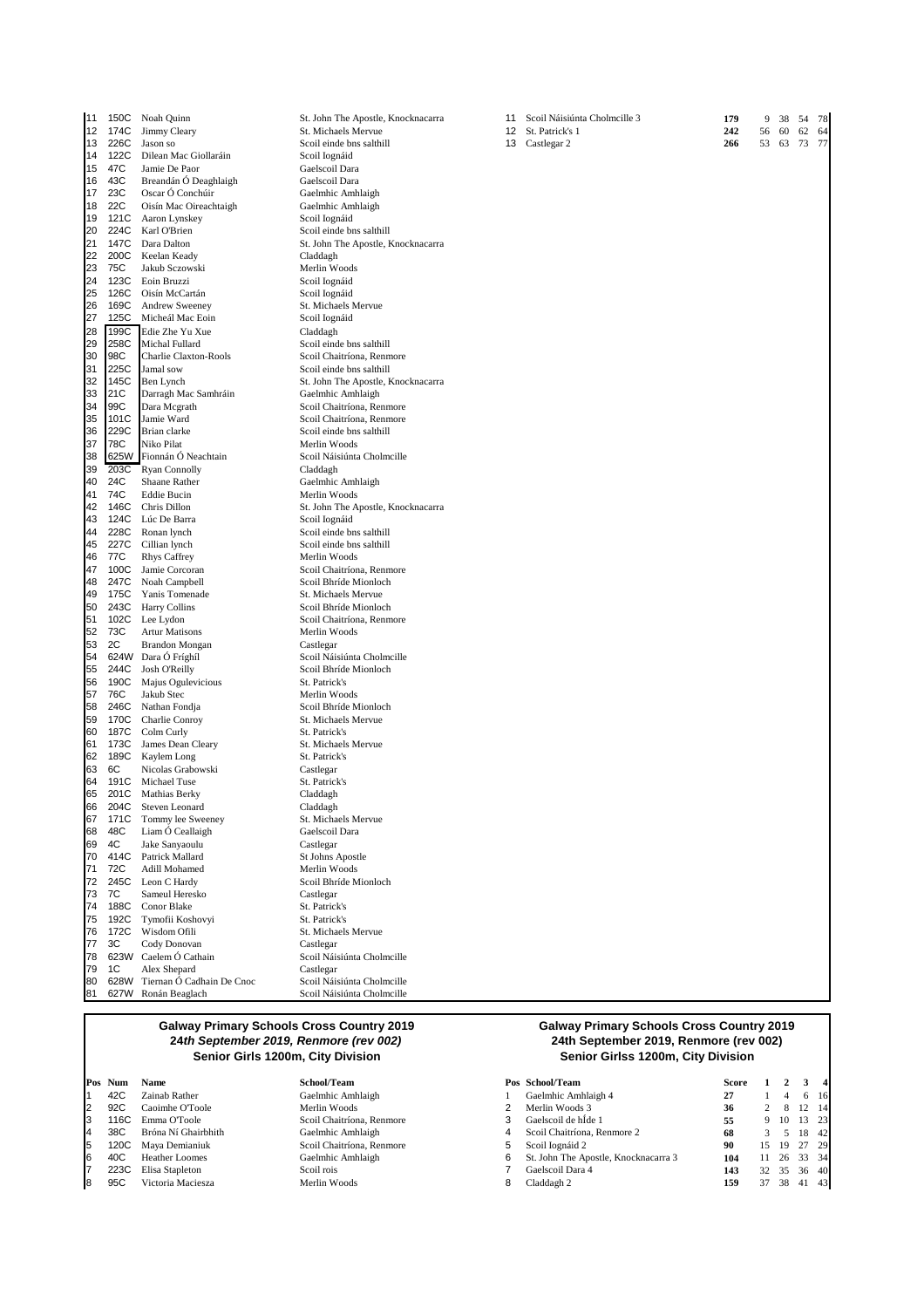| 11       | 150C         | Noah Quinn                         | St. John The Apostle, Knoo                         |
|----------|--------------|------------------------------------|----------------------------------------------------|
| 12       | 174C         | Jimmy Cleary                       | St. Michaels Mervue                                |
| 13       | 226C         | Jason so                           | Scoil einde bns salthill                           |
| 14       | 122C         | Dilean Mac Giollaráin              | Scoil Iognáid                                      |
| 15       | 47C          | Jamie De Paor                      | Gaelscoil Dara                                     |
| 16       | 43C          | Breandán Ó Deaghlaigh              | Gaelscoil Dara                                     |
| 17       | 23C          | Oscar Ó Conchúir                   | Gaelmhic Amhlaigh                                  |
| 18       | 22C          | Oisín Mac Oireachtaigh             | Gaelmhic Amhlaigh                                  |
| 19       | 121C         | Aaron Lynskey                      | Scoil Iognáid                                      |
| 20       | 224C         | Karl O'Brien                       | Scoil einde bns salthill                           |
| 21       | 147C         | Dara Dalton                        | St. John The Apostle, Knoo                         |
| 22<br>23 | 200C<br>75C  | Keelan Keady<br>Jakub Sczowski     | Claddagh                                           |
| 24       | 123C         | Eoin Bruzzi                        | Merlin Woods<br>Scoil Iognáid                      |
| 25       | 126C         | Oisín McCartán                     | Scoil Iognáid                                      |
| 26       | 169C         | Andrew Sweeney                     | St. Michaels Mervue                                |
| 27       | 125C         | Micheál Mac Eoin                   | Scoil Iognáid                                      |
| 28       | 199C         | Edie Zhe Yu Xue                    | Claddagh                                           |
| 29       | 258C         | Michal Fullard                     | Scoil einde bns salthill                           |
| 30       | 98C          | Charlie Claxton-Rools              | Scoil Chaitríona, Renmore                          |
| 31       | 225C         | Jamal sow                          | Scoil einde bns salthill                           |
| 32       | 145C         | Ben Lynch                          | St. John The Apostle, Knoo                         |
| 33       | 21C          | Darragh Mac Samhráin               | Gaelmhic Amhlaigh                                  |
| 34       | 99C          | Dara Mcgrath                       | Scoil Chaitríona, Renmore                          |
| 35       | 101C         | Jamie Ward                         | Scoil Chaitríona, Renmore                          |
| 36       | 229C         | Brian clarke                       | Scoil einde bns salthill                           |
| 37       | 78C          | Niko Pilat                         | Merlin Woods                                       |
| 38       |              | 625W Fionnán Ó Neachtain           | Scoil Náisiúnta Cholmcille                         |
| 39       | 203C         | <b>Ryan Connolly</b>               | Claddagh                                           |
| 40       | 24C          | <b>Shaane Rather</b>               | Gaelmhic Amhlaigh                                  |
| 41       | 74C          | Eddie Bucin                        | Merlin Woods                                       |
| 42       | 146C         | Chris Dillon                       | St. John The Apostle, Knoc                         |
| 43       | 124C         | Lúc De Barra                       | Scoil Iognáid                                      |
| 44       | 228C         | Ronan lynch                        | Scoil einde bns salthill                           |
| 45       | 227C         | Cillian lynch                      | Scoil einde bns salthill                           |
| 46       | 77C          | <b>Rhys Caffrey</b>                | Merlin Woods                                       |
| 47<br>48 | 100C<br>247C | Jamie Corcoran<br>Noah Campbell    | Scoil Chaitríona, Renmore<br>Scoil Bhríde Mionloch |
| 49       | 175C         | Yanis Tomenade                     | St. Michaels Mervue                                |
| 50       | 243C         | <b>Harry Collins</b>               | Scoil Bhríde Mionloch                              |
| 51       | 102C         | Lee Lydon                          | Scoil Chaitríona, Renmore                          |
| 52       | 73C          | <b>Artur Matisons</b>              | Merlin Woods                                       |
| 53       | 2C           | <b>Brandon Mongan</b>              | Castlegar                                          |
| 54       |              | 624W Dara Ó Fríghíl                | Scoil Náisiúnta Cholmcille                         |
| 55       | 244C         | <b>Josh O'Reilly</b>               | Scoil Bhríde Mionloch                              |
| 56       | 190C         | Majus Ogulevicious                 | St. Patrick's                                      |
| 57       | 76C          | Jakub Stec                         | Merlin Woods                                       |
| 58       | 246C         | Nathan Fondja                      | Scoil Bhríde Mionloch                              |
| 59       | 170C         | Charlie Conroy                     | St. Michaels Mervue                                |
| 60       | 187C         | Colm Curly                         | St. Patrick's                                      |
| 61       | 173C         | James Dean Cleary                  | St. Michaels Mervue                                |
| 62       | 189C         | Kaylem Long                        | St. Patrick's                                      |
| 63       | 6C           | Nicolas Grabowski                  | Castlegar                                          |
| 64       | 191C         | Michael Tuse                       | St. Patrick's                                      |
| 65       | 201C         | Mathias Berky                      | Claddagh                                           |
| 66<br>67 | 204C<br>171C | Steven Leonard                     | Claddagh                                           |
| 68       | 48C          | Tommy lee Sweeney                  | St. Michaels Mervue<br>Gaelscoil Dara              |
| 69       | 4C           | Liam O Ceallaigh<br>Jake Sanyaoulu | Castlegar                                          |
| 70       | 414C         | Patrick Mallard                    | St Johns Apostle                                   |
| 71       | 72C          | Adill Mohamed                      | Merlin Woods                                       |
| 72       | 245C         | Leon C Hardy                       | Scoil Bhríde Mionloch                              |
| 73       | 7C           | Sameul Heresko                     | Castlegar                                          |
| 74       | 188C         | Conor Blake                        | St. Patrick's                                      |
| 75       | 192C         | Tymofii Koshovyi                   | St. Patrick's                                      |
| 76       | 172C         | Wisdom Ofili                       | St. Michaels Mervue                                |
| 77       | ЗC           | Cody Donovan                       | Castlegar                                          |
| 78       | 623W         | Caelem Ó Cathain                   | Scoil Náisiúnta Cholmcille                         |
| 79       | 1C           | Alex Shepard                       | Castlegar                                          |
| 80       | 628W         | Tiernan Ó Cadhain De Cnoc          | Scoil Náisiúnta Cholmcille                         |
| 81       | 627W         | Ronán Beaglach                     | Scoil Náisiúnta Cholmcille                         |

# **1** Amhlaigh n<br>4 22 -<br>Anhlaigh Gael bns salthill ne Apostle, Knocknac ls Mervue<br>iid bns salthill ríona, Renmore bns salthill e Apostle, Knocknac<br>Amhlaigh ntíona, Renmore 35 101C Jamie Ward Scoil Chaitríona, Renmore bns salthill<br>ods únta Cholmcille 4mhlaigh <sub>046</sub><br>he Apostle, Knocknaca<br>iid bns salthill the salthill ends ríona, Renmore de Mionloch 15 Mei 140<br>le Mionloch ntiona, Renmore únta Cholmcille te Mionloch de Mionloch ls Mervue ls Mervue ls Mervue<br>Dara <sub>045</sub><br>le Mionloch

| 11 | 150C | Noah Quinn             | St. John The Apostle, Knocknacarra | 11 | Scoil Náisiúnta Cholmcille 3 | 179 | 9  | 38 | 54    | 78 |
|----|------|------------------------|------------------------------------|----|------------------------------|-----|----|----|-------|----|
| 12 | 174C | Jimmy Cleary           | St. Michaels Mervue                | 12 | St. Patrick's 1              | 242 | 56 | 60 | 62    | 64 |
| 13 | 226C | Jason so               | Scoil einde bns salthill           | 13 | Castlegar 2                  | 266 | 53 | 63 | 73 77 |    |
|    | 122C |                        |                                    |    |                              |     |    |    |       |    |
| 14 |      | Dilean Mac Giollaráin  | Scoil Iognáid                      |    |                              |     |    |    |       |    |
| 15 | 47C  | Jamie De Paor          | Gaelscoil Dara                     |    |                              |     |    |    |       |    |
| 16 | 43C  | Breandán Ó Deaghlaigh  | Gaelscoil Dara                     |    |                              |     |    |    |       |    |
| 17 | 23C  | Oscar Ó Conchúir       | Gaelmhic Amhlaigh                  |    |                              |     |    |    |       |    |
| 18 | 22C  | Oisín Mac Oireachtaigh | Gaelmhic Amhlaigh                  |    |                              |     |    |    |       |    |
| 19 | 121C | Aaron Lynskey          | Scoil Iognáid                      |    |                              |     |    |    |       |    |
| 20 | 224C | Karl O'Brien           | Scoil einde bns salthill           |    |                              |     |    |    |       |    |
| 21 | 147C | Dara Dalton            | St. John The Apostle, Knocknacarra |    |                              |     |    |    |       |    |
| 22 | 200C | Keelan Keady           | Claddagh                           |    |                              |     |    |    |       |    |
| 23 | 75C  | Jakub Sczowski         | Merlin Woods                       |    |                              |     |    |    |       |    |
| 24 | 123C | Eoin Bruzzi            | Scoil Iognáid                      |    |                              |     |    |    |       |    |
| 25 | 126C | Oisín McCartán         | Scoil Iognáid                      |    |                              |     |    |    |       |    |
| 26 | 169C | <b>Andrew Sweeney</b>  | St. Michaels Mervue                |    |                              |     |    |    |       |    |
| 27 | 125C | Micheál Mac Eoin       | Scoil Iognáid                      |    |                              |     |    |    |       |    |
|    |      |                        |                                    |    |                              |     |    |    |       |    |
| 28 | 199C | Edie Zhe Yu Xue        | Claddagh                           |    |                              |     |    |    |       |    |
| 29 | 258C | Michal Fullard         | Scoil einde bns salthill           |    |                              |     |    |    |       |    |
| 30 | 98C  | Charlie Claxton-Rools  | Scoil Chaitríona, Renmore          |    |                              |     |    |    |       |    |
| 31 | 225C | Jamal sow              | Scoil einde bns salthill           |    |                              |     |    |    |       |    |
| 32 | 145C | Ben Lynch              | St. John The Apostle, Knocknacarra |    |                              |     |    |    |       |    |
| 33 | 21C  | Darragh Mac Samhráin   | Gaelmhic Amhlaigh                  |    |                              |     |    |    |       |    |
| 34 | 99C  | Dara Mcgrath           | Scoil Chaitríona, Renmore          |    |                              |     |    |    |       |    |
| 35 | 101C | Jamie Ward             | Scoil Chaitríona, Renmore          |    |                              |     |    |    |       |    |
| 36 | 229C | Brian clarke           | Scoil einde bns salthill           |    |                              |     |    |    |       |    |
| 37 | 78C  | Niko Pilat             | Merlin Woods                       |    |                              |     |    |    |       |    |
| 38 | 625W | Fionnán Ó Neachtain    | Scoil Náisiúnta Cholmcille         |    |                              |     |    |    |       |    |
| 39 | 203C | <b>Ryan Connolly</b>   | Claddagh                           |    |                              |     |    |    |       |    |
|    | 24C  |                        |                                    |    |                              |     |    |    |       |    |
| 40 |      | Shaane Rather          | Gaelmhic Amhlaigh                  |    |                              |     |    |    |       |    |
| 41 | 74C  | Eddie Bucin            | Merlin Woods                       |    |                              |     |    |    |       |    |
| 42 | 146C | Chris Dillon           | St. John The Apostle, Knocknacarra |    |                              |     |    |    |       |    |
| 43 | 124C | Lúc De Barra           | Scoil Iognáid                      |    |                              |     |    |    |       |    |
| 44 | 228C | Ronan lynch            | Scoil einde bns salthill           |    |                              |     |    |    |       |    |
| 45 | 227C | Cillian lynch          | Scoil einde bns salthill           |    |                              |     |    |    |       |    |
| 46 | 77C  | <b>Rhys Caffrey</b>    | Merlin Woods                       |    |                              |     |    |    |       |    |
| 47 | 100C | Jamie Corcoran         | Scoil Chaitríona, Renmore          |    |                              |     |    |    |       |    |
| 48 | 247C | Noah Campbell          | Scoil Bhríde Mionloch              |    |                              |     |    |    |       |    |
| 49 | 175C | Yanis Tomenade         | St. Michaels Mervue                |    |                              |     |    |    |       |    |
| 50 | 243C | <b>Harry Collins</b>   | Scoil Bhríde Mionloch              |    |                              |     |    |    |       |    |
| 51 | 102C | Lee Lydon              | Scoil Chaitríona, Renmore          |    |                              |     |    |    |       |    |
| 52 | 73C  | <b>Artur Matisons</b>  | Merlin Woods                       |    |                              |     |    |    |       |    |
| 53 | 2C   | <b>Brandon Mongan</b>  | Castlegar                          |    |                              |     |    |    |       |    |
| 54 |      | 624W Dara Ó Fríghíl    | Scoil Náisiúnta Cholmcille         |    |                              |     |    |    |       |    |
| 55 | 244C | Josh O'Reilly          | Scoil Bhríde Mionloch              |    |                              |     |    |    |       |    |
| 56 | 190C | Majus Ogulevicious     | St. Patrick's                      |    |                              |     |    |    |       |    |
| 57 | 76C  | Jakub Stec             | Merlin Woods                       |    |                              |     |    |    |       |    |
|    |      |                        |                                    |    |                              |     |    |    |       |    |
| 58 | 246C | Nathan Fondja          | Scoil Bhríde Mionloch              |    |                              |     |    |    |       |    |
| 59 | 170C | Charlie Conroy         | St. Michaels Mervue                |    |                              |     |    |    |       |    |
| 60 | 187C | Colm Curly             | St. Patrick's                      |    |                              |     |    |    |       |    |
| 61 | 173C | James Dean Cleary      | St. Michaels Mervue                |    |                              |     |    |    |       |    |
| 62 | 189C | Kaylem Long            | St. Patrick's                      |    |                              |     |    |    |       |    |
| 63 | 6C   | Nicolas Grabowski      | Castlegar                          |    |                              |     |    |    |       |    |
| 64 | 191C | Michael Tuse           | St. Patrick's                      |    |                              |     |    |    |       |    |
| 65 | 201C | Mathias Berky          | Claddagh                           |    |                              |     |    |    |       |    |
| 66 | 204C | Steven Leonard         | Claddagh                           |    |                              |     |    |    |       |    |
| 67 | 171C | Tommy lee Sweeney      | St. Michaels Mervue                |    |                              |     |    |    |       |    |
| 68 | 48C  | Liam Ó Ceallaigh       | Gaelscoil Dara                     |    |                              |     |    |    |       |    |
| 69 | 4C   | Jake Sanyaoulu         | Castlegar                          |    |                              |     |    |    |       |    |
| 70 | 414C | Patrick Mallard        | St Johns Apostle                   |    |                              |     |    |    |       |    |
| 71 | 72C  | Adill Mohamed          | Merlin Woods                       |    |                              |     |    |    |       |    |
|    |      |                        |                                    |    |                              |     |    |    |       |    |

#### **Galway Primary Schools Cross Country 2019 24th September 2019, Renmore (rev 002) Senior Girls 1200m, City Division Senior Girlss 1200m, City Division**

## **Galway Primary Schools Cross Country 2019 24th September 2019, Renmore (rev 002)**

| Pos Num | Name                  | School/Team               |   | Pos School/Team                      | Score |     |          |       |     |
|---------|-----------------------|---------------------------|---|--------------------------------------|-------|-----|----------|-------|-----|
| 42C     | Zainab Rather         | Gaelmhic Amhlaigh         |   | Gaelmhic Amhlaigh 4                  | 27    |     |          | 6     | 16  |
| 92C     | Caoimhe O'Toole       | Merlin Woods              |   | Merlin Woods 3                       | 36    |     | 8        | 12    | 14  |
| 116C    | Emma O'Toole          | Scoil Chaitríona, Renmore |   | Gaelscoil de hÍde 1                  | 55    | 9   | 10 13 23 |       |     |
| 38C     | Bróna Ní Ghairbhith   | Gaelmhic Amhlaigh         |   | Scoil Chaitríona, Renmore 2          | 68    |     |          | 18    | -42 |
| 120C    | Maya Demianiuk        | Scoil Chaitríona, Renmore |   | Scoil Iognáid 2                      | 90    | 15. | 19       | 27 29 |     |
| 40C     | <b>Heather Loomes</b> | Gaelmhic Amhlaigh         | 6 | St. John The Apostle, Knocknacarra 3 | 104   | 11. | 26       | 33 34 |     |
| 223C    | Elisa Stapleton       | Scoil rois                |   | Gaelscoil Dara 4                     | 143   | 32  | 35       | 36    | -40 |
| 95C     | Victoria Maciesza     | Merlin Woods              |   | Claddagh 2                           | 159   | 37  | 38       | -41   | 43  |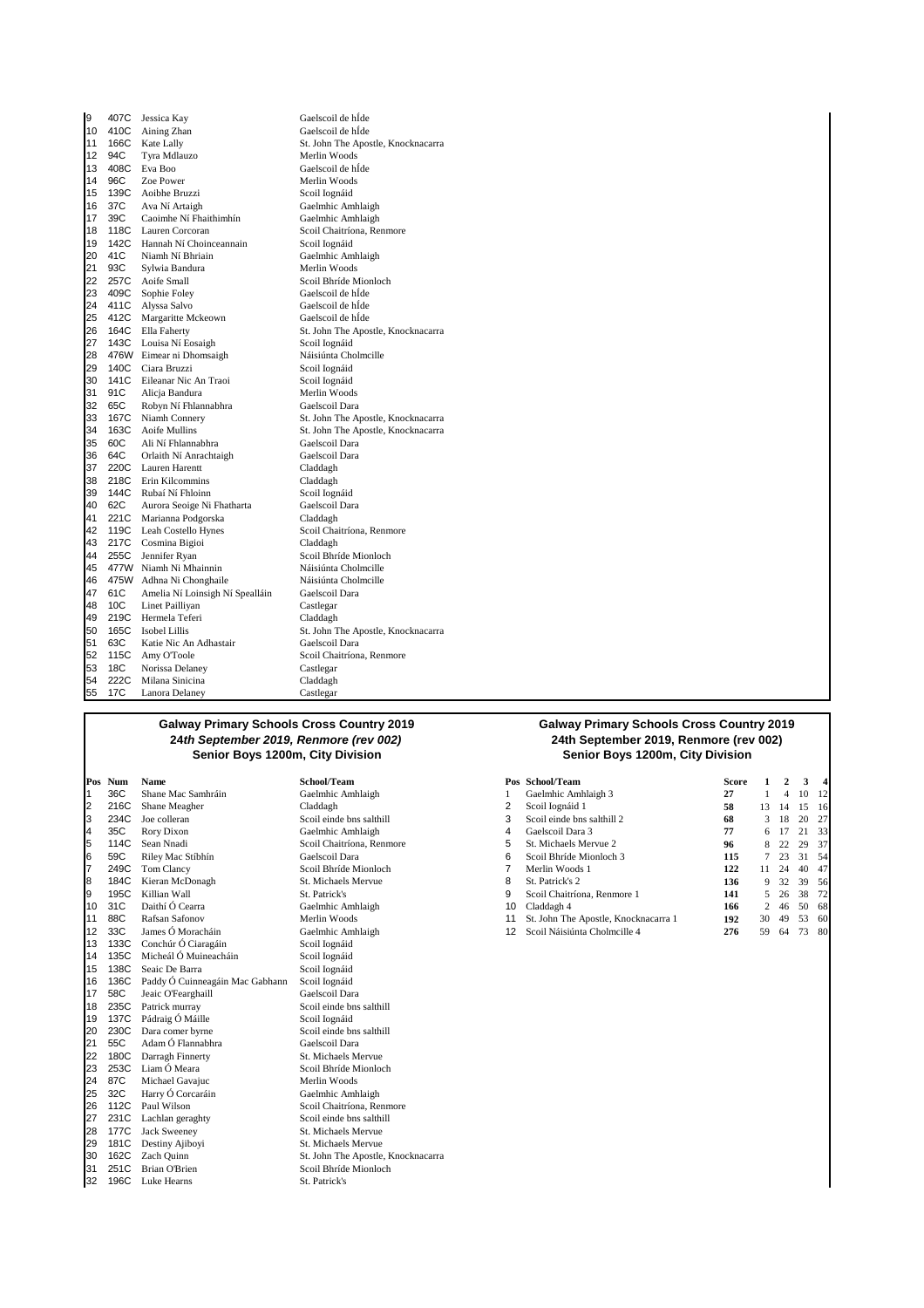| 9  |      | 407C Jessica Kay                | Gaelscoil de hÍde                  |
|----|------|---------------------------------|------------------------------------|
| 10 | 410C | Aining Zhan                     | Gaelscoil de hÍde                  |
| 11 | 166C | Kate Lally                      | St. John The Apostle, Knocknacarra |
| 12 | 94C  | Tyra Mdlauzo                    | Merlin Woods                       |
| 13 | 408C | Eva Boo                         | Gaelscoil de hÍde                  |
| 14 | 96C  | Zoe Power                       | Merlin Woods                       |
| 15 | 139C | Aoibhe Bruzzi                   | Scoil Iognáid                      |
| 16 | 37C  | Ava Ní Artaigh                  | Gaelmhic Amhlaigh                  |
| 17 | 39C  | Caoimhe Ní Fhaithimhín          | Gaelmhic Amhlaigh                  |
| 18 | 118C | Lauren Corcoran                 | Scoil Chaitríona, Renmore          |
| 19 | 142C | Hannah Ní Choinceannain         | Scoil Iognáid                      |
| 20 | 41C  | Niamh Ní Bhriain                | Gaelmhic Amhlaigh                  |
| 21 | 93C  | Sylwia Bandura                  | Merlin Woods                       |
| 22 | 257C | Aoife Small                     | Scoil Bhríde Mionloch              |
| 23 | 409C | Sophie Foley                    | Gaelscoil de hÍde                  |
| 24 |      | 411C Alyssa Salvo               | Gaelscoil de hÍde                  |
| 25 |      | 412C Margaritte Mckeown         | Gaelscoil de hÍde                  |
| 26 | 164C | Ella Faherty                    | St. John The Apostle, Knocknacarra |
| 27 | 143C | Louisa Ní Eosaigh               | Scoil Iognáid                      |
| 28 |      | 476W Eimear ni Dhomsaigh        | Náisiúnta Cholmcille               |
| 29 | 140C | Ciara Bruzzi                    | Scoil Iognáid                      |
| 30 | 141C | Eileanar Nic An Traoi           | Scoil Iognáid                      |
| 31 | 91C  | Alicja Bandura                  | Merlin Woods                       |
| 32 | 65C  | Robyn Ní Fhlannabhra            | Gaelscoil Dara                     |
| 33 | 167C | Niamh Connery                   | St. John The Apostle, Knocknacarra |
| 34 | 163C | <b>Aoife Mullins</b>            | St. John The Apostle, Knocknacarra |
| 35 | 60C  | Ali Ní Fhlannabhra              | Gaelscoil Dara                     |
| 36 | 64C  | Orlaith Ní Anrachtaigh          | Gaelscoil Dara                     |
| 37 | 220C | Lauren Harentt                  | Claddagh                           |
| 38 | 218C | Erin Kilcommins                 | Claddagh                           |
| 39 | 144C | Rubaí Ní Fhloinn                | Scoil Iognáid                      |
| 40 | 62C  | Aurora Seoige Ni Fhatharta      | Gaelscoil Dara                     |
| 41 | 221C | Marianna Podgorska              | Claddagh                           |
| 42 |      | 119C Leah Costello Hynes        | Scoil Chaitríona, Renmore          |
| 43 | 217C | Cosmina Bigioi                  | Claddagh                           |
| 44 | 255C | Jennifer Ryan                   | Scoil Bhríde Mionloch              |
| 45 |      | 477W Niamh Ni Mhainnin          | Náisiúnta Cholmcille               |
| 46 | 475W | Adhna Ni Chonghaile             | Náisiúnta Cholmcille               |
| 47 | 61C  | Amelia Ní Loinsigh Ní Spealláin | Gaelscoil Dara                     |
| 48 | 10C  | Linet Pailliyan                 | Castlegar                          |
| 49 | 219C | Hermela Teferi                  | Claddagh                           |
| 50 | 165C | <b>Isobel Lillis</b>            | St. John The Apostle, Knocknacarra |
| 51 | 63C  | Katie Nic An Adhastair          | Gaelscoil Dara                     |
| 52 | 115C | Amy O'Toole                     | Scoil Chaitríona, Renmore          |
| 53 | 18C  | Norissa Delaney                 | Castlegar                          |
| 54 | 222C | Milana Sinicina                 | Claddagh                           |
| 55 | 17C  | Lanora Delaney                  | Castlegar                          |
|    |      |                                 |                                    |

|    | Pos Num | Name                            | School/Team                        |    | Pos School/Team                      | <b>Score</b> |    |    | 3  | 4   |
|----|---------|---------------------------------|------------------------------------|----|--------------------------------------|--------------|----|----|----|-----|
|    | 36C     | Shane Mac Samhráin              | Gaelmhic Amhlaigh                  |    | Gaelmhic Amhlaigh 3                  | 27           |    |    | 10 | 12  |
| 2  | 216C    | Shane Meagher                   | Claddagh                           | 2  | Scoil Iognáid 1                      | 58           | 13 | 14 | 15 | 16  |
| 3  | 234C    | Joe colleran                    | Scoil einde bns salthill           | 3  | Scoil einde bns salthill 2           | 68           | 3  | 18 | 20 | 27  |
| 4  | 35C     | Rory Dixon                      | Gaelmhic Amhlaigh                  | 4  | Gaelscoil Dara 3                     | 77           | 6  |    | 21 | 33  |
| 5  | 114C    | Sean Nnadi                      | Scoil Chaitríona, Renmore          | 5  | St. Michaels Mervue 2                | 96           |    | 22 | 29 | 37  |
| 6  | 59C     | Riley Mac Stíbhín               | Gaelscoil Dara                     | 6  | Scoil Bhríde Mionloch 3              | 115          |    | 23 | 31 | 54  |
| 17 | 249C    | Tom Clancy                      | Scoil Bhríde Mionloch              |    | Merlin Woods 1                       | 122          | 11 | 24 | 40 | 47  |
| 8  | 184C    | Kieran McDonagh                 | St. Michaels Mervue                | 8  | St. Patrick's 2                      | 136          | 9  | 32 | 39 | 56  |
| 9  | 195C    | Killian Wall                    | St. Patrick's                      | 9  | Scoil Chaitríona, Renmore 1          | 141          | 5  | 26 | 38 | 72  |
| 10 | 31C     | Daithí Ó Cearra                 | Gaelmhic Amhlaigh                  | 10 | Claddagh 4                           | 166          | 2  | 46 | 50 | 68  |
| 11 | 88C     | Rafsan Safonov                  | Merlin Woods                       | 11 | St. John The Apostle, Knocknacarra 1 | 192          | 30 | 49 | 53 | 60  |
| 12 | 33C     | James Ó Moracháin               | Gaelmhic Amhlaigh                  | 12 | Scoil Náisiúnta Cholmcille 4         | 276          | 59 | 64 | 73 | -80 |
| 13 | 133C    | Conchúr Ó Ciaragáin             | Scoil Iognáid                      |    |                                      |              |    |    |    |     |
| 14 | 135C    | Micheál Ó Muineacháin           | Scoil Iognáid                      |    |                                      |              |    |    |    |     |
| 15 | 138C    | Seaic De Barra                  | Scoil Iognáid                      |    |                                      |              |    |    |    |     |
| 16 | 136C    | Paddy Ó Cuinneagáin Mac Gabhann | Scoil Iognáid                      |    |                                      |              |    |    |    |     |
| 17 | 58C     | Jeaic O'Fearghaill              | Gaelscoil Dara                     |    |                                      |              |    |    |    |     |
| 18 | 235C    | Patrick murray                  | Scoil einde bns salthill           |    |                                      |              |    |    |    |     |
| 19 | 137C    | Pádraig Ó Máille                | Scoil Iognáid                      |    |                                      |              |    |    |    |     |
| 20 | 230C    | Dara comer byrne                | Scoil einde bns salthill           |    |                                      |              |    |    |    |     |
| 21 | 55C     | Adam Ó Flannabhra               | Gaelscoil Dara                     |    |                                      |              |    |    |    |     |
| 22 | 180C    | Darragh Finnerty                | St. Michaels Mervue                |    |                                      |              |    |    |    |     |
| 23 | 253C    | Liam Ó Meara                    | Scoil Bhríde Mionloch              |    |                                      |              |    |    |    |     |
| 24 | 87C     | Michael Gavajuc                 | Merlin Woods                       |    |                                      |              |    |    |    |     |
| 25 | 32C     | Harry Ó Corcaráin               | Gaelmhic Amhlaigh                  |    |                                      |              |    |    |    |     |
| 26 | 112C    | Paul Wilson                     | Scoil Chaitríona, Renmore          |    |                                      |              |    |    |    |     |
| 27 | 231C    | Lachlan geraghty                | Scoil einde bns salthill           |    |                                      |              |    |    |    |     |
| 28 | 177C    | <b>Jack Sweeney</b>             | St. Michaels Mervue                |    |                                      |              |    |    |    |     |
| 29 | 181C    | Destiny Ajiboyi                 | St. Michaels Mervue                |    |                                      |              |    |    |    |     |
| 30 | 162C    | Zach Quinn                      | St. John The Apostle, Knocknacarra |    |                                      |              |    |    |    |     |
| 31 | 251C    | <b>Brian O'Brien</b>            | Scoil Bhríde Mionloch              |    |                                      |              |    |    |    |     |
| 32 | 196C    | Luke Hearns                     | St. Patrick's                      |    |                                      |              |    |    |    |     |

#### **Galway Primary Schools Cross Country 2019 24th September 2019, Renmore (rev 002)** Senior Boys 1200m, City Division

|    | Pos Num | Name               | School/Team               |    | Pos School/Team                      | Score |                |      | 3     | 41            |
|----|---------|--------------------|---------------------------|----|--------------------------------------|-------|----------------|------|-------|---------------|
|    | 36C     | Shane Mac Samhráin | Gaelmhic Amhlaigh         |    | Gaelmhic Amhlaigh 3                  | 27    |                |      | 10    | <sup>12</sup> |
|    | 216C    | Shane Meagher      | Claddagh                  |    | Scoil Iognáid 1                      | 58    | 13.            | 14   | 15    | -16           |
|    | 234C    | Joe colleran       | Scoil einde bns salthill  |    | Scoil einde bns salthill 2           | 68    | 3              | 18   | 20    | - 27          |
| 4  | 35C     | Rory Dixon         | Gaelmhic Amhlaigh         | 4  | Gaelscoil Dara 3                     | 77    | 6.             | 17   | -21   | 33            |
|    | 114C    | Sean Nnadi         | Scoil Chaitríona, Renmore | b  | St. Michaels Mervue 2                | 96    |                | 8 22 | 29 37 |               |
| 6  | 59C     | Riley Mac Stíbhín  | Gaelscoil Dara            | 6  | Scoil Bhríde Mionloch 3              | 115   |                | 23   | 31    | - 54          |
|    | 249C    | Tom Clancy         | Scoil Bhríde Mionloch     |    | Merlin Woods 1                       | 122   | 11             | 24   | 40    | 47            |
| 8  | 184C    | Kieran McDonagh    | St. Michaels Mervue       | 8  | St. Patrick's 2                      | 136   | 9              | 32   | 39    | 56            |
|    | 195C    | Killian Wall       | St. Patrick's             | 9  | Scoil Chaitríona, Renmore 1          | 141   | 5.             | 26   | 38    | 72            |
|    | 10 31C  | Daithí Ó Cearra    | Gaelmhic Amhlaigh         | 10 | Claddagh 4                           | 166   | $\overline{2}$ | 46   | 50    | 68            |
| 11 | 88C     | Rafsan Safonov     | Merlin Woods              | 11 | St. John The Apostle, Knocknacarra 1 | 192   | 30             | 49   | 53    | 60            |
|    | 12, 33C | James Ó Moracháin  | Gaelmhic Amhlaigh         |    | 12 Scoil Náisiúnta Cholmeille 4      | 276   | 59.            | 64   | 73 80 |               |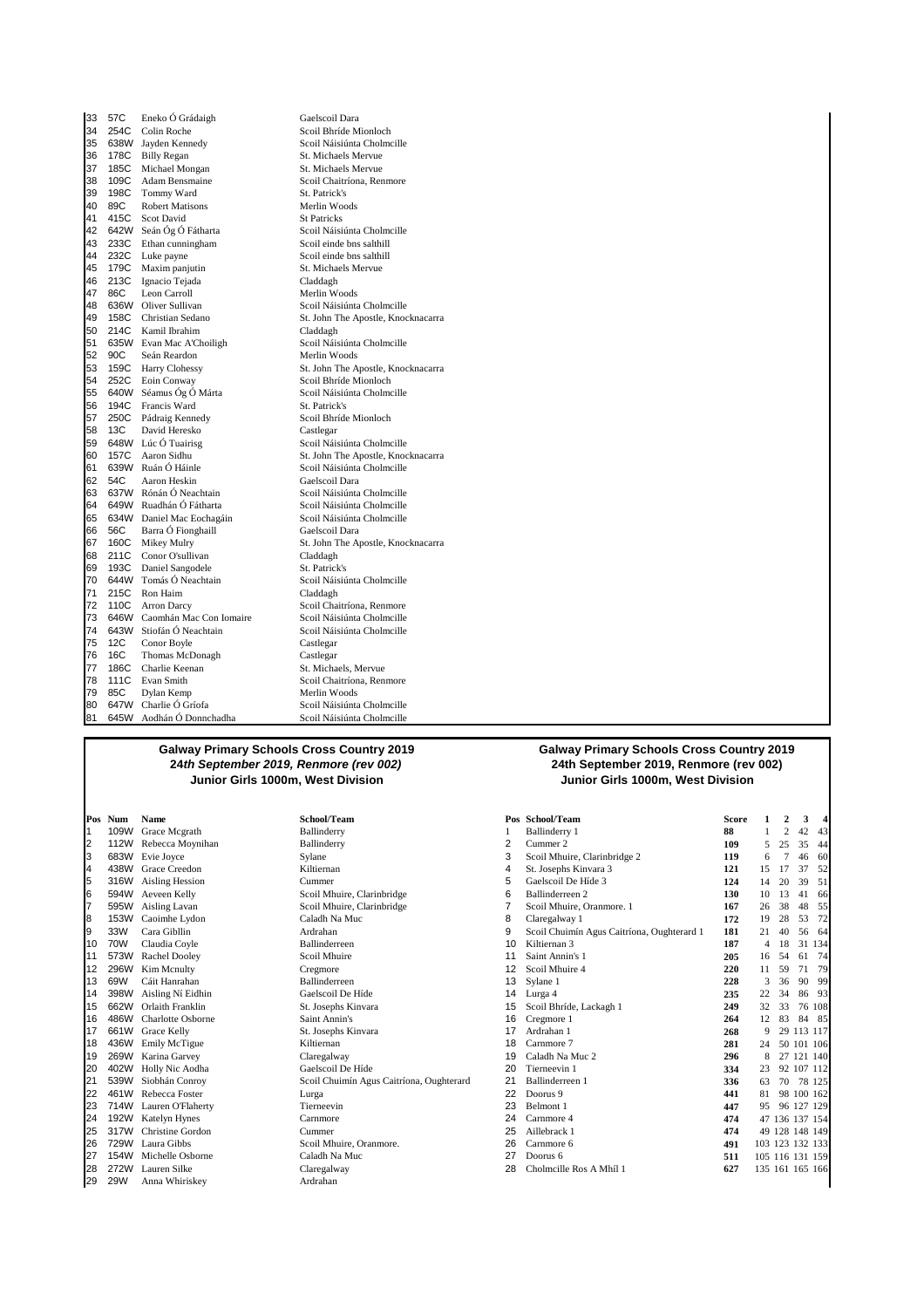| 33 | 57C  | Eneko Ó Grádaigh             | Gaelscoil Dara                     |
|----|------|------------------------------|------------------------------------|
| 34 | 254C | Colin Roche                  | Scoil Bhríde Mionloch              |
| 35 |      | 638W Jayden Kennedy          | Scoil Náisiúnta Cholmcille         |
| 36 | 178C | <b>Billy Regan</b>           | St. Michaels Mervue                |
| 37 | 185C | Michael Mongan               | St. Michaels Mervue                |
| 38 | 109C | Adam Bensmaine               | Scoil Chaitríona, Renmore          |
| 39 | 198C | Tommy Ward                   | St. Patrick's                      |
| 40 | 89C  | <b>Robert Matisons</b>       | Merlin Woods                       |
| 41 | 415C | <b>Scot David</b>            | <b>St Patricks</b>                 |
| 42 |      | 642W Seán Óg Ó Fátharta      | Scoil Náisiúnta Cholmcille         |
| 43 | 233C | Ethan cunningham             | Scoil einde bns salthill           |
| 44 | 232C | Luke payne                   | Scoil einde bns salthill           |
| 45 | 179C | Maxim panjutin               | St. Michaels Mervue                |
| 46 | 213C | Ignacio Tejada               | Claddagh                           |
| 47 | 86C  | Leon Carroll                 | Merlin Woods                       |
| 48 |      | 636W Oliver Sullivan         | Scoil Náisiúnta Cholmcille         |
| 49 | 158C | Christian Sedano             | St. John The Apostle, Knocknacarra |
| 50 | 214C | Kamil Ibrahim                | Claddagh                           |
| 51 |      | 635W Evan Mac A'Choiligh     | Scoil Náisiúnta Cholmcille         |
| 52 | 90C  | Seán Reardon                 | Merlin Woods                       |
| 53 |      | 159C Harry Clohessy          | St. John The Apostle, Knocknacarra |
| 54 |      | 252C Eoin Conway             | Scoil Bhríde Mionloch              |
| 55 |      | 640W Séamus Óg Ó Márta       | Scoil Náisiúnta Cholmcille         |
| 56 | 194C | Francis Ward                 | St. Patrick's                      |
| 57 |      | 250C Pádraig Kennedy         | Scoil Bhríde Mionloch              |
| 58 | 13C  | David Heresko                | Castlegar                          |
| 59 |      | 648W Lúc Ó Tuairisg          | Scoil Náisiúnta Cholmcille         |
| 60 | 157C | Aaron Sidhu                  | St. John The Apostle, Knocknacarra |
| 61 |      | 639W Ruán Ó Háinle           | Scoil Náisiúnta Cholmcille         |
| 62 | 54C  | Aaron Heskin                 | Gaelscoil Dara                     |
| 63 |      | 637W Rónán Ó Neachtain       | Scoil Náisiúnta Cholmcille         |
| 64 |      | 649W Ruadhán Ó Fátharta      | Scoil Náisiúnta Cholmcille         |
| 65 |      | 634W Daniel Mac Eochagáin    | Scoil Náisiúnta Cholmcille         |
| 66 | 56C  | Barra Ó Fionghaill           | Gaelscoil Dara                     |
| 67 | 160C | Mikey Mulry                  | St. John The Apostle, Knocknacarra |
| 68 | 211C | Conor O'sullivan             | Claddagh                           |
| 69 | 193C | Daniel Sangodele             | St. Patrick's                      |
| 70 |      | 644W Tomás Ó Neachtain       | Scoil Náisiúnta Cholmcille         |
| 71 | 215C | Ron Haim                     | Claddagh                           |
| 72 | 110C | <b>Arron Darcy</b>           | Scoil Chaitríona, Renmore          |
| 73 |      | 646W Caomhán Mac Con Iomaire | Scoil Náisiúnta Cholmcille         |
| 74 | 643W | Stiofán Ó Neachtain          | Scoil Náisiúnta Cholmcille         |
| 75 | 12C  | Conor Boyle                  | Castlegar                          |
| 76 | 16C  | Thomas McDonagh              | Castlegar                          |
| 77 | 186C | Charlie Keenan               | St. Michaels, Mervue               |
| 78 | 111C | Evan Smith                   | Scoil Chaitríona, Renmore          |
| 79 | 85C  | Dylan Kemp                   | Merlin Woods                       |
| 80 |      | 647W Charlie Ó Gríofa        | Scoil Náisiúnta Cholmcille         |
| 81 | 645W | Aodhán Ó Donnchadha          | Scoil Náisiúnta Cholmcille         |

#### **Galway Primary Schools Cross Country 2019 24th September 2019, Renmore (rev 002) Junior Girls 1000m, West Division Junior Girls 1000m, West Division**

| Pos | Num  | Name                   | School/Te  |
|-----|------|------------------------|------------|
| 1   | 109W | Grace Mcgrath          | Ballinderr |
| 2   | 112W | Rebecca Moynihan       | Ballinderr |
| 3   | 683W | Evie Joyce             | Sylane     |
| 4   | 438W | Grace Creedon          | Kiltiernan |
| 5   |      | 316W Aisling Hession   | Cummer     |
| 6   | 594W | Aeveen Kelly           | Scoil Mhu  |
| 7   | 595W | Aisling Lavan          | Scoil Mhu  |
| 8   | 153W | Caoimhe Lydon          | Caladh Na  |
| 9   | 33W  | Cara Gibllin           | Ardrahan   |
| 10  | 70W  | Claudia Coyle          | Ballinderr |
| 11  | 573W | Rachel Dooley          | Scoil Mhu  |
| 12  | 296W | Kim Mcnulty            | Cregmore   |
| 13  | 69W  | Cáit Hanrahan          | Ballinderr |
| 14  |      | 398W Aisling Ní Eidhin | Gaelscoil  |
| 15  | 662W | Orlaith Franklin       | St. Joseph |
| 16  |      | 486W Charlotte Osborne | Saint Ann  |
| 17  | 661W | Grace Kelly            | St. Joseph |
| 18  | 436W | Emily McTigue          | Kiltiernan |
| 19  | 269W | Karina Garvey          | Claregalw  |
| 20  | 402W | Holly Nic Aodha        | Gaelscoil  |
| 21  | 539W | Siobhán Conroy         | Scoil Chu  |
| 22  | 461W | Rebecca Foster         | Lurga      |
| 23  | 714W | Lauren O'Flaherty      | Tierneevi  |
| 24  |      | 192W Katelyn Hynes     | Carnmore   |
| 25  | 317W | Christine Gordon       | Cummer     |
| 26  |      | 729W Laura Gibbs       | Scoil Mhu  |
| 27  |      | 154W Michelle Osborne  | Caladh Na  |
| 28  |      | 272W Lauren Silke      | Claregalw  |
| 29  | 29W  | Anna Whiriskey         | Ardrahan   |
|     |      |                        |            |

# **Galway Primary Schools Cross Country 2019 24th September 2019, Renmore (rev 002)**

|    | Pos Num | Name                   | School/Team                              |    | Pos School/Team                            | <b>Score</b> |                 | $\mathbf{c}$ | 3               | 4      |
|----|---------|------------------------|------------------------------------------|----|--------------------------------------------|--------------|-----------------|--------------|-----------------|--------|
|    | 109W    | Grace Mcgrath          | Ballinderry                              |    | Ballinderry 1                              | 88           |                 | 2            | 42              | 43     |
| 2  | 112W    | Rebecca Moynihan       | Ballinderry                              | 2  | Cummer 2                                   | 109          | 5               | 25           | 35              | 44     |
| 3  | 683W    | Evie Joyce             | Sylane                                   | 3  | Scoil Mhuire, Clarinbridge 2               | 119          | 6               |              | 46              | 60     |
| 4  | 438W    | Grace Creedon          | Kiltiernan                               | 4  | St. Josephs Kinvara 3                      | 121          | 15              |              | 37              | 52     |
| 5  | 316W    | <b>Aisling Hession</b> | Cummer                                   | 5  | Gaelscoil De Híde 3                        | 124          | 14              | 20           | 39              | 51     |
| 6  | 594W    | Aeveen Kelly           | Scoil Mhuire, Clarinbridge               | 6  | Ballinderreen 2                            | 130          | 10              | 13           | 41              | 66     |
| 7  | 595W    | Aisling Lavan          | Scoil Mhuire, Clarinbridge               | 7  | Scoil Mhuire, Oranmore. 1                  | 167          | 26              | 38           | 48              | 55     |
| 8  | 153W    | Caoimhe Lydon          | Caladh Na Muc                            | 8  | Claregalway 1                              | 172          | 19              | 28           | 53              | 72     |
| 9  | 33W     | Cara Gibllin           | Ardrahan                                 | 9  | Scoil Chuimín Agus Caitríona, Oughterard 1 | 181          | 21              | 40           | 56              | 64     |
| 10 | 70W     | Claudia Coyle          | Ballinderreen                            | 10 | Kiltiernan 3                               | 187          | 4               | 18           | 31              | 134    |
| 11 | 573W    | Rachel Dooley          | Scoil Mhuire                             | 11 | Saint Annin's 1                            | 205          | 16              | 54           | 61              | 74     |
| 12 | 296W    | Kim Mcnulty            | Cregmore                                 | 12 | Scoil Mhuire 4                             | 220          | 11              | 59           | 71              | 79     |
| 13 | 69W     | Cáit Hanrahan          | <b>Ballinderreen</b>                     | 13 | Sylane 1                                   | 228          | 3               | 36           | 90              | 99     |
| 14 | 398W    | Aisling Ní Eidhin      | Gaelscoil De Híde                        | 14 | Lurga 4                                    | 235          | 22              | 34           | 86              | 93     |
| 15 | 662W    | Orlaith Franklin       | St. Josephs Kinvara                      | 15 | Scoil Bhríde, Lackagh 1                    | 249          | 32              | 33           |                 | 76 108 |
| 16 | 486W    | Charlotte Osborne      | Saint Annin's                            | 16 | Cregmore 1                                 | 264          | 12              | 83           | 84              | 85     |
| 17 | 661W    | Grace Kelly            | St. Josephs Kinvara                      | 17 | Ardrahan 1                                 | 268          | 9               | 29           | 113 117         |        |
| 18 | 436W    | Emily McTigue          | Kiltiernan                               | 18 | Carnmore 7                                 | 281          | 24              |              | 50 101 106      |        |
| 19 | 269W    | Karina Garvey          | Claregalway                              | 19 | Caladh Na Muc 2                            | 296          | 8               | 27           | 121 140         |        |
| 20 | 402W    | Holly Nic Aodha        | Gaelscoil De Híde                        | 20 | Tierneevin 1                               | 334          | 23              |              | 92 107 112      |        |
| 21 | 539W    | Siobhán Conroy         | Scoil Chuimín Agus Caitríona, Oughterard | 21 | Ballinderreen 1                            | 336          | 63              | 70           |                 | 78 125 |
| 22 | 461W    | Rebecca Foster         | Lurga                                    | 22 | Doorus 9                                   | 441          | 81              |              | 98 100 162      |        |
| 23 | 714W    | Lauren O'Flaherty      | Tierneevin                               | 23 | Belmont 1                                  | 447          | 95              |              | 96 127 129      |        |
| 24 | 192W    | <b>Katelyn Hynes</b>   | Carnmore                                 | 24 | Carnmore 4                                 | 474          |                 |              | 47 136 137 154  |        |
| 25 | 317W    | Christine Gordon       | Cummer                                   | 25 | Aillebrack 1                               | 474          |                 |              | 49 128 148 149  |        |
| 26 | 729W    | Laura Gibbs            | Scoil Mhuire, Oranmore.                  | 26 | Carnmore 6                                 | 491          |                 |              | 103 123 132 133 |        |
| 27 | 154W    | Michelle Osborne       | Caladh Na Muc                            | 27 | Doorus 6                                   | 511          |                 |              | 105 116 131 159 |        |
| 28 | 272W    | Lauren Silke           | Claregalway                              | 28 | Cholmcille Ros A Mhíl 1                    | 627          | 135 161 165 166 |              |                 |        |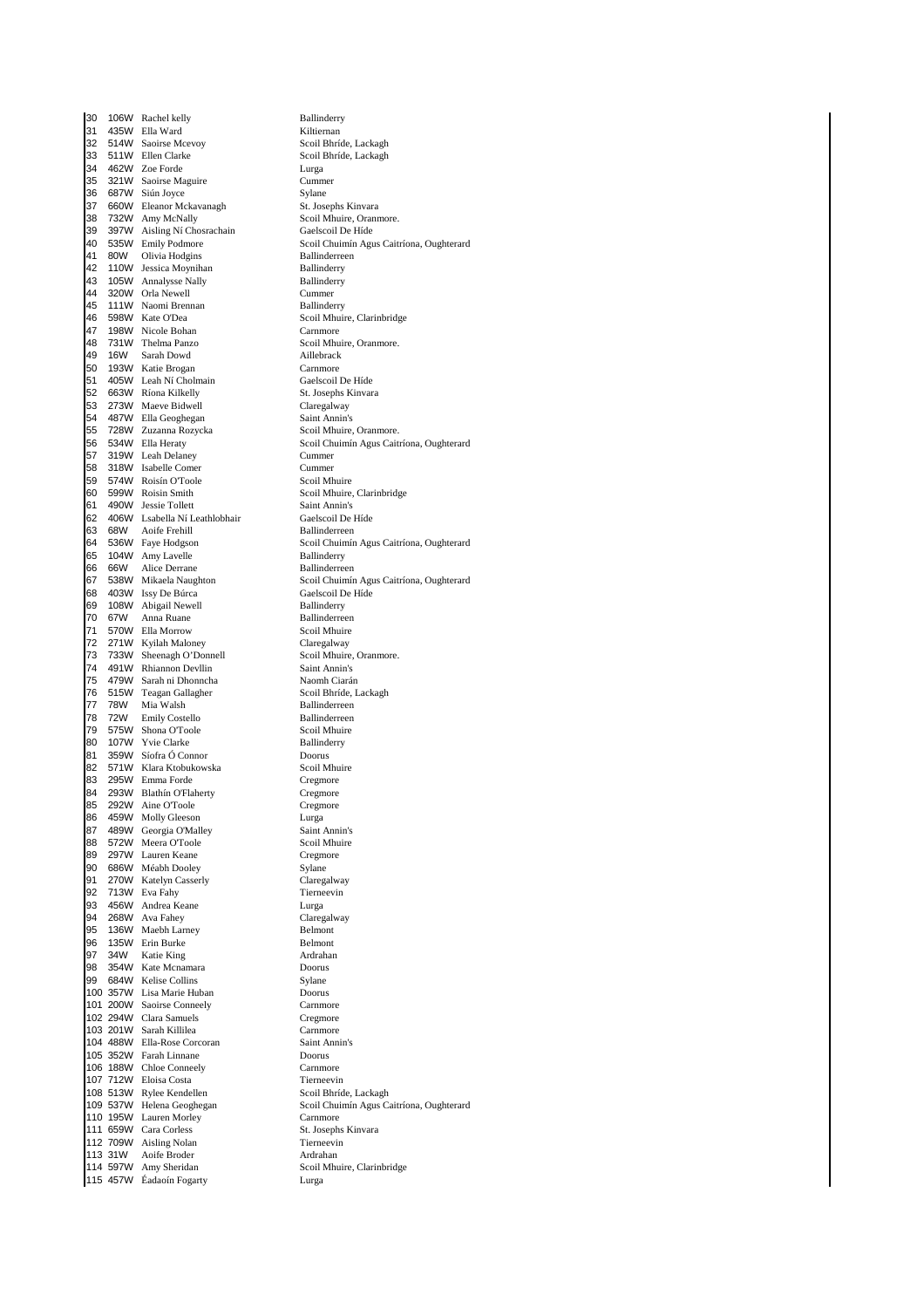30 106W Rachel kelly Ballinderry<br>31 435W Ella Ward Milliernan 31 435W Ella Ward Kiltiernan 514W Saoirse Mcevoy 33 511W Ellen Clarke Scoil Bhríde, Lackagh<br>34 462W Zoe Forde Lurga Lurga 34 462W Zoe Forde<br>35 321W Saoirse Ma 35 321W Saoirse Maguire Cummer<br>36 687W Siún Jovce 688 Sylane 36 687W Siún Joyce Sylane<br>36 660W Eleanor Mckavanagh St. Josephs Kinvara 37 660W Eleanor Mckavanagh<br>38 732W Amy McNally 38 732W Amy McNally Scoil Mhuire, Oranmore.<br>39 397W Aisling Ní Chosrachain Gaelscoil De Híde 39 397W Aisling Ní Chosrachain<br>40 535W Emily Podmore 41 80W Olivia Hodgins Ballinderreen 42 110W Jessica Moynihan<br>
43 105W Annalysse Nally Ballinderry<br>
Ballinderry 105W Annalysse Nally 44 320W Orla Newell Cummer 45 111W Naomi Brennan<br>46 598W Kate O'Dea 46 598W Kate O'Dea Scoil Mhuire, Clarinbridge<br>47 198W Nicole Bohan Score Carnmore 198W Nicole Bohan 48 731W Thelma Panzo Scoil Mhuire, Oranmore. 49 16W Sarah Dowd Aillebrack<br>50 193W Katie Brogan Carnmore 50 193W Katie Brogan Carnmore 405W Leah Ní Cholmain<br>663W Ríona Kilkelly St. Josephs Kinvara 52 663W Ríona Kilkelly St. Josephs K<br>53 273W Maeve Bidwell St. Claregalway 53 273W Maeve Bidwell Claregalway<br>54 487W Ella Geoghegan Saint Annin's 54 487W Ella Geoghegan Saint Annin's<br>55 728W Zuzanna Rozycka Scoil Mhuire, Oranmore. 728W Zuzanna Rozycka 57 319W Leah Delaney Cummer<br>58 318W Isabelle Comer Cummer 58 318W Isabelle Comer Cummer 59 574W Roisín O'Toole<br>60 599W Roisin Smith 60 599W Roisin Smith Scoil Mhuire, Clarinbridge 61 490W Jessie Tollett<br>62 406W Lsabella Ní Leathlobhair Gaelscoil De Híde 406W Lsabella Ní Leathlobhair 63 68W Aoife Frehill Ballinderreen<br>64 536W Fave Hodgson Scoil Chuimín 65 104W Amy Lavelle Ballinderry<br>66 66W Alice Derrane Ballinderreen 66 66W Alice Derrane<br>67 538W Mikaela Naughton 68 403W Issy De Búrca<br>69 108W Abigail Newell Ballinderry 69 108W Abigail Newell<br>70 67W Anna Ruane 71 570W Ella Morrow Scoil Mhuire 271W Kyilah Maloney<br>
733W Sheenagh O'Donnell<br>
Scoil Mhuire, Oranmore. 73 733W Sheenagh O'Donnell Scoil Mhuire,<br>1912 - The Mannen Devllin Saint Annin's 14 491W Rhiannon Devllin Saint Annin's<br>175 479W Sarah ni Dhonncha<br>175 479W Sarah ni Dhonncha 15 479W Sarah ni Dhonncha<br>16 515W Teagan Gallagher Naomh Ciarán Scoil Bhríde, Lackagh 515W Teagan Gallagher<br>78W Mia Walsh 77 78W Mia Walsh Ballinderreen 78 72W Emily Costello Ballinderreen  $79.575W$  Shona O'Toole 80 107W Yvie Clarke Ballinderry 81 359W Síofra Ó Connor Doorus 82 571W Klara Ktobukowska<br>83 295W Emma Forde Scotland Cregmore 83 295W Emma Forde Cregmore<br>84 293W Blathín O'Flaherty Cregmore 84 293W Blathín O'Flaherty Cregmore<br>85 292W Aine O'Toole Cregmore 292W Aine O'Toole 86 459W Molly Gleeson **Lurga** Lurga<br>87 489W Georgia O'Malley **Canada Saint Annin's** 489W Georgia O'Malley Saint Annin's<br>572W Meera O'Toole Scoil Mhuire 88 572W Meera O'Toole Scoil Mhuire Scoil Mhuire Scoil Mhuire Scoil Mhuire Scoil Mhuire Scoil Mhuire Scoil Mhuire Scoil Mhuire Scoil Mhuire Scoil Mhuire Scoil Mhuire Scoil Mhuire Scoil Mhuire Scoil Mhuire Scoil Mhuire Scoil 89 297W Lauren Keane Cregmont Cregmont Cregmont Cregmont Cregmont Cregmont Cregmont Cregmont Cregmont Cregmont Cregmont Cregmont Cregmont Cregmont Cregmont Cregmont Cregmont Cregmont Cregmont Cregmont Cregmont Cregmont Cre 90 686W Méabh Dooley Sylane 270W Katelyn Casserly Claregalwa<br>
213W Eva Fahy Tierneevin<br>
Claregalwa 92 713W Eva Fahy Tierneevin States of Tierneevin States and Tierneevin States of Tierneevin States and Tierneevin States and Tierneevin States and Tierneevin States and Tierneevin States and Tierneevin States and Tierneevi 456W Andrea Keane Lurga Lurga<br>268W Ava Fahey Claregalway 94 268W Ava Fahey 95 136W Maebh Larney Belmont<br>96 135W Erin Burke Belmont 96 135W Erin Burke<br>97 34W Katie King Belmont Ardrahan 1997 - Ardrahan Ardrahan<br>
354W Kate Mcnamara 1997 - Doorus e 98 354W Kate Mcnamara<br>199 684W Kelise Collins 29 Sylane 884W Kelise Collins Sylane<br>357W Lisa Marie Huban Shoorus 100 357W Lisa Marie Huban 101 200W Saoirse Conneely Carnmore 102 294W Clara Samuels Cregmore 103 201W Sarah Killilea **Carnamica Carnamore**<br>104 488W Ella-Rose Corcoran **Carnamica Carnamica Carnamica Carnamica** 104 488W Ella-Rose Corcoran Saint A<br>105 352W Farah Linnane Doorus 105 352W Farah Linnane 106 188W Chloe Conneely Carnmore<br>107 712W Eloisa Costa Costa Cierneevin 107 712W Eloisa Costa<br>108 513W Rylee Kendellen Scoil Bhríde, Lackagh 108 513W Rylee Kendellen<br>109 537W Helena Geoghegan 110 195W Lauren Morley Carnmore<br>111 659W Cara Corless St. Josephs Kinvara 111 659W Cara Corless St. Josephs St. Josephs<br>112 709W Aisling Nolan St. Tierneevin 112 709W Aisling Nolan 113 31W Aoife Broder **Artaman**<br>114 597W Amy Sheridan **Artaman Scool Mhuire, Clarinbridge** 114 597W Amy Sheridan Scoil Scoil Mhuire, Coil Mhuire, Coil Mhuire, Coil Mhuire, Coil Mhuire, Clarin<br>115 457W Éadaoin Fogarty 115 457W Éadaoín Fogarty

Scoil Chuimín Agus Caitríona, Oughterard 56 534W Ella Heraty<br>57 319W Leah Delaney Scoil Chuimín Agus Caitríona, Oughterard 64 536W Faye Hodgson Scoil Chuimín Agus Caitríona, Oughterard 67 538W Mikaela Naughton Scoil Chuimín Agus Caitríona, Oughterard Ballinderreen Scoil Chuimín Agus Caitríona, Oughterard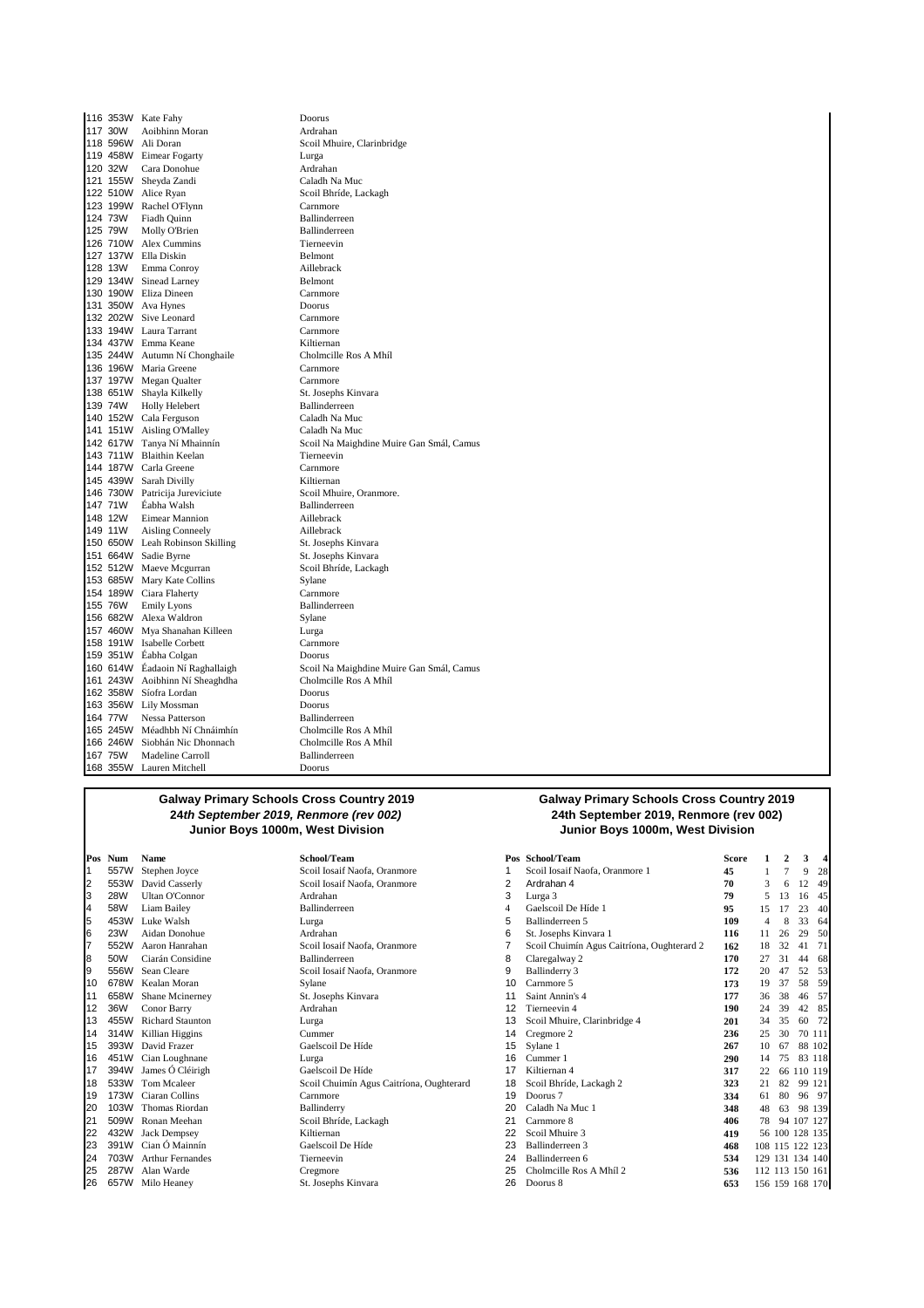116 353W Kate Fahy Doorus 117 30W Aoibhinn Moran<br>118 596W Ali Doran 119 458W Eimear Fogarty Lurga 120 32W Cara Donohue Ardrahan 121 155W Sheyda Zandi Caladh Na Muc  $122\,510W$  Alice Ryan 123 199W Rachel O'Flynn Carnmore<br>124 73W Fiadh Quinn Ballinderreen 124 73W Fiadh Quinn Ballinderreen<br>125 79W Molly O'Brien Ballinderreen 125 Molly O'Brien Ballinderre<br>
125 Mei 2012 12: Tierneevin<br>
12: Tierneevin 126 710W Alex Cummins 127 137W Ella Diskin Belmont<br>128 13W Emma Conroy Aillebrack 128 13W Emma Conroy Aillebrack 129 134W Sinead Larney 130 190W Eliza Dineen Carnmore 131 350W Ava Hynes Doorus Doorus<br>
132 202W Sive Leonard Carnmore 132 202W Sive Leonard Carnmore<br>133 194W Laura Tarrant Carnmore 133 194W Laura Tarrant 134 437W Emma Keane **Kiltiernan**<br>135 244W Autumn Ní Chonghaile **Cholmeille Ros A Mhíl** 135 244W Autumn Ní Chonghaile 136 196W Maria Greene Carnmore<br>
136 196W Maria Greene Carnmore<br>
137 197W Megan Qualter Carnmore 137 197W Megan Qualter 138 651W Shayla Kilkelly St. Josephs Kinvara<br>
139 74W Holly Helebert Ballinderreen 139 74W Holly Helebert Ballinderreen 140 152W Cala Ferguson Caladh Na Muc<br>141 151W Aisling O'Malley Caladh Na Muc 141 151W Aisling O'Malley 142 617W Tanya Ní Mhainnín Scoil Na Maighdine Muire Gan Smál, Camus 143 711W Blaithin Keelan Tierneevin<br>144 187W Carla Greene Carnmore 144 187W Carla Greene 145 439W Sarah Divilly **145 439W Sarah Divilly 146 730W** River Research 146 730W Patricija Jureviciute 146 8001 Nulley, Oranmore. 146 730W Patricija Jureviciute Scoil Mhuire,<br>147 71W Éabha Walsh Ballinderreen 147 71W Éabha Walsh Ballinderre<br>148 12W Eimear Mannion Aillebrack Eimear Mannion 149 11W Aisling Conneely **Aillebrack** Aillebrack<br>150 650W Leah Robinson Skilling **Ailward States States** Kinvara 1450 650W Leah Robinson Skilling<br>150 650W Leah Robinson Skilling St. Josephs Kinvara<br>151 664W Sadie Byrne 151 664W Sadie Byrne St. Josephs Kinvara<br>152 512W Maeve Mcgurran<br>Scoil Bhríde, Lackagh 152 512W Maeve Mcgurran Scoil B<br>153 685W Mary Kate Collins Sylane 153 685W Mary Kate Collins Sylane<br>154 189W Ciara Flaherty Carnmore 154 189W Ciara Flaherty<br>155 76W Emily Lyons Ballinderreen 155 76W Emily Lyons Ballinderreen Alexa Waldron 157 460W Mya Shanahan Killeen Lurga 158 191W Isabelle Corbett Carnmore 159 351W Éabha Colgan **Doorus**<br>160 614W Éadaoin Ní Raghallaigh Scoil N 161 243W Aoibhinn Ní Sheaghdha Cholmc<br>162 358W Síofra Lordan Doorus 162 358W Síofra Lordan Doorus 163 356W Lily Mossman 164 77W Nessa Patterson **Ballinderreen**<br>165 245W Méadhbh Ní Chnáimhín Cholmeille Ros A Mhíl 165 245W Méadhbh Ní Chnáimhín Cholmcille Ros A Mhíl 166 246W Siobhán Nic Dhonnach Cholmcille Rose Cholmcille Rose A Mhíle Rose A Mhíle Rose A Mhíle Rose A Mhíle Ro<br>167 75W Madeline Carroll 167 75W Madeline Carroll **Ballinder**<br>168 355W Lauren Mitchell **Branch** Doorus 168 355W Lauren Mitchell

Scoil Mhuire, Clarinbridge 160 614W Éadaoin Ní Raghallaigh Scoil Na Maighdine Muire Gan Smál, Camus

#### **Galway Primary Schools Cross Country 2019 24th September 2019, Renmore (rev 002) Junior Boys 1000m, West Division Junior Boys 1000m, West Division**

|                | Pos Num    | Name                    | School/Team                              |    | Pos School/Team                            | <b>Score</b> |     |                 | 3              |        |
|----------------|------------|-------------------------|------------------------------------------|----|--------------------------------------------|--------------|-----|-----------------|----------------|--------|
|                | 557W       | Stephen Joyce           | Scoil Iosaif Naofa, Oranmore             |    | Scoil Iosaif Naofa, Oranmore 1             | 45           |     |                 | 9              | 28     |
| $\overline{2}$ | 553W       | David Casserly          | Scoil Iosaif Naofa, Oranmore             | 2  | Ardrahan 4                                 | 70           | 3   | 6               | $\overline{c}$ | 49     |
| Iз             | <b>28W</b> | <b>Ultan O'Connor</b>   | Ardrahan                                 | 3  | Lurga 3                                    | 79           | 5   | 13              | 6              | 45     |
| 14             | 58W        | Liam Bailey             | <b>Ballinderreen</b>                     | 4  | Gaelscoil De Híde 1                        | 95           | 15  |                 | 23             | 40     |
| 5              | 453W       | Luke Walsh              | Lurga                                    | 5  | Ballinderreen 5                            | 109          | 4   |                 | 33             | 64     |
| 6              | <b>23W</b> | Aidan Donohue           | Ardrahan                                 | 6  | St. Josephs Kinvara 1                      | 116          | 11  | 26              | 29             | 50     |
| 7              | 552W       | Aaron Hanrahan          | Scoil Iosaif Naofa, Oranmore             |    | Scoil Chuimín Agus Caitríona, Oughterard 2 | 162          | 18  | 32              | 41             | 71     |
| 8              | 50W        | Ciarán Considine        | <b>Ballinderreen</b>                     | 8  | Claregalway 2                              | 170          | 27  | 31              | 44             | 68     |
| 9              | 556W       | Sean Cleare             | Scoil Iosaif Naofa, Oranmore             | 9  | Ballinderry 3                              | 172          | 20  |                 | 52             | 53     |
| 10             | 678W       | Kealan Moran            | Sylane                                   | 10 | Carnmore 5                                 | 173          | 19  | 37              | 58             | 59     |
| 11             | 658W       | Shane Mcinerney         | St. Josephs Kinvara                      |    | Saint Annin's 4                            | 177          | 36  | 38              | 46             | -57    |
| 12             | 36W        | Conor Barry             | Ardrahan                                 |    | Tierneevin 4                               | 190          | 24  | 39              | 42             | -85    |
| 13             | 455W       | <b>Richard Staunton</b> | Lurga                                    | 13 | Scoil Mhuire, Clarinbridge 4               | 201          | 34  | 35              | 60             | 72     |
| 14             | 314W       | Killian Higgins         | Cummer                                   | 14 | Cregmore 2                                 | 236          | 25  | 30              |                | 70 111 |
| 15             | 393W       | David Frazer            | Gaelscoil De Híde                        | 15 | Sylane 1                                   | 267          | 10  | 67              |                | 88 102 |
| 16             | 451W       | Cian Loughnane          | Lurga                                    | 16 | Cummer 1                                   | 290          | 14  | 75              |                | 83 118 |
| 17             | 394W       | James Ó Cléirigh        | Gaelscoil De Híde                        | 17 | Kiltiernan 4                               | 317          | 22  | 66              |                | 10 119 |
| 18             | 533W       | Tom Mcaleer             | Scoil Chuimín Agus Caitríona, Oughterard | 18 | Scoil Bhríde, Lackagh 2                    | 323          | 21  | 82              |                | 99 121 |
| 19             | 173W       | Ciaran Collins          | Carnmore                                 | 19 | Doorus <sub>7</sub>                        | 334          | 61  | 80              |                | 96 97  |
| 20             | 103W       | Thomas Riordan          | Ballinderry                              | 20 | Caladh Na Muc 1                            | 348          | 48  | 63              |                | 98 139 |
| 21             | 509W       | Ronan Meehan            | Scoil Bhríde, Lackagh                    | 21 | Carnmore 8                                 | 406          | 78  | 94              | 107 127        |        |
| 22             | 432W       | Jack Dempsey            | Kiltiernan                               | 22 | Scoil Mhuire 3                             | 419          |     | 56 100 128 135  |                |        |
| 23             | 391W       | Cian Ó Mainnín          | Gaelscoil De Híde                        | 23 | Ballinderreen 3                            | 468          |     | 108 115 122 123 |                |        |
| 24             | 703W       | <b>Arthur Fernandes</b> | Tierneevin                               | 24 | Ballinderreen 6                            | 534          | 129 | 131 134 140     |                |        |
| 25             | 287W       | Alan Warde              | Cregmore                                 |    | Cholmcille Ros A Mhíl 2                    | 536          |     | 112 113 150 161 |                |        |
| 26             | 657W       | Milo Heaney             | St. Josephs Kinvara                      | 26 | Doorus 8                                   | 653          |     | 156 159 168 170 |                |        |

# **Galway Primary Schools Cross Country 2019 24th September 2019, Renmore (rev 002)**

|    | Pos School/Team                            | Score | 1              | $\mathbf{2}$    | 3          | $\overline{\mathbf{4}}$ |
|----|--------------------------------------------|-------|----------------|-----------------|------------|-------------------------|
| 1  | Scoil Iosaif Naofa, Oranmore 1             | 45    | 1              | 7               | 9          | 28                      |
| 2  | Ardrahan 4                                 | 70    | 3              | 6               | 12         | 49                      |
| 3  | Lurga 3                                    | 79    | 5              | 13              | 16         | 45                      |
| 4  | Gaelscoil De Híde 1                        | 95    | 15             | 17              | 23         | 40                      |
| 5  | Ballinderreen 5                            | 109   | $\overline{4}$ | 8               | 33         | 64                      |
| 6  | St. Josephs Kinvara 1                      | 116   | 11             | 26              | 29         | 50                      |
| 7  | Scoil Chuimín Agus Caitríona, Oughterard 2 | 162   | 18             | 32              | 41         | 71                      |
| 8  | Claregalway 2                              | 170   | 27             | 31              | 44         | 68                      |
| 9  | <b>Ballinderry 3</b>                       | 172   | 20             | 47              | 52         | 53                      |
| 10 | Carnmore 5                                 | 173   | 19             | 37              | 58         | 59                      |
| 11 | Saint Annin's 4                            | 177   | 36             | 38              | 46         | 57                      |
| 12 | Tierneevin 4                               | 190   | 24             | 39              | 42         | 85                      |
| 13 | Scoil Mhuire, Clarinbridge 4               | 201   | 34             | 35              | 60         | 72                      |
| 14 | Cregmore 2                                 | 236   | 25             | 30              |            | 70 111                  |
| 15 | Sylane 1                                   | 267   | 10             | 67              |            | 88 102                  |
| 16 | Cummer 1                                   | 290   | 14             | 75              |            | 83 118                  |
| 17 | Kiltiernan 4                               | 317   | 22             |                 |            | 66 110 119              |
| 18 | Scoil Bhríde, Lackagh 2                    | 323   | 21             | 82              | 99         | 121                     |
| 19 | Doorus <sub>7</sub>                        | 334   | 61             | 80              | 96         | 97                      |
| 20 | Caladh Na Muc 1                            | 348   | 48             | 63              |            | 98 139                  |
| 21 | Carnmore 8                                 | 406   | 78             |                 | 94 107 127 |                         |
| 22 | Scoil Mhuire 3                             | 419   |                | 56 100 128 135  |            |                         |
| 23 | Ballinderreen 3                            | 468   |                | 108 115 122 123 |            |                         |
| 24 | Ballinderreen 6                            | 534   |                |                 |            | 129 131 134 140         |
| 25 | Cholmcille Ros A Mhíl 2                    | 536   |                | 112 113 150 161 |            |                         |
| 26 | Doorus 8                                   | 653   |                |                 |            | 156 159 168 170         |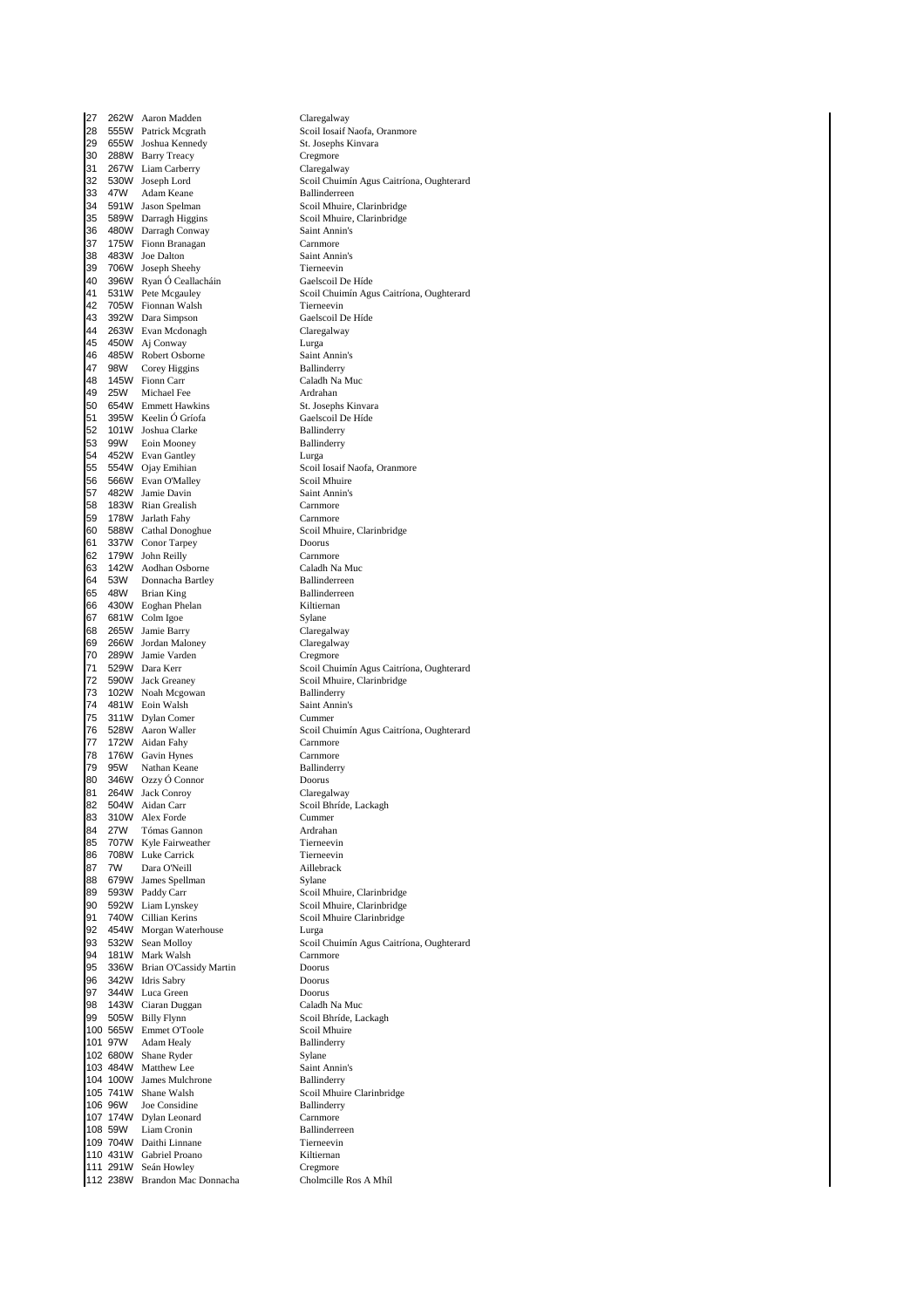27 262W Aaron Madden Claregalway<br>28 555W Patrick Mcgrath Claregalway Scoil Iosaif N 28 555W Patrick Mcgrath Scoil Iosaif Naofa, Oranmore<br>29 655W Joshua Kennedy St. Josephs Kinvara 655W Joshua Kennedy 30 288W Barry Treacy Cregmore<br>31 267W Liam Carberry Claregalway 31 267W Liam Carberry<br>32 530W Joseph Lord 47W Adam Keane<br>591W Jason Spelman 34 591W Jason Spelman<br>35 589W Darragh Higgins Scoil Mhuire, Clarinbridge 35 589W Darragh Higgins Scoil Mhuire, Clarinbridge<br>36 480W Darragh Conway Saint Annin's 36 480W Darragh Conway **Saint Ann**<br>37 175W Fionn Branagan **Saint Annings Carnmore** 175W Fionn Branagan 38 483W Joe Dalton Saint Annin's 39 706W Joseph Sheehy Tierneevin 1960 Biseph Bhean<br>396W Ryan Ó Ceallacháin<br>531W Pete Mcgauley 42 705W Fionnan Walsh Tierneevin<br>43 392W Dara Simpson The Gaelscoil De Híde 43 392W Dara Simpson Gaelscoil De Híde 263W Evan Mcdonagh 45 450W Aj Conway **Lure Lure Lure 2016**<br>46 485W Robert Osborne **Lure Saint Annin's** 46 485W Robert Osborne<br>17 98W Corey Higgins Ballinderry 47 98W Corey Higgins Ballinderry 145W Fionn Carr<br>25W Michael Fee 49 25W Michael Fee **Ardrahan**<br>50 654W Emmett Hawkins **Article St. Josephs Kinvara** 50 654W Emmett Hawkins St. Josephs Kinvara 51 395W Keelin Ó Gríofa Gaelscoil D<br>52 101W Joshua Clarke Ballinderry 101W Joshua Clarke 53 99W Eoin Mooney Ballinderry<br>54 452W Evan Gantley Lurga Lurga 54 452W Evan Gantley<br>55 554W Ojay Emihian Scoil Scoil 56 566W Evan O'Malley Scoil Mhuire<br>57 482W Jamie Davin Saint Annin's 57 482W Jamie Davin<br>58 183W Rian Grealish Saint Ann 58 183W Rian Grealish Carnmore<br>59 178W Jarlath Fahy Carnmore 178W Jarlath Fahy 60 588W Cathal Donoghue Scoil Mhuire, Clarinbridge 61 337W Conor Tarpey Doorus 62 179W John Reilly Carnmore<br>63 142W Aodhan Osborne Caladh Na Muc 63 142W Aodhan Osborne Caladh Na Muc 64 53W Donnacha Bartley **Ballinderreen**<br>65 48W Brian King **Ballinderreen** 65 48W Brian King Ballinderreen Ballinderreen Ballinderreen Ballinderreen Ballinderreen Ballinderreen Ballinderreen Ballinderreen Ballinderreen Ballinderreen Ballinderreen Ballinderreen Ballinderreen Ballinderreen Ballinde 66 430W Eoghan Phelan Miltiernand Kiltiern<br>67 681W Colm Igoe 1988 - Sylane 681W Colm Igoe 68 265W Jamie Barry Claregalway 69 266W Jordan Maloney Claregalway<br>70 289W Jamie Varden Creemore 70 289W Jamie Varden Cregmore 72 590W Jack Greaney Scoil Mhuire, Clarinbridge<br>73 102W Noah Mcgowan Ballinderry 1 102W Noah Mcgowan Ballinderry<br>13 102W Noah Mcgowan Bailinderry<br>14 181W Eoin Walsh Saint Annin's 481W Eoin Walsh 75 311W Dylan Comer Cummer 77 172W Aidan Fahy Carnmore 78 176W Gavin Hynes Carnmore 79 95W Nathan Keane Ballinderry Ballinderry Ballinderry<br>190 346W Ozzy Ó Connor Doorus 80 346W Ozzy Ó Connor Doorus 81 264W Jack Conroy<br>82 504W Aidan Carr 83 310W Alex Forde Cummer<br>84 27W Tómas Gannon - Ardrahar 84 27W Tómas Gannon Ardrahan 85 707W Kyle Fairweather Tierneevin<br>86 708W Luke Carrick Tierneevin 86 708W Luke Carrick Tierneevin<br>87 7W Dara O'Neill Aillebrack 87 7W Dara O'Neill **Aillebrack Communist Communist Communist** Aillebrack Aillebrack Aillebrack Aillebrack Aillebr<br>88 679W James Spellman 88 679W James Spellman<br>89 593W Paddy Carr 89 593W Paddy Carr Scoil Mhuire, Clarinbridge<br>90 592W Liam Lynskev Scoil Mhuire, Clarinbridge 90 592W Liam Lynskey<br>91 740W Cillian Kerins 740W Cillian Kerins Scoil Mhuire Clarinbridge 92 454W Morgan Waterhouse<br>93 532W Sean Molloy 94 181W Mark Walsh Carnmore Carnmore Carnmore Carnmore Carnmore Carnmore Carnmore Carnmore Carnmore Carnmore C 336W Brian O'Cassidy Martin Doorus<br>
342W Idris Sabry Doorus 96 342W Idris Sabry Doorus 344W Luca Green Doorus<br>143W Ciaran Duggan Caladh Na Muc 98 143W Ciaran Duggan 99 505W Billy Flynn Scoil Bhríde, Lackagh<br>100 565W Emmet O'Toole Scoil Mhuire 100 565W Emmet O'Toole Scoil Mhuir<br>100 565W Emmet O'Toole Scoil Mhuir<br>101 97W Adam Healy Ballinderry 101 97W Adam Healy Ballinc<br>
102 680W Shane Ryder Sylane 102 680W Shane Ryder Sylane Sylane Sylane Saint Annin's<br>103 484W Matthew Lee Saint Annin's 103 484W Matthew Lee Saint Annin<br>104 100W James Mulchrone Ballinderry 104 100W James Mulchrone<br>
105 741W Shane Walsh Scoil Mhuire Clarinbridge  $105$   $741W$  Shane Walsh 106 96W Joe Considine Ballinderry 107 174W Dylan Leonard Carnmore e 108 59W Liam Cronin and Ballinderre<br>109 704W Daithi Linnane 109 Tierneevin 109 704W Daithi Linnane 110 431W Gabriel Proano<br>111 291W Seán Howley **Changes** Cregmore 111 291W Seán Howley<br>112 238W Brandon Mac Donnacha<br>Cholmcille Ros A Mhíl 112 238W Brandon Mac Donnacha

32 530W Joseph Lord Scoil Chuimín Agus Caitríona, Oughterard 41 531W Pete Mcgauley Scoil Chuimín Agus Caitríona, Oughterard Scoil Iosaif Naofa, Oranmore<br>Scoil Mhuire 71 529W Dara Kerr Scoil Chuimín Agus Caitríona, Oughterard 76 528W Aaron Waller Scoil Chuimín Agus Caitríona, Oughterard Scoil Bhríde, Lackagh 93 532W Sean Molloy Scoil Chuimín Agus Caitríona, Oughterard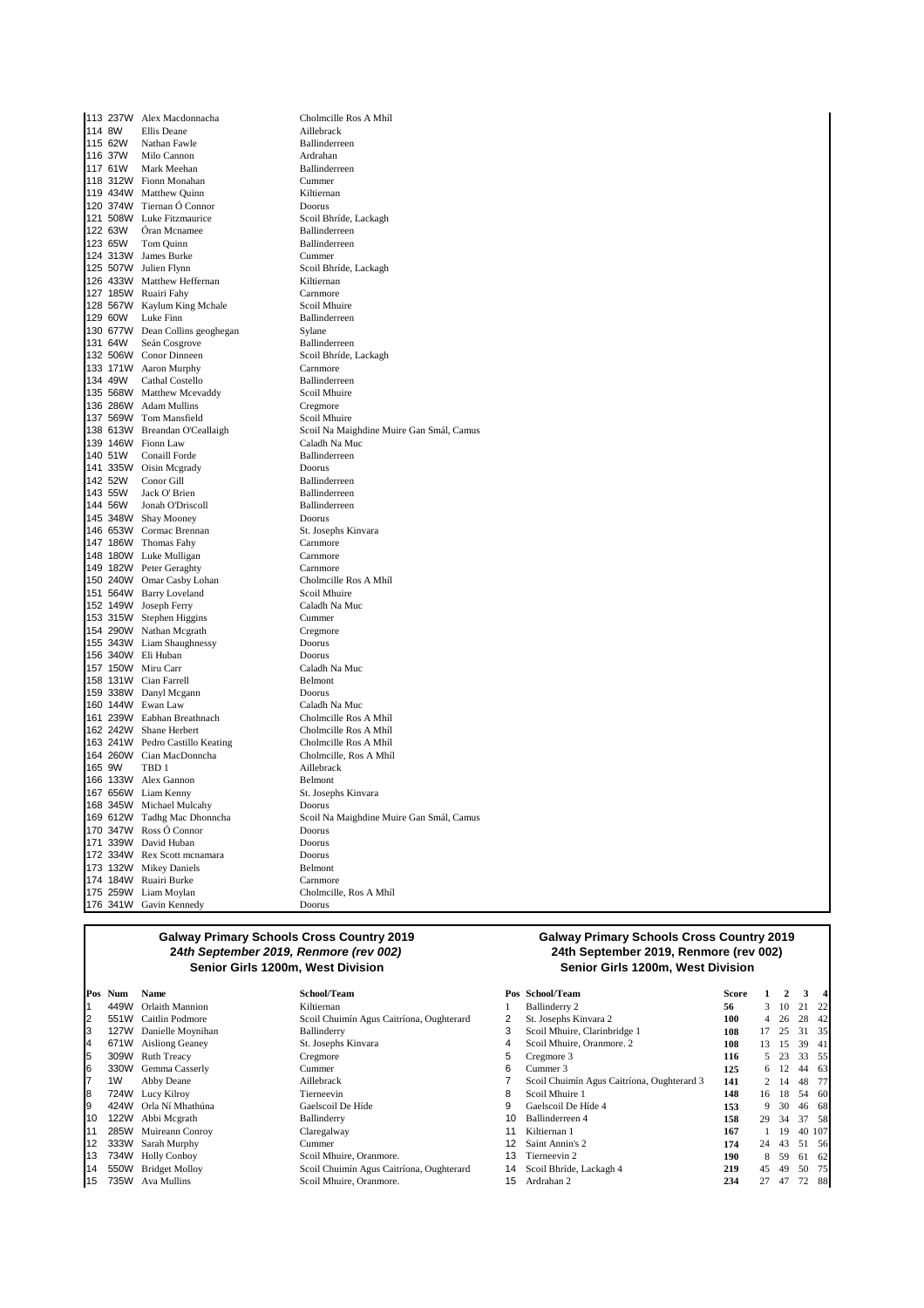|        | 113 237W Alex Macdonnacha       | Cholmcille Ros A Mhíl                    |
|--------|---------------------------------|------------------------------------------|
| 114 8W | Ellis Deane                     | Aillebrack                               |
|        | 115 62W Nathan Fawle            | Ballinderreen                            |
|        | 116 37W Milo Cannon             | Ardrahan                                 |
|        | 117 61W Mark Meehan             | Ballinderreen                            |
|        | 118 312W Fionn Monahan          | Cummer                                   |
|        | 119 434W Matthew Quinn          | Kiltiernan                               |
|        | 120 374W Tiernan Ó Connor       | Doorus                                   |
|        | 121 508W Luke Fitzmaurice       | Scoil Bhríde, Lackagh                    |
|        | 122 63W Óran Mcnamee            | Ballinderreen                            |
|        | 123 65W Tom Quinn               | Ballinderreen                            |
|        | 124 313W James Burke            | Cummer                                   |
|        | 125 507W Julien Flynn           | Scoil Bhríde, Lackagh                    |
|        | 126 433W Matthew Heffernan      | Kiltiernan                               |
|        | 127 185W Ruairi Fahy            | Carnmore                                 |
|        | 128 567W Kaylum King Mchale     | Scoil Mhuire                             |
|        | 129 60W Luke Finn               | Ballinderreen                            |
|        | 130 677W Dean Collins geoghegan | Sylane                                   |
|        | 131 64W Seán Cosgrove           | Ballinderreen                            |
|        | 132 506W Conor Dinneen          | Scoil Bhríde, Lackagh                    |
|        | 133 171W Aaron Murphy           | Carnmore                                 |
|        | 134 49W Cathal Costello         | Ballinderreen                            |
|        | 135 568W Matthew Mcevaddy       | Scoil Mhuire                             |
|        | 136 286W Adam Mullins           | Cregmore                                 |
|        | 137 569W Tom Mansfield          | Scoil Mhuire                             |
|        | 138 613W Breandan O'Ceallaigh   | Scoil Na Maighdine Muire Gan Smál, Camus |
|        | 139 146W Fionn Law              | Caladh Na Muc                            |
|        | 140 51W Conaill Forde           | Ballinderreen                            |
|        | 141 335W Oisin Mcgrady          | Doorus                                   |
|        | 142 52W Conor Gill              | Ballinderreen                            |
|        | 143 55W Jack O' Brien           | Ballinderreen                            |
|        | 144 56W Jonah O'Driscoll        | Ballinderreen                            |
|        | 145 348W Shay Mooney            | Doorus                                   |
|        | 146 653W Cormac Brennan         | St. Josephs Kinvara                      |
|        | 147 186W Thomas Fahy            | Carnmore                                 |
|        | 148 180W Luke Mulligan          | Carnmore                                 |
|        | 149 182W Peter Geraghty         | Carnmore                                 |
|        | 150 240W Omar Casby Lohan       | Cholmcille Ros A Mhíl                    |
|        | 151 564W Barry Loveland         | Scoil Mhuire                             |
|        | 152 149W Joseph Ferry           | Caladh Na Muc                            |
|        | 153 315W Stephen Higgins        | Cummer                                   |
|        | 154 290W Nathan Mcgrath         | Cregmore                                 |
|        | 155 343W Liam Shaughnessy       | Doorus                                   |
|        | 156 340W Eli Huban              | Doorus                                   |
|        | 157 150W Miru Carr              | Caladh Na Muc                            |
|        | 158 131W Cian Farrell           | Belmont                                  |
|        | 159 338W Danyl Mcgann           | Doorus                                   |
|        | 160 144W Ewan Law               | Caladh Na Muc                            |
|        | 161 239W Eabhan Breathnach      | Cholmcille Ros A Mhíl                    |
|        | 162 242W Shane Herbert          | Cholmcille Ros A Mhíl                    |
|        | 163 241W Pedro Castillo Keating | Cholmcille Ros A Mhíl                    |
|        | 164 260W Cian MacDonncha        | Cholmcille, Ros A Mhíl                   |
| 165 9W | TBD 1                           | Aillebrack                               |
|        | 166 133W Alex Gannon            | Belmont                                  |
|        | 167 656W Liam Kenny             | St. Josephs Kinvara                      |
|        | 168 345W Michael Mulcahy        | Doorus                                   |
|        | 169 612W Tadhg Mac Dhonncha     | Scoil Na Maighdine Muire Gan Smál, Camus |
|        | 170 347W Ross Ó Connor          | Doorus                                   |
|        | 171 339W David Huban            | Doorus                                   |
|        | 172 334W Rex Scott mcnamara     | Doorus                                   |
|        | 173 132W Mikey Daniels          | Belmont                                  |
|        | 174 184W Ruairi Burke           | Carnmore                                 |
|        | 175 259W Liam Moylan            | Cholmcille, Ros A Mhíl                   |
|        | 176 341W Gavin Kennedy          | Doorus                                   |

#### **Galway Primary Schools Cross Country 2019 24th September 2019, Renmore (rev 002) Senior Girls 1200m, West Division Senior Girls 1200m, West Division**

|    | Pos Num     | <b>Name</b>            | School/Team                              |    | Pos School/Team                            | <b>Score</b> |     |          | 3      |      |
|----|-------------|------------------------|------------------------------------------|----|--------------------------------------------|--------------|-----|----------|--------|------|
|    | 449W        | <b>Orlaith Mannion</b> | Kiltiernan                               |    | Ballinderry 2                              | 56           |     | $3 \t10$ | 21     | - 22 |
|    |             | 551W Caitlin Podmore   | Scoil Chuimín Agus Caitríona, Oughterard | 2  | St. Josephs Kinvara 2                      | 100          | 4   | - 26     | 28 42  |      |
| 3  | 127W        | Danielle Moynihan      | Ballinderry                              | 3  | Scoil Mhuire, Clarinbridge 1               | 108          |     | 25       | 31     | - 35 |
| 4  | 671W        | <b>Aisliong Geaney</b> | St. Josephs Kinvara                      | 4  | Scoil Mhuire, Oranmore. 2                  | 108          | 13. | 15       | 39 41  |      |
| 5  |             | 309W Ruth Treacy       | Cregmore                                 | 5  | Cregmore 3                                 | 116          |     | 5 23     | 33 55  |      |
| 6  | 330W        | Gemma Casserly         | Cummer                                   | 6  | Cummer 3                                   | 125          |     | 6 12     | 44 63  |      |
|    | 1W          | Abby Deane             | Aillebrack                               |    | Scoil Chuimín Agus Caitríona, Oughterard 3 | 141          |     | 2 14     | 48     | - 77 |
| 8  |             | 724W Lucy Kilroy       | Tierneevin                               | 8  | Scoil Mhuire 1                             | 148          | 16  | 18       | 54 60  |      |
|    | 424W        | Orla Ní Mhathúna       | Gaelscoil De Híde                        | 9  | Gaelscoil De Híde 4                        | 153          | 9.  | 30       | 46     | - 68 |
| 10 | <b>122W</b> | Abbi Mcgrath           | Ballinderry                              | 10 | Ballinderreen 4                            | 158          | 29  | 34       | 37 58  |      |
| 11 | 285W        | Muireann Conroy        | Claregalway                              |    | Kiltiernan 1                               | 167          |     | 19       | 40 107 |      |
|    | 12 333W     | Sarah Murphy           | Cummer                                   |    | Saint Annin's 2                            | 174          | 24  | 43       | 51 56  |      |
| 13 | 734W        | <b>Holly Conboy</b>    | Scoil Mhuire, Oranmore.                  | 13 | Tierneevin 2                               | 190          | 8   | 59       | 61     | -62  |
| 14 |             | 550W Bridget Molloy    | Scoil Chuimín Agus Caitríona, Oughterard | 14 | Scoil Bhríde, Lackagh 4                    | 219          | 45  | 49       | 50 75  |      |
| 15 | 735W        | Ava Mullins            | Scoil Mhuire, Oranmore.                  | 15 | Ardrahan 2                                 | 234          | 27  | 47       | 72 88  |      |
|    |             |                        |                                          |    |                                            |              |     |          |        |      |

# **Galway Primary Schools Cross Country 2019 24th September 2019, Renmore (rev 002)**

|    | Pos School/Team                            | Score | 1              | $\mathbf{2}$ | 3  | 4   |
|----|--------------------------------------------|-------|----------------|--------------|----|-----|
| 1  | Ballinderry 2                              | 56    | 3              | 10           | 21 | 22  |
| 2  | St. Josephs Kinvara 2                      | 100   | 4              | 26           | 28 | 42  |
| 3  | Scoil Mhuire, Clarinbridge 1               | 108   | 17             | 25           | 31 | 35  |
| 4  | Scoil Mhuire, Oranmore. 2                  | 108   | 13             | 15           | 39 | 41  |
| 5  | Cregmore 3                                 | 116   | 5              | 23           | 33 | 55  |
| 6  | Cummer 3                                   | 125   | 6              | 12           | 44 | 63  |
| 7  | Scoil Chuimín Agus Caitríona, Oughterard 3 | 141   | $\mathfrak{D}$ | 14           | 48 | 77  |
| 8  | Scoil Mhuire 1                             | 148   | 16             | 18           | 54 | 60  |
| 9  | Gaelscoil De Híde 4                        | 153   | 9              | 30           | 46 | 68  |
| 10 | Ballinderreen 4                            | 158   | 29             | 34           | 37 | 58  |
| 11 | Kiltiernan 1                               | 167   |                | 19           | 40 | 107 |
| 12 | Saint Annin's 2                            | 174   | 24             | 43           | 51 | 56  |
| 13 | Tierneevin 2                               | 190   | 8              | 59           | 61 | 62  |
| 14 | Scoil Bhríde, Lackagh 4                    | 219   | 45             | 49           | 50 | 75  |
| 15 | Ardrahan 2                                 | 234   | 27             | 47           | 72 | 88  |
|    |                                            |       |                |              |    |     |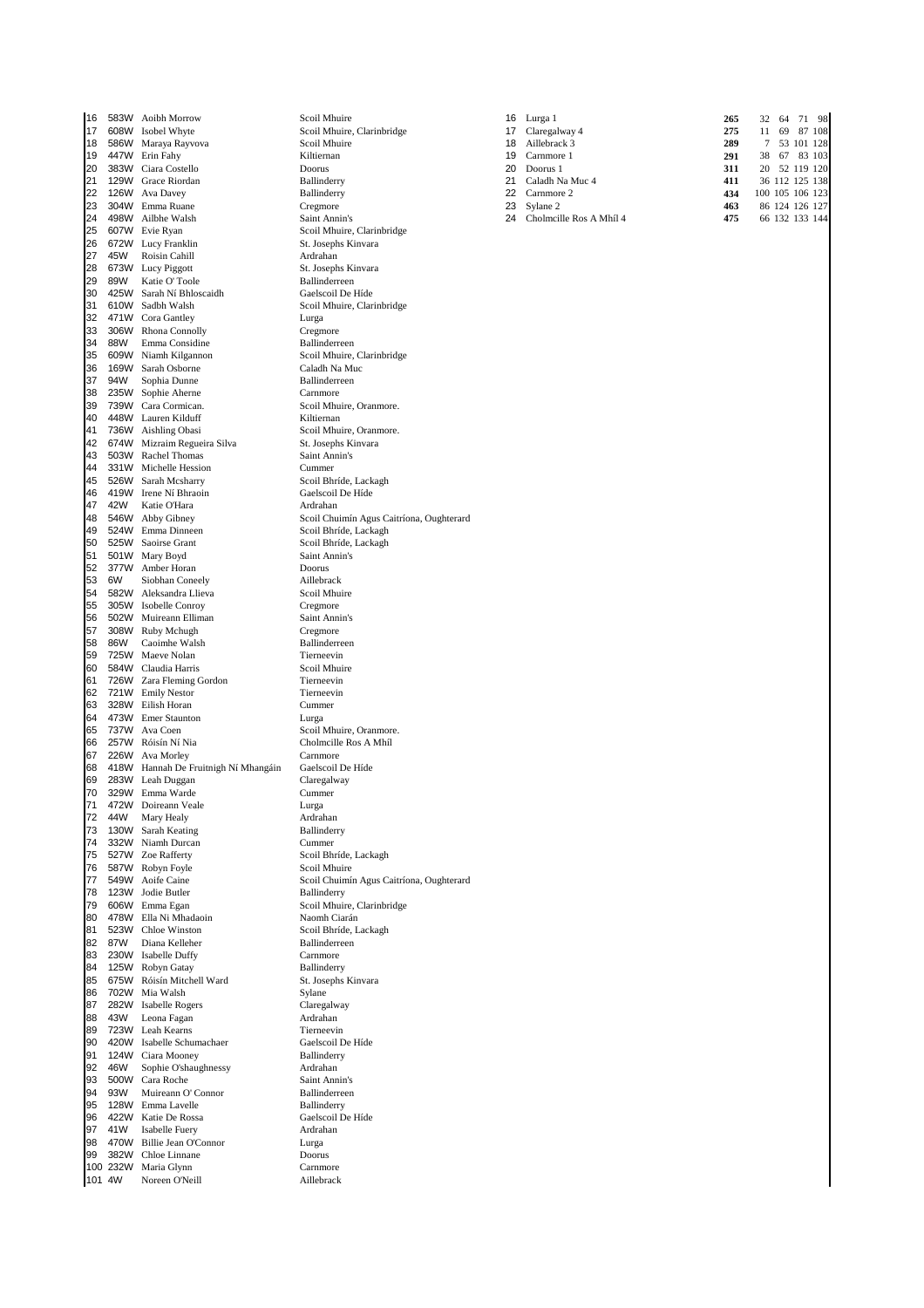16 583W Aoibh Morrow Scoil Mhuire<br>17 608W Isobel Whyte **2008** Scoil Mhuire. 17 608W Isobel Whyte Scoil Mhuire, Clarinbridge 18 586W Maraya Rayvova<br>
18 586W Maraya Rayvova Scoil Mhuire 18 586W Maraya Rayvova Scoil Mhuire 18 Aillebrack 3 **289** 7 53 101 128 19 447W Erin Fahy **Kiltiern**<br>20 383W Ciara Costello **20 2010** Doorus 20 383W Ciara Costello Doorus 20 Doorus 1 **311** 20 52 119 120 22 126W Ava Davey Ballinderry 23 304W Emma Ruane Cregmore Cregmore 24 498W Ailbhe Walsh 25 607W Evie Ryan Scoil Mhuire, Clarinbridge<br>26 672W Lucy Franklin St. Josephs Kinvara 672W Lucy Franklin 27 45W Roisin Cahill **28 Ardrahan**<br>28 673W Lucy Piggott 28 St. Josephs Kinvara 28 673W Lucy Piggott<br>29 673W Lucy Piggott St. Josephs Kinvara<br>29 89W Katie O'Toole Ballinderreen 29 89W Katie O' Toole Ballinderreen 30 425W Sarah Ní Bhloscaidh<br>31 610W Sadbh Walsh 31 610W Sadbh Walsh Scoil Mhuire, Clarinbridge<br>32 471W Cora Gantley Lurga Lurga 32 471W Cora Gantley Lurga<br>33 306W Rhona Connolly Cregmore 306W Rhona Connolly 34 88W Emma Considine<br>35 609W Niamh Kilgannon<br>36 809 Scoil Mhuire Clarinbridge 35 609W Niamh Kilgannon Scoil Mhuire, C<br>36 169W Sarah Osborne Caladh Na Muc 36 169W Sarah Osborne Caladh Na Muc 94W Sophia Dunne<br>235W Sophie Aherne 38 235W Sophie Aherne Carnmore<br>39 739W Cara Cormican. Cool Nh 39 739W Cara Cormican. Scoil Mhuire, Oranmore. 40 448W Lauren Kilduff<br>41 736W Aishling Obasi 42 674W Mizraim Regueira Silva St. Josephs Kinvara<br>43 503W Rachel Thomas 44 503W Rachel Thomas Saint Annin's<br>44 503W Rachel Thomas Saint Annin's<br>44 331W Michelle Hession 44 331W Michelle Hession<br>45 526W Sarah Mcsharry Scoil Bhríde, Lackagh 45 526W Sarah Mcsharry Scoil Bhríde, Lackaghas<br>46 419W Irene Ní Bhraoin Gaelscoil De Híde 46 419W Irene Ní Bhraoin Gaelscoil De Híde 47 42W Katie O'Hara<br>48 546W Abby Gibney 49 524W Emma Dinneen Scoil Bhríde, Lackagh 50 525W Saoirse Grant Scoil Bhríde, Lackagh<br>51 501W Mary Boyd Saint Annin's 501W Mary Boyd 52 377W Amber Horan Doorus Doorus<br>53 6W Siobhan Coneely Aillebrack 53 6W Siobhan Coneely<br>54 582W Aleksandra Llieva<br>54 582W Aleksandra Llieva 54 582W Aleksandra Llieva<br>55 305W Isobelle Conroy Screen Screen Cregmore 55 305W Isobelle Conroy Cregmore 502W Muireann Elliman 57 308W Ruby Mchugh Cregmore 58 86W Caoimhe Walsh Ballinderreen<br>59 725W Maeve Nolan Ballinderreen 59 725W Maeve Nolan Tierneevin 60 584W Claudia Harris Scoil Mhuire 61 726W Zara Fleming Gordon Tierneevin<br>62 721W Emily Nestor Tierneevin 62 721W Emily Nestor Tierneev<br>63 328W Eilish Horan Cummer 328W Eilish Horan 64 473W Emer Staunton Lurga<br>65 737W Ava Coen Scotl Scotl Lurga 65 737W Ava Coen Scoil Mhuire, Oranmore<br>66 257W Róisín Ní Nia Scoil Mhuire, Oranmore. 66 257W Róisín Ní Nia Cholmcille Ros A Mhíl 67 226W Ava Morley Carnmore<br>67 226W Ava Morley Carnmore<br>68 418W Hannah De Fruitnigh Ní Mhangáin Gaelscoil De Híde 68 418W Hannah De Fruitnigh Ní Mhangáin Gaelscoil De  $\frac{69}{283}$  Claregalway From Hamman Pressures Contraction<br>
283W Leah Duggan Claregal<br>
329W Emma Warde Cummer 70 329W Emma Warde Cumm<br>71 472W Doireann Veale Currea Lurga 472W Doireann Veale 12 44W Mary Healy **Ardrahan**<br>13 130W Sarah Keating **Article Rallinderry** 73 130W Sarah Keating 74 332W Niamh Durcan Cummer<br>75 527W Zoe Rafferty Scoil Bh 75 527W Zoe Rafferty<br>76 587W Robyn Foyle Scoil Mhuire 587W Robyn Foyle<br>549W Aoife Caine 77 549W Aoife Caine Scoil Chuimín Agus Caitríona, Oughterard 78 123W Jodie Butler<br>79 606W Emma Egan 80 478W Ella Ni Mhadaoin Naomh Ciarán 81 523W Chloe Winston Scoil Bhríde, Lackagh<br>82 87W Diana Kelleher Ballinderreen 82 87W Diana Kelleher Ballinderre<br>83 230W Isabelle Duffy Carnmore 230W Isabelle Duffy Carnmore<br>125W Robyn Gatay Ballinderry 84 125W Robyn Gatay<br>85 675W Róisín Mitchell Ward St. Josephs Kinvara 85 675W Róisín Mitchell Ward St. Josephs St. Josephs St. Josephs St. Josephs Kingary<br>86 702W Mia Walsh St. Sylane 702W Mia Walsh 87 282W Isabelle Rogers Claregalway 88 43W Leona Fagan **Ardrahan** Ardrahan Ardrahan Ardrahan Ardrahan Ardrahan Ardrahan Ardrahan Ardrahan Ardrahan A 89 723W Leah Kearns<br>
90 420W Isabelle Schumachaer<br>
190 420W Isabelle Schumachaer<br>
190 420W Isabelle Schumachaer 90 420W Isabelle Schumachaer Gaelscoil D<br>91 124W Ciara Mooney Ballinderry 124W Ciara Mooney<br>
124W Ciara Mooney<br>
169W Sophie O'shaughnessy<br>
169W Ardrahan 92 46W Sophie O'shaughnessy Ardrahan<br>93 500W Cara Roche Saint Annin's 93 500W Cara Roche Saint Annin's<br>94 93W Muireann O'Connor Rallinderreen 93W Muireann O' Connor 95 128W Emma Lavelle Ballinderry 96 422W Katie De Rossa Gaelscoil De Híde 97 41W Isabelle Fuery Ardral<br>98 470W Billie Jean O'Connor Lurga 470W Billie Jean O'Connor 99 382W Chloe Linnane Doorus Doorus<br>100 232W Maria Glynn Carnmore 100 232W Maria Glynn Carnmore<br>
101 4W Noreen O'Neill Carl Aillebrack 101 4W Noreen O'Neill

Scoil Mhuire, Oranmore. Scoil Chuimín Agus Caitríona, Oughterard Scoil Mhuire, Clarinbridge

|  | 16 583W Aoibh Morrow   | Scoil Mhuire               | 16 Lurga 1                 | 265 | 32              | 64 71 98       |           |
|--|------------------------|----------------------------|----------------------------|-----|-----------------|----------------|-----------|
|  | 17 608W Isobel Whyte   | Scoil Mhuire, Clarinbridge | 17 Claregalway 4           | 275 | 11              |                | 69 87 108 |
|  | 18 586W Maraya Rayvova | Scoil Mhuire               | 18 Aillebrack 3            | 289 |                 | 7 53 101 128   |           |
|  | 19 447W Erin Fahy      | Kiltiernan                 | 19 Carnmore 1              | 291 | 38              | 67 83 103      |           |
|  | 20 383W Ciara Costello | Doorus                     | 20 Doorus 1                | 311 |                 | 20 52 119 120  |           |
|  | 21 129W Grace Riordan  | Ballinderry                | 21 Caladh Na Muc 4         | 411 |                 | 36 112 125 138 |           |
|  | 22 126W Ava Davey      | Ballinderry                | 22 Carnmore 2              | 434 | 100 105 106 123 |                |           |
|  | 23 304W Emma Ruane     | Cregmore                   | 23 Sylane 2                | 463 |                 | 86 124 126 127 |           |
|  | 24 498W Ailbhe Walsh   | Saint Annin's              | 24 Cholmcille Ros A Mhíl 4 | 475 |                 | 66 132 133 144 |           |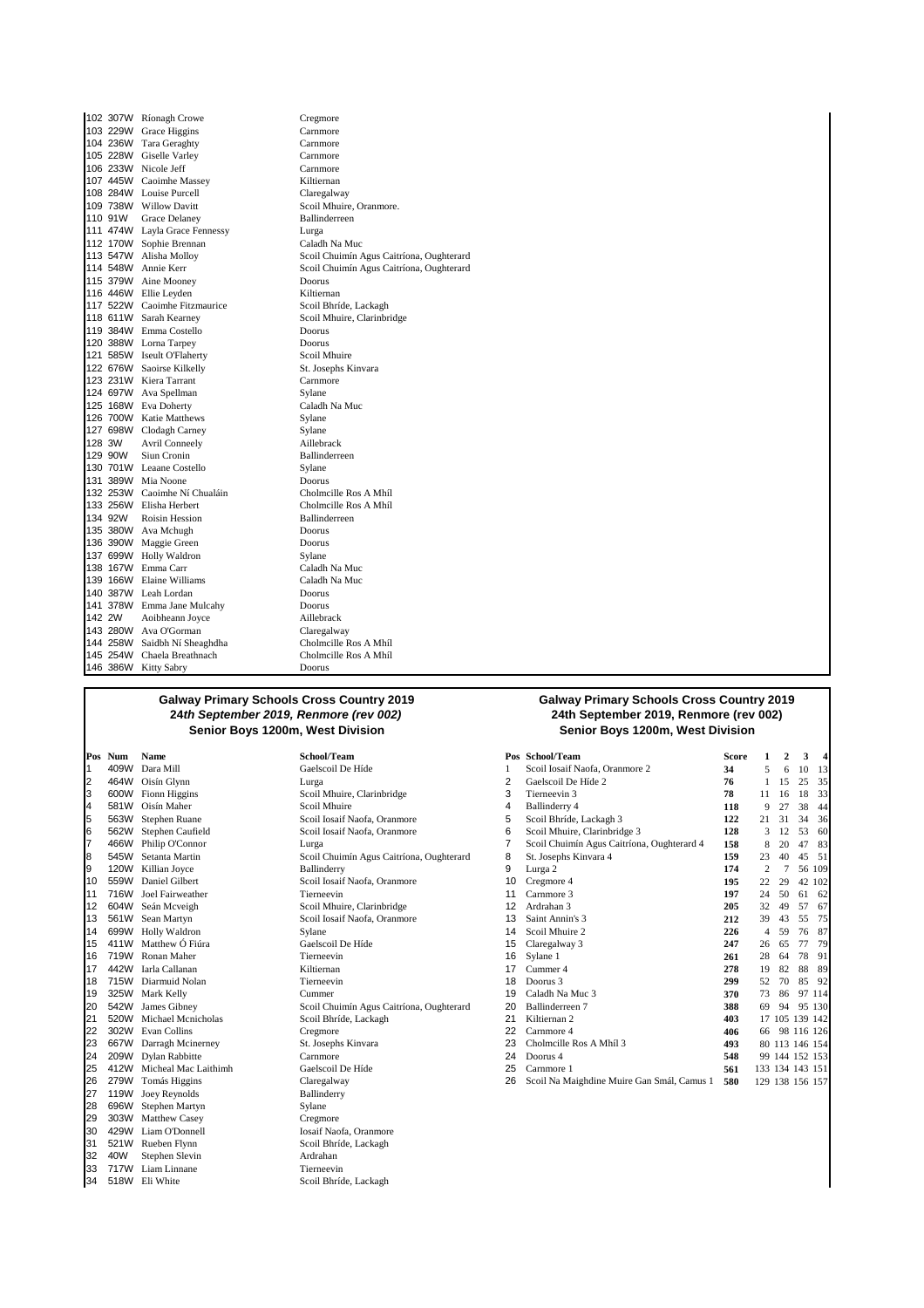|             | 102 307W Ríonagh Crowe        | Cregmore                                 |
|-------------|-------------------------------|------------------------------------------|
|             | 103 229W Grace Higgins        | Carnmore                                 |
|             | 104 236W Tara Geraghty        | Carnmore                                 |
|             | 105 228W Giselle Varley       | Carnmore                                 |
| 106 233W    | Nicole Jeff                   | Carnmore                                 |
|             | 107 445W Caoimhe Massey       | Kiltiernan                               |
|             | 108 284W Louise Purcell       | Claregalway                              |
|             | 109 738W Willow Davitt        | Scoil Mhuire, Oranmore.                  |
| 110 91W     | <b>Grace Delaney</b>          | <b>Ballinderreen</b>                     |
|             | 111 474W Layla Grace Fennessy | Lurga                                    |
|             | 112 170W Sophie Brennan       | Caladh Na Muc                            |
|             | 113 547W Alisha Molloy        | Scoil Chuimín Agus Caitríona, Oughterard |
|             | 114 548W Annie Kerr           | Scoil Chuimín Agus Caitríona, Oughterard |
|             | 115 379W Aine Mooney          | Doorus                                   |
|             | 116 446W Ellie Leyden         | Kiltiernan                               |
|             | 117 522W Caoimhe Fitzmaurice  | Scoil Bhríde, Lackagh                    |
|             | 118 611W Sarah Kearney        | Scoil Mhuire, Clarinbridge               |
|             | 119 384W Emma Costello        | Doorus                                   |
|             | 120 388W Lorna Tarpey         | Doorus                                   |
| 121 585W    | <b>Iseult OFlaherty</b>       | Scoil Mhuire                             |
|             | 122 676W Saoirse Kilkelly     | St. Josephs Kinvara                      |
|             | 123 231W Kiera Tarrant        | Carnmore                                 |
|             | 124 697W Ava Spellman         | Sylane                                   |
|             | 125 168W Eva Doherty          | Caladh Na Muc                            |
|             | 126 700W Katie Matthews       | Sylane                                   |
|             | 127 698W Clodagh Carney       | Sylane                                   |
| 128 3W      | <b>Avril Conneely</b>         | Aillebrack                               |
| 129 90W     | Siun Cronin                   | Ballinderreen                            |
| 130 701W    | Leaane Costello               | Sylane                                   |
|             | 131 389W Mia Noone            | Doorus                                   |
| 132 253W    | Caoimhe Ní Chualáin           | Cholmcille Ros A Mhíl                    |
| 133 256W    | Elisha Herbert                | Cholmcille Ros A Mhíl                    |
| 134 92W     | Roisin Hession                | Ballinderreen                            |
| 135 380W    | Ava Mchugh                    | Doorus                                   |
| 390W<br>136 | Maggie Green                  | Doorus                                   |
| 137 699W    | Holly Waldron                 | Sylane                                   |
| 138 167W    | Emma Carr                     | Caladh Na Muc                            |
| 139 166W    | Elaine Williams               | Caladh Na Muc                            |
| 140 387W    | Leah Lordan                   | Doorus                                   |
| 378W<br>141 | Emma Jane Mulcahy             | Doorus                                   |
| 142 2W      | Aoibheann Joyce               | Aillebrack                               |
| 143 280W    | Ava O'Gorman                  | Claregalway                              |
| 144 258W    | Saidbh Ní Sheaghdha           | Cholmcille Ros A Mhíl                    |
| 145 254W    | Chaela Breathnach             | Cholmcille Ros A Mhíl                    |
|             | 146 386W Kitty Sabry          | Doorus                                   |

2 464W Oisín Glynn<br>
2 600W Fionn Higgins<br>
2 2 26 11 3 600W Fionn Higgins Scoil Mhuire, Clarinbridge<br>4 581W Oisín Maher Scoil Mhuire 4 581W Oisín Maher<br>5 563W Stephen Ruane 5 563W Stephen Ruane Scoil Iosaif Naofa, Oranmore 5 Scoil Bhríde, Lackagh 3 **122** 21 31 34 36 9 120W Killian Joyce **Ballinderry**<br>10 559W Daniel Gilbert **10 2 7 174** 2 8 2 7 8 2 8 2 8 2 8 109 10 559W Daniel Gilbert Scoil Iosaif Naofa, Oranmore 10 Cregmore 4 **195** 22 29 42 102 11 716W Joel Fairweather<br>12 604W Seán Mcveigh 12 604W Seán Mcveigh Scoil Mhuire, Clarinbridge 12 Ardrahan 3 **205** 32 49 57 67 13 561W Sean Martyn Scoil Iosaif Naofa, Oranmore<br>14 699W Holly Waldron Sylane<br>15 411W Matthew Ó Fiúra **2012** Gaelscoil De Híde 16 719W Ronan Maher Tierneevin 16 Sylane 1 **261** 28 64 78 91 17 442W Iarla Callanan Kiltiernan 17 Cummer 4 **278** 19 82 88 89 18 715W Diarmuid Nolan **Tierneev**<br>19 325W Mark Kelly **2 8 200 85 10 86 92 85 92 8 70 86 92 86 93 86 93 86 93 86 93 86 93 86 93 86 93 86 93 86 93 86 93 86 93 86 93 86 93 86 93 86 93 86 94 86 95 86 95 86 95 86 95 86 95 86 95** 19 325W Mark Kelly<br>20 542W James Gibney 21 520W Michael Mcnicholas<br>22 302W Evan Collins 22 302W Evan Collins Cregmore 22 Carnmore 4 **406** 66 98 116 126 23 667W Darragh Mcinerney<br>24 209W Dylan Rabbitte 24 209W Dylan Rabbitte<br>
25 412W Micheal Mac Laithimh<br>
Gaelscoil De Híde 25 412W Micheal Mac Laithimh Gaelscoil De 279W Tomás Higgins Claregalway 26 279W Tomás Higgins Claregalwa<br>27 119W Joey Reynolds Ballinderry 119W Joey Reynolds 28 696W Stephen Martyn Sylane 29 303W Matthew Casey Cregmore<br>30 429W Liam O'Donnell Casaif Naofa Oranmore 30 429W Liam O'Donnell<br>31 521W Rueben Flynn 32 40W Stephen Slevin and Ardrahan Ardrahan Ardrahan Ardrahan Ardrahan Ardrahan Ardrahan Ardrahan Ardrahan Ardr<br>33 717W Liam Linnane **Tierne** 33 717W Liam Linnane<br>34 518W Eli White

#### **Galway Primary Schools Cross Country 2019 24th September 2019, Renmore (rev 002) Senior Boys 1200m, West Division**

|        | Pos Num                       | Name                 | School/Team                              | Pos | School/Team                                | <b>Score</b> |    | $\mathbf{2}$    | 3          | 4      |
|--------|-------------------------------|----------------------|------------------------------------------|-----|--------------------------------------------|--------------|----|-----------------|------------|--------|
|        | 409W                          | Dara Mill            | Gaelscoil De Híde                        |     | Scoil Iosaif Naofa, Oranmore 2             | 34           |    |                 | 10         | 13     |
| 2      | 464W                          | Oisín Glynn          | Lurga                                    |     | Gaelscoil De Híde 2                        | 76           |    | 15              | 25         | 35     |
| 3      | 600W                          | Fionn Higgins        | Scoil Mhuire, Clarinbridge               | 3   | Tierneevin 3                               | 78           | 11 | 16              | 18         | 33     |
| 4      | 581W                          | Oisín Maher          | Scoil Mhuire                             | 4   | Ballinderry 4                              | 118          | 9  | 27              | 38         | 44     |
| 5      | 563W                          | Stephen Ruane        | Scoil Iosaif Naofa, Oranmore             | 5   | Scoil Bhríde, Lackagh 3                    | 122          | 21 | 31              | 34         | 36     |
| 6      | 562W                          | Stephen Caufield     | Scoil Iosaif Naofa, Oranmore             | 6   | Scoil Mhuire, Clarinbridge 3               | 128          | 3  | 12              | 53         | 60     |
|        | 466W                          | Philip O'Connor      | Lurga                                    |     | Scoil Chuimín Agus Caitríona, Oughterard 4 | 158          | 8  | 20              | 47         | 83     |
| 8      | 545W                          | Setanta Martin       | Scoil Chuimín Agus Caitríona, Oughterard | 8   | St. Josephs Kinvara 4                      | 159          | 23 | 40              | 45         | 51     |
| 9      | 120W                          | Killian Joyce        | Ballinderry                              | 9   | Lurga 2                                    | 174          | 2  |                 |            | 56 109 |
| 10     | 559W                          | Daniel Gilbert       | Scoil Iosaif Naofa, Oranmore             | 10  | Cregmore 4                                 | 195          | 22 | 29              | 42 102     |        |
| 11     | 716W                          | Joel Fairweather     | Tierneevin                               | 11  | Carnmore 3                                 | 197          | 24 | 50              | 61         | 62     |
| 12     | 604W                          | Seán Mcveigh         | Scoil Mhuire, Clarinbridge               | 12  | Ardrahan 3                                 | 205          | 32 | 49              | 57         | 67     |
| 13     | 561W                          | Sean Martyn          | Scoil Iosaif Naofa, Oranmore             | 13  | Saint Annin's 3                            | 212          | 39 | 43              | 55         | 75     |
| 14     | 699W                          | Holly Waldron        | Sylane                                   | 14  | Scoil Mhuire 2                             | 226          | 4  | 59              | 76         | 87     |
| 15     | 411W                          | Matthew Ó Fiúra      | Gaelscoil De Híde                        | 15  | Claregalway 3                              | 247          | 26 | 65              | 77         | 79     |
| 16     | 719W                          | Ronan Maher          | Tierneevin                               | 16  | Sylane 1                                   | 261          | 28 | 64              | 78         | 91     |
| 17     | 442W                          | Iarla Callanan       | Kiltiernan                               | 17  | Cummer 4                                   | 278          | 19 | 82              | 88         | 89     |
| 18     | 715W                          | Diarmuid Nolan       | Tierneevin                               | 18  | Doorus 3                                   | 299          | 52 | 70              | 85         | 92     |
| 19     | 325W                          | Mark Kelly           | Cummer                                   | 19  | Caladh Na Muc 3                            | 370          | 73 | 86              | 97 114     |        |
| 20     | 542W                          | James Gibney         | Scoil Chuimín Agus Caitríona, Oughterard | 20  | Ballinderreen 7                            | 388          | 69 | 94              | 95 130     |        |
| 21     | 520W                          | Michael Menicholas   | Scoil Bhríde, Lackagh                    | 21  | Kiltiernan 2                               | 403          |    | 17 105          | 139 142    |        |
| 22     | 302W                          | Evan Collins         | Cregmore                                 | 22  | Carnmore 4                                 | 406          | 66 |                 | 98 116 126 |        |
| 23     | 667W                          | Darragh Mcinerney    | St. Josephs Kinvara                      | 23  | Cholmcille Ros A Mhíl 3                    | 493          |    | 80 113 146 154  |            |        |
| 24     | 209W                          | Dylan Rabbitte       | Carnmore                                 | 24  | Doorus 4                                   | 548          |    | 99 144 152 153  |            |        |
| 25     | 412W                          | Micheal Mac Laithimh | Gaelscoil De Híde                        | 25  | Carnmore 1                                 | 561          |    | 133 134 143 151 |            |        |
| 26     |                               | 279W Tomás Higgins   | Claregalway                              | 26  | Scoil Na Maighdine Muire Gan Smál, Camus 1 | 580          |    | 129 138 156 157 |            |        |
| $\sim$ | $\overline{a}$ $\overline{a}$ |                      |                                          |     |                                            |              |    |                 |            |        |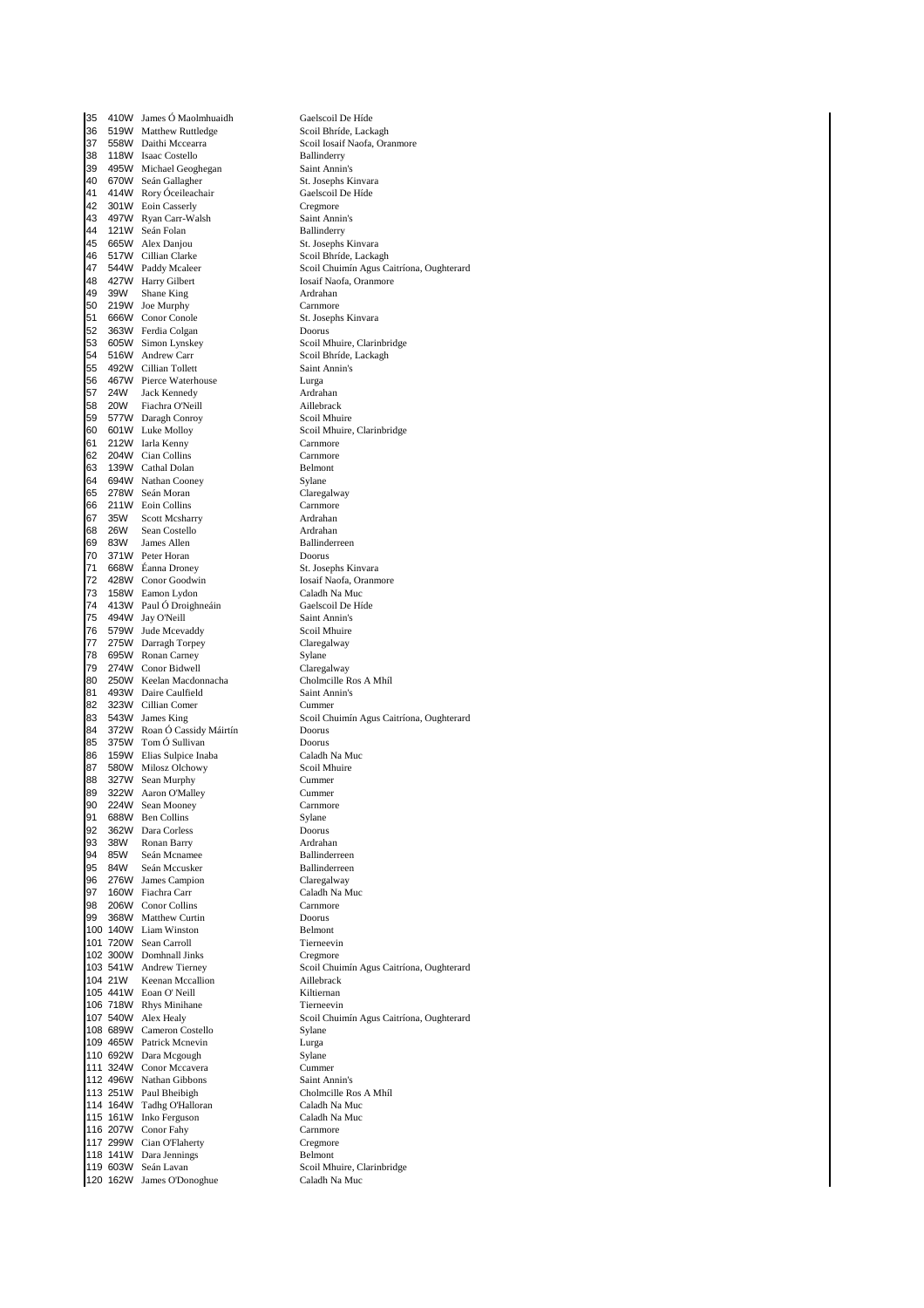35 410W James Ó Maolmhuaidh Gaelscoil De Híde 36 519W Matthew Ruttledge<br>37 558W Daithi Mccearra 37 558W Daithi Mccearra Scoil Iosaif Naofa, Oranmore<br>38 118W Isaac Costello Ballinderry 118W Isaac Costello Ballinderry 39 495W Michael Geoghegan Saint Annin's<br>10 670W Seán Gallagher St. Josephs Kinvara 40 670W Seán Gallagher St. Josephs Kinvar<br>41 414W Rory Óceileachair Gaelscoil De Híde 414W Rory Óceileachair 42 301W Eoin Casserly Cregmore<br>
43 497W Rvan Carr-Walsh Saint Annin's 43 497W Ryan Carr-Walsh Saint Annin<br>14 121W Seán Folan Ballinderry 44 121W Seán Folan **Ballinderry**<br>45 665W Alex Danjou **Ballinderry St. Josephs Kinvara** 665W Alex Danjou 46 517W Cillian Clarke Scoil Bhríde, Lackagh<br>17 544W Paddy Mcaleer Scoil Chuimín Agus Ca 427W Harry Gilbert 49 39W Shane King Ardrahan 50 219W Joe Murphy Carnmore<br>51 666W Conor Conole 51 St. Josephs Kinvara 51 666W Conor Conole St. Joseph St. Joseph St. Joseph St. Joseph St. Joseph St. Joseph St. Joseph St. Joseph St. Joseph St. Joseph St. Joseph St. Joseph St. Joseph St. Joseph St. Joseph St. Joseph St. Joseph St. Joseph St. 363W Ferdia Colgan 53 605W Simon Lynskey Scoil Mhuire, Clarinbridge<br>54 516W Andrew Carr Scoil Bhríde Lackagh 54 516W Andrew Carr Scoil Bhríde, Lackagh<br>55 492W Cillian Tollett Saint Annin's 55 492W Cillian Tollett Saint Annuncular Saint Annuncular Saint Annuncular Saint Annuncular Saint Annuncular S<br>56 492W Cillian Tollett Saint Annuncular Saint Annuncular Saint Annuncular Saint A 56 467W Pierce Waterhouse Lurga 57 24W Jack Kennedy Ardrahan 58 20W Fiachra O'Neill Aillebrack 59 577W Daragh Conroy<br>60 601W Luke Molloy 61 212W Iarla Kenny Carnmore<br>62 204W Cian Collins Carnmore 62 204W Cian Collins Carnmore 139W Cathal Dolan 64 694W Nathan Cooney Sylane e 278W Seán Moran Claregalway Claregalway Claregalway Claregalway Claregalway Claregalway Claregalway Claregalw 66 211W Eoin Collins Carnmore<br>67 35W Scott Mcsharry Carnmore Ardrahan Scott Mcsharry 68 26W Sean Costello Ardrahan 69 83W James Allen Ballinderreen<br>70 371W Peter-Horan Boorus Doorus 371 W Peter Horan Doorus<br>668 W Éanna Droney St. Josephs Kinvara 71 668W Éanna Droney St. Josephs Kinvara 2001 72 428W Conor Goodwin and Iosaif Naofa, Oranmore Iosaif Naofa, Oranmore Iosaif Naofa, Oranmore Iosaif Nao<br>2015 - The Maria Caladh Na Muc 20 158W Eamon Lydon<br>
24 128 1390 Paul Ó Droighneáin<br>
Caelscoil De Híde 74 413W Paul Ó Droighneáin<br>75 494W Jay O'Neill **Gaelscoil Comhannachas ac** Saint Annin's 494W Jay O'Neill 76 579W Jude Mcevaddy Scoil Mhuire<br>77 275W Darragh Torney Scotland Claregalway 27 275W Darragh Torpey Claregalway<br>28 695W Ronan Carney Claregalway 19 78 695W Ronan Carney<br>
19 274W Conor Bidwell<br>
27 274W Conor Bidwell 29 274W Conor Bidwell<br>
20 250W Keelan Macdonnacha<br>
20 250W Keelan Macdonnacha Cholmcille Ros A Mhíl 80 250W Keelan Macdonnacha Cholmcille Rose A Mhíle Rose A Mhíle Rose An Mhíle Rose A Mhíle Rose A Mhíle Rose A Mhíle Rose A Mhíle Rose A Mhíle Rose A Mhíle Rose A Mhíle Rose A Mhíle Rose A Mhíle Rose A Mhíle Rose A Mhíle R 493W Daire Caulfield Saint Ann 323W Cillian Comer Cummer 82 323W Cillian Comer 84 372W Roan Ó Cassidy Máirtín Doorus 375W Tom Ó Sullivan<br>159W Elias Sulpice Inaba Caladh Na Muc 86 159W Elias Sulpice Inaba Caladh Na M<br>87 580W Milosz Olchowy Scoil Mhuire 87 580W Milosz Olchowy<br>88 327W Sean-Murphy Scoil Microsoft Cummer 88 327W Sean Murphy Cummer<br>89 322W Aaron O'Malley Cummer 89 322W Aaron O'Malley Cummer<br>90 224W Sean Mooney Cammore 224W Sean Mooney 91 688W Ben Collins Sylane 92 362W Dara Corless Doorus 93 38W Ronan Barry **Ardrahan**<br>94 85W Seán Mcnamee **Ardrahan** Ballinderreen en 1940 850 94 850 Seán Mcnamee Ballinderreen Ballinderreen Ballinderreen Ballinderreen Ballinderreen Ballinderreen Ballinderreen Ballinderreen Ballinderreen Ballinderreen Ballinderreen Ballinderreen Ballinderreen Ballinde 95 84 Seán Mccusker Ballinderree<br>
185 84 Seán Claregalway<br>
Seán Mccusker Ballinderree 96 276W James Campion Claregalway 97 160W Fiachra Carr Caladh Na Muc 98 206W Conor Collins<br>99 368W Matthew Curtin 99 368W Matthew Curtin Doorus 100 140W Liam Winston Belmont<br>101 720W Sean Carroll Tierneevin 101 720W Sean Carroll Tierneevin<br>
102 300W Domhnall Jinks Cregmore 102 300W Domhnall Jinks<br>103 541W Andrew Tierney 104 21W Keenan Mccallion and Aillebrack<br>105 441W Eoan O'Neill Millebrack 105  $441W$  Eoan O' Neill 106 718W Rhys Minihane Tierneevin 108 689W Cameron Costello Sylane<br>108 689W Cameron Costello Sylane<br>109 465W Patrick Mcnevin Lurga 109 465W Patrick Mcnevin Lurga<br>110 692W Dara Mcgough Sylane 110 692W Dara Mcgough 111 324W Conor Mccavera<br>
112 496W Nathan Gibbons<br>
112 496W Nathan Gibbons 112 496W Nathan Gibbons Saint Annin's 113 251W Paul Bheibigh 114 164W Tadhg O'Halloran Caladh Na Muc 115 161W Inko Ferguson<br>115 161W Inko Ferguson Caladh Na Muc<br>116 207W Conor Fahy Carnmore 116 207W Conor Fahy Carnmore<br>117 299W Cian O'Flaherty Cregmore 117 299W Cian O'Flaherty 118 141W Dara Jennings Belmont 120 162W James O'Donoghue

47 544W Paddy Mcaleer Scoil Chuimín Agus Caitríona, Oughterard<br>
48 427W Harry Gilbert Scoil Chuimín Agus Caitríona, Oughterard Scoil Mhuire, Clarinbridge 83 543W James King Scoil Chuimín Agus Caitríona, Oughterard Scoil Chuimín Agus Caitríona, Oughterard<br>Aillebrack 107 540W Alex Healy **Scoil Chuimín Agus Caitríona**, Oughterard<br>108 689W Cameron Costello **Sylane** Sylane Scoil Mhuire, Clarinbridge<br>Caladh Na Muc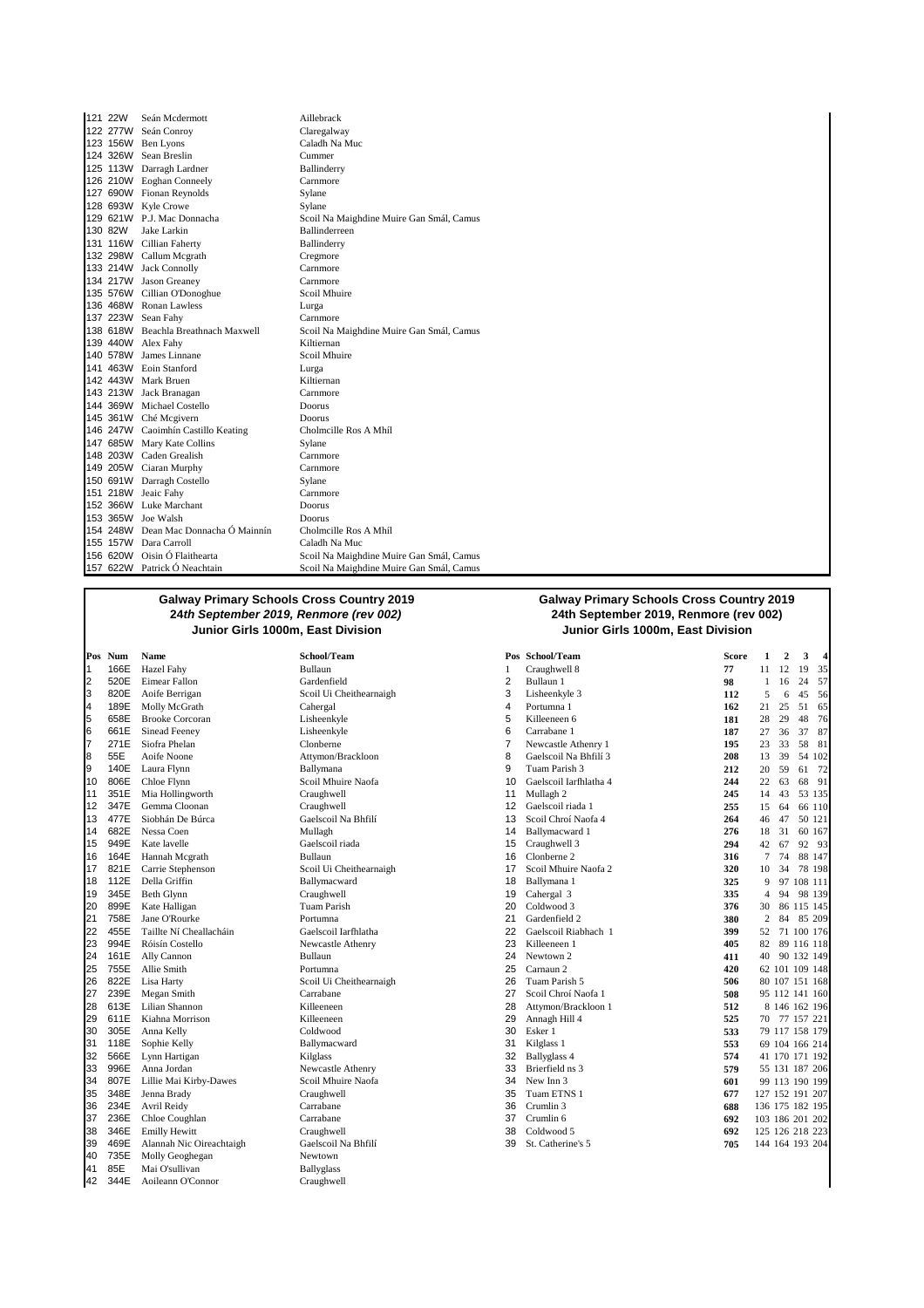| 121 22W | Seán Mcdermott                       | Aillebrack                               |
|---------|--------------------------------------|------------------------------------------|
|         | 122 277W Seán Conroy                 | Claregalway                              |
|         | 123 156W Ben Lyons                   | Caladh Na Muc                            |
|         | 124 326W Sean Breslin                | Cummer                                   |
|         | 125 113W Darragh Lardner             | Ballinderry                              |
|         | 126 210W Eoghan Conneely             | Carnmore                                 |
|         | 127 690W Fionan Reynolds             | Sylane                                   |
|         | 128 693W Kyle Crowe                  | Sylane                                   |
|         | 129 621W P.J. Mac Donnacha           | Scoil Na Maighdine Muire Gan Smál, Camus |
| 130 82W | Jake Larkin                          | Ballinderreen                            |
|         | 131 116W Cillian Faherty             | Ballinderry                              |
|         | 132 298W Callum Mcgrath              | Cregmore                                 |
|         | 133 214W Jack Connolly               | Carnmore                                 |
|         | 134 217W Jason Greaney               | Carnmore                                 |
|         | 135 576W Cillian O'Donoghue          | Scoil Mhuire                             |
|         | 136 468W Ronan Lawless               | Lurga                                    |
|         | 137 223W Sean Fahy                   | Carnmore                                 |
|         | 138 618W Beachla Breathnach Maxwell  | Scoil Na Maighdine Muire Gan Smál, Camus |
|         | 139 440W Alex Fahy                   | Kiltiernan                               |
|         | 140 578W James Linnane               | Scoil Mhuire                             |
|         | 141 463W Eoin Stanford               | Lurga                                    |
|         | 142 443W Mark Bruen                  | Kiltiernan                               |
|         | 143 213W Jack Branagan               | Carnmore                                 |
|         | 144 369W Michael Costello            | Doorus                                   |
|         | 145 361W Ché Mcgivern                | Doorus                                   |
|         | 146 247W Caoimhín Castillo Keating   | Cholmcille Ros A Mhíl                    |
|         | 147 685W Mary Kate Collins           | Sylane                                   |
|         | 148 203W Caden Grealish              | Carnmore                                 |
|         | 149 205W Ciaran Murphy               | Carnmore                                 |
|         | 150 691W Darragh Costello            | Sylane                                   |
|         | 151 218W Jeaic Fahy                  | Carnmore                                 |
|         | 152 366W Luke Marchant               | Doorus                                   |
|         | 153 365W Joe Walsh                   | Doorus                                   |
|         | 154 248W Dean Mac Donnacha Ó Mainnín | Cholmcille Ros A Mhíl                    |
|         | 155 157W Dara Carroll                | Caladh Na Muc                            |
|         | 156 620W Oisin Ó Flaithearta         | Scoil Na Maighdine Muire Gan Smál, Camus |
|         | 157 622W Patrick Ó Neachtain         | Scoil Na Maighdine Muire Gan Smál, Camus |

3 820E Aoife Berrigan Scoil Ui Cheithearnaigh 3 Lisheenkyle 3 **112** 5 6 45 56 8 55E Aoife Noone **Attymon/Brackloon** 8 65E Aoife Noone **Attymon/Brackloon** 8 3 13 477E Siobhán De Búrca **Gaelscoil Na Bhfilí** 14 682E Nessa Coen 17 821E Carrie Stephenson Scoil Ui Cheithearnaigh<br>
18 112E Della Griffin **17 Ballymacward** 22 455E Taillte Ní Cheallacháin Gaelscoil Iarfhlatha<br>23 994E Róisín Costello **1 1 Newcastle** Athenry 26 822E Lisa Harty Scoil Ui Cheithearnaigh<br>27 239E Megan Smith Scoil Ui Cheithearnaigh<br>Carrabane 34 807E Lillie Mai Kirby-Dawes Scoil Mhuire Naofa **35** 348E Jenna Brady **Craughwell** Craughwell 39 469E Alannah Nic Oireachtaigh Gaelscoil Na Bhfilí 39 **39 31 2016** 20 St. Catherine 1<br>39 St. Catherine's St. Catherine's Newtown 40 735E Molly Geoghegan Newtown<br>41 85E Mai O'sullivan Newtown Ballyglass 41 85E Mai O'sullivan Ballyglass<br>42 344E Aoileann O'Connor Craughwell 344E Aoileann O'Connor

#### **Galway Primary Schools Cross Country 2019 24th September 2019, Renmore (rev 002) Junior Girls 1000m, East Division Junior Girls 1000m, East Division**

|    | Pos Num | Name                     | School/Team             |    | Pos School/Team        | <b>Score</b> | 1               | $\overline{2}$ | 3          | 4      |
|----|---------|--------------------------|-------------------------|----|------------------------|--------------|-----------------|----------------|------------|--------|
| 1  | 166E    | Hazel Fahy               | Bullaun                 | 1  | Craughwell 8           | 77           | 11              | 12             | 19         | 35     |
| 2  | 520E    | Eimear Fallon            | Gardenfield             | 2  | Bullaun 1              | 98           | 1               | 16             | 24         | 57     |
| 3  | 820E    | Aoife Berrigan           | Scoil Ui Cheithearnaigh | 3  | Lisheenkyle 3          | 112          | 5               | 6              | 45         | 56     |
| 4  | 189E    | Molly McGrath            | Cahergal                | 4  | Portumna 1             | 162          | 21              | 25             | 51         | 65     |
| 5  | 658E    | <b>Brooke Corcoran</b>   | Lisheenkyle             | 5  | Killeeneen 6           | 181          | 28              | 29             | 48         | 76     |
| 6  | 661E    | Sinead Feeney            | Lisheenkyle             | 6  | Carrabane 1            | 187          | 27              | 36             | 37         | 87     |
| 7  | 271E    | Siofra Phelan            | Clonberne               | 7  | Newcastle Athenry 1    | 195          | 23              | 33             | 58         | 81     |
| 8  | 55E     | Aoife Noone              | Attymon/Brackloon       | 8  | Gaelscoil Na Bhfilí 3  | 208          | 13              | 39             |            | 54 102 |
| 9  | 140E    | Laura Flynn              | Ballymana               | 9  | Tuam Parish 3          | 212          | 20              | 59             | 61         | - 72   |
| 10 | 806E    | Chloe Flynn              | Scoil Mhuire Naofa      | 10 | Gaelscoil Iarfhlatha 4 | 244          | 22              | 63             | 68         | 91     |
| 11 | 351E    | Mia Hollingworth         | Craughwell              | 11 | Mullagh 2              | 245          | 14              | 43             | 53 135     |        |
| 12 | 347E    | Gemma Cloonan            | Craughwell              | 12 | Gaelscoil riada 1      | 255          | 15              | 64             |            | 66 110 |
| 13 | 477E    | Siobhán De Búrca         | Gaelscoil Na Bhfilí     | 13 | Scoil Chroí Naofa 4    | 264          | 46              | 47             | 50 121     |        |
| 14 | 682E    | Nessa Coen               | Mullagh                 | 14 | Ballymacward 1         | 276          | 18              | 31             | 60 167     |        |
| 15 | 949E    | Kate lavelle             | Gaelscoil riada         | 15 | Craughwell 3           | 294          | 42              | 67             |            | 92 93  |
| 16 | 164E    | Hannah Mcgrath           | Bullaun                 | 16 | Clonberne 2            | 316          | 7               | 74             |            | 88 147 |
| 17 | 821E    | Carrie Stephenson        | Scoil Ui Cheithearnaigh | 17 | Scoil Mhuire Naofa 2   | 320          | 10              | 34             |            | 78 198 |
| 18 | 112E    | Della Griffin            | Ballymacward            | 18 | Ballymana 1            | 325          | 9               |                | 97 108 111 |        |
| 19 | 345E    | <b>Beth Glynn</b>        | Craughwell              | 19 | Cahergal 3             | 335          | 4               | 94             |            | 98 139 |
| 20 | 899E    | Kate Halligan            | <b>Tuam Parish</b>      | 20 | Coldwood 3             | 376          | 30              |                | 86 115 145 |        |
| 21 | 758E    | Jane O'Rourke            | Portumna                | 21 | Gardenfield 2          | 380          | $\mathfrak{2}$  | 84             |            | 85 209 |
| 22 | 455E    | Taillte Ní Cheallacháin  | Gaelscoil Iarfhlatha    | 22 | Gaelscoil Riabhach 1   | 399          | 52              | 71             | 100 176    |        |
| 23 | 994E    | Róisín Costello          | Newcastle Athenry       | 23 | Killeeneen 1           | 405          | 82              |                | 89 116 118 |        |
| 24 | 161E    | Ally Cannon              | Bullaun                 | 24 | Newtown 2              | 411          | 40              |                | 90 132 149 |        |
| 25 | 755E    | Allie Smith              | Portumna                | 25 | Carnaun <sub>2</sub>   | 420          |                 | 62 101 109 148 |            |        |
| 26 | 822E    | Lisa Harty               | Scoil Ui Cheithearnaigh | 26 | Tuam Parish 5          | 506          |                 | 80 107 151 168 |            |        |
| 27 | 239E    | Megan Smith              | Carrabane               | 27 | Scoil Chroí Naofa 1    | 508          |                 | 95 112 141 160 |            |        |
| 28 | 613E    | Lilian Shannon           | Killeeneen              | 28 | Attymon/Brackloon 1    | 512          |                 | 8 146 162 196  |            |        |
| 29 | 611E    | Kiahna Morrison          | Killeeneen              | 29 | Annagh Hill 4          | 525          | 70.             | 77             | 157 221    |        |
| 30 | 305E    | Anna Kelly               | Coldwood                | 30 | Esker 1                | 533          |                 | 79 117 158 179 |            |        |
| 31 | 118E    | Sophie Kelly             | Ballymacward            | 31 | Kilglass <sub>1</sub>  | 553          |                 | 69 104 166 214 |            |        |
| 32 | 566E    | Lynn Hartigan            | Kilglass                | 32 | Ballyglass 4           | 574          |                 | 41 170 171 192 |            |        |
| 33 | 996E    | Anna Jordan              | Newcastle Athenry       | 33 | Brierfield ns 3        | 579          |                 | 55 131 187 206 |            |        |
| 34 | 807E    | Lillie Mai Kirby-Dawes   | Scoil Mhuire Naofa      | 34 | New Inn 3              | 601          |                 | 99 113 190 199 |            |        |
| 35 | 348E    | Jenna Brady              | Craughwell              | 35 | Tuam ETNS 1            | 677          | 127 152 191 207 |                |            |        |
| 36 | 234E    | Avril Reidy              | Carrabane               | 36 | Crumlin 3              | 688          | 136 175 182 195 |                |            |        |
| 37 | 236E    | Chloe Coughlan           | Carrabane               | 37 | Crumlin 6              | 692          | 103 186 201 202 |                |            |        |
| 38 | 346E    | <b>Emilly Hewitt</b>     | Craughwell              | 38 | Coldwood 5             | 692          | 125 126 218 223 |                |            |        |
| 39 | 469E    | Alannah Nic Oireachtaigh | Gaelscoil Na Bhfilí     | 39 | St. Catherine's 5      | 705          | 144 164 193 204 |                |            |        |
|    |         |                          |                         |    |                        |              |                 |                |            |        |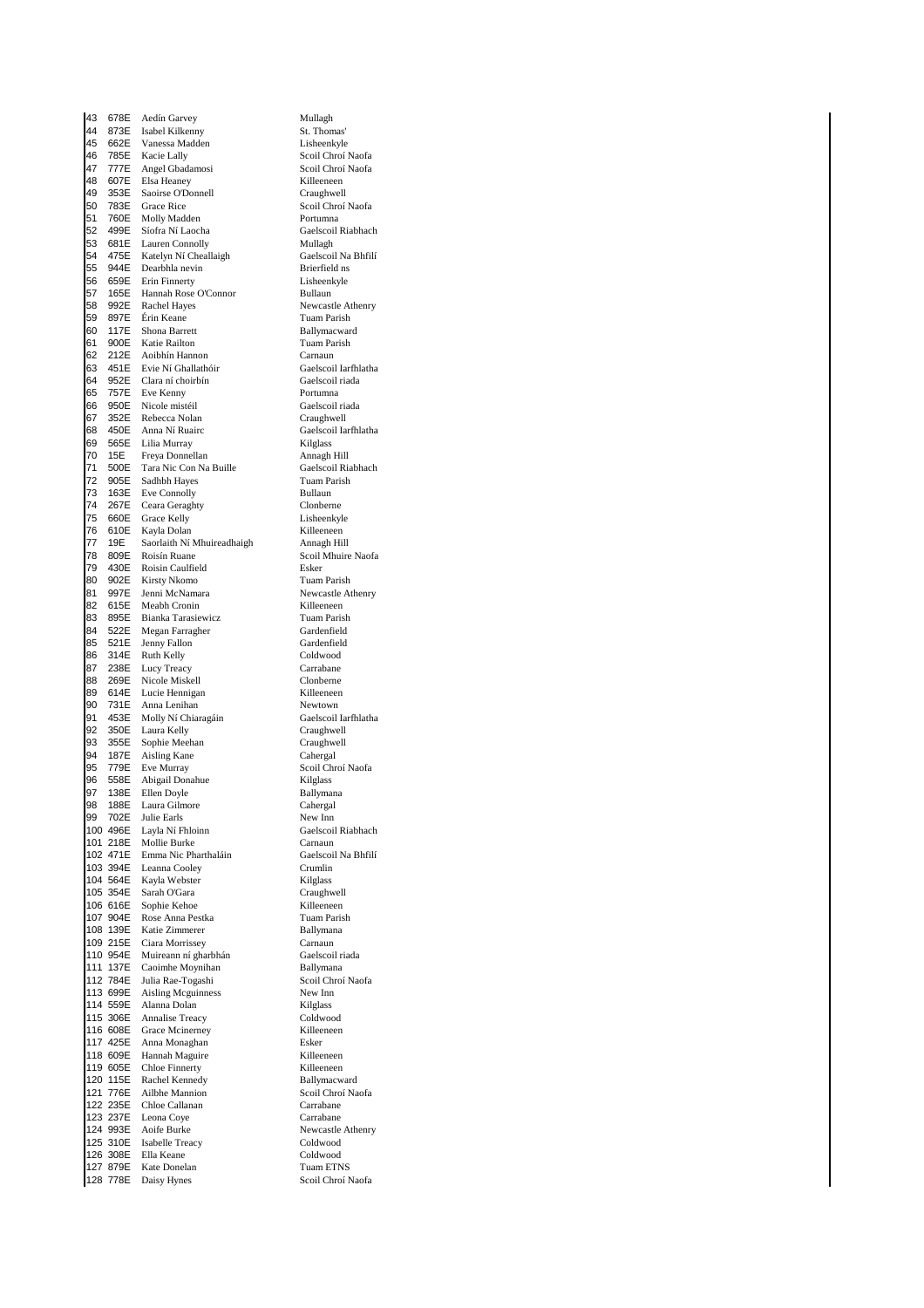43 678E Aedín Garvey **Mullagh** Mullagh<br>44 873E Isabel Kilkenny **1886 St. Thomas** 44 873E Isabel Kilkenny St. Thomas' Vanessa Madden 46 785E Kacie Lally Scoil Chroí Naofa 47 777E Angel Gbadamosi Scoil Chroí Naofa<br>48 607E Elsa Heaney Scoil Chroí Naofa 48 607E Elsa Heaney **Killeeneen**<br>19 353E Saoirse O'Donnell **Killeeneen** Craughwell 353E Saoirse O'Donnell<br>783E Grace Rice 50 783E Grace Rice Scoil Chroí Naofa<br>51 760E Molly Madden State Portumna 51 760E Molly Madden<br>52 499E Síofra Ní Laocha<br>Gaelscoil Riabhach 52 499E Síofra Ní Laocha Gaelscoil Gaelscoil Caelscoil Caelscoil Riabhachasha<br>53 681E Lauren Connolly Mullagh Lauren Connolly 54 475E Katelyn Ní Cheallaigh Gaelscoil Na Bhfilí<br>55 944E Dearbhla nevin Brieffeld ns 55 944E Dearbhla nevin Brierfield ns Erin Finnerty<br>
Hannah Rose O'Connor<br>
Bullaun<br>
Bullaun 57 165E Hannah Rose O'Connor<br>58 992E Rachel Hayes 58 992E Rachel Hayes **Newcastle Athenry**<br>59 897E Érin Keane **New Army Tuam Parish** 59 897E Érin Keane Tuam Parish (1989)<br>59 117E Shona Barrett (1989) Ballymacwar 61 900E Katie Railton Tuam Parish<br>62 212E Acibbín Hannon Carnaun 62 212E Aoibhín Hannon<br>63 451E Evie Ní Ghallathóir Caelscoi 54 1651 - Annan Amilan March (an Faoilleachd an Saelscoil Iarfhlatha)<br>64 952E Clara ní choirbín (aelscoil riada) 64 952E Clara ní choirbín<br>65 757E Eve Kenny 65 757E Eve Kenny<br>66 950E Nicole mistéil Pressent Caelscoil 66 950E Nicole mistéil Gaelscoil riada<br>67 352E Rebecca Nolan Graughwell 67 352E Rebecca Nolan<br>68 450E Anna Ní Ruairc 450E Anna Ní Ruairc<br>565 - Tilia Murray Gaelscoil Iarfhlatha 69 565E Lilia Murray Kilglass 20 2022 Ema Banday Managh Hill<br>70 15E Freya Donnellan Annagh Hill<br>71 500E Tara Nic Con Na Buille (aelscoil Riabhach 500E Tara Nic Con Na Buille Gaelscoil Ria<br>905E Sadhbh Hayes Tuam Parish 72 905E Sadhbh Hayes Tuam Parish Tuam Parish Connelly<br>
73 163E Eve Connolly Bullaun 73 163E Eve Connolly Bullaun<br>74 267E Ceara Geraghty Clonberne 74 267E Ceara Geraghty Clonberne Grace Kelly Lisheenkyle<br>
Kayla Dolan Killeeneen<br>
Saorlaith Ní Mhuireadhaich Annach Hill 76 610E Kayla Dolan Killeeneen 77 19E Saorlaith Ní Mhuireadhaigh Annagh Hill 78 809E Roisín Ruane Scoil Mhuire Naofa<br>79 430E Roisin Caulfield Scoil Esker 79 430E Roisin Caulfield Esker 80 902E Kirsty Nkomo<br>81 997E Jenni McNamara 81 997E Jenni McNamara Newcastle Athenry 82 615E Meabh Cronin Killeeneen Bianka Tarasiewicz 84 522E Megan Farragher Gardenfield<br>85 521E Jenny Fallon Gardenfield 521E Jenny Fallon Gardenfiel<br>
314E Ruth Kelly Goldwood 86 314E Ruth Kelly Coldwood<br>87 238E Lucy Treacy Carrabane 87 238E Lucy Treacy Carrabane<br>
88 269E Nicole Miskell Clonberne 88 269E Nicole Miskell Clonberne 89 614E Lucie-Hennigan Milleeneen Killeeneen<br>90 731E Anna-Lenihan Mewtown Anna Lenihan<br>901 Ni Chiaragáin<br>901 Ni Chiaragáin<br>902 - Gaelscoil Iarfhlatha 91 453E Molly Ní Chiaragáin<br>92 350E Laura Kelly 92 350E Laura Kelly Craughwell<br>
93 355E Sophie Meehan Craughwell external candidates and the control of the caughwell caughwell<br>
94 187E Aisline Kane 94 187E Aisling Kane<br>95 779E Eve Murray e a chronic Chronic Constant Chronic Chronic Chronic Chronic Chronic Chronic Chronic Chronic Chronic Chronic C<br>1961 - San Abigail Donahue Chronic Chronic Chronic Chronic Chronic Chronic Chronic Chronic Chronic Chronic Ch e 1968 96 558 Bolish Bonahue 1968 Stephen Kilglass<br>1979 138 Ellen Doyle 1979 Ballymana 97 138E Ellen Doyle **Ballyman**<br>98 188E Laura Gilmore **Ballyman** I aura Gilmore 99 702E Julie Earls New Inn<br>100 496E Lavia Ní Ehloinn Gaelscoil Riabhach 100 496E Layla Ní Fhloinn<br>101 218E Mollie Burke 101 218E Mollie Burke Carnaun<br>102 471E Emma Nic Pharthaláin Caelscoil Na Bhfilí 102 471E Emma Nic Pharthaláin Gaelscoil Gaelscoil Caelscoil Caelscoil Charles<br>103 394E Leanna Cooley Crumlin 103 394E Leanna Cooley Crumlin<br>104 564E Kayla Webster Kilglass 104 564E Kayla Webster **Kilglass**<br>105 354E Sarah O'Gara **Kayla Kayla Kara** Craughwell 105 354E Sarah O'Gara Craughwell 106 616E Sophie Kehoe Killeeneen<br>107 904E Rose Anna Pestka Kuam Parish 107 904E Rose Anna Pestka<br>108 139E Katie Zimmerer 108 139E Katie Zimmerer Ballymana 109 215E Ciara Morrissey Carnaun 110 954E Muireann ní gharbhán<br>111 137E Caoimhe Moynihan Ballymana 111 137E Caoimhe Moynihan Ballymana<br>112 784E Julia Rae-Togashi Scoil Chroí Naofa 112 784E Julia Rae-Togashi Scoil Chronic Scoil Chronic Scoil Chronic Scoil Chronic Scoil Chronic Scoil Chronic Scoil Chronic Scoil Chronic Scoil Chronic Scoil Chronic Scoil Chronic Scoil Chronic Scoil Chronic Scoil Chronic 113 699E Aisling Mcguinness<br>114 559E Alanna Dolan 114 559E Alanna Dolan Kilglass 115 306E Annalise Treacy Coldwood 116 608E Grace Mcinerney Killeeneen 117 425E Anna Monaghan Esker 118 609E Hannah Maguire **Killeeneen**<br>119 605E Chloe Finnerty **Killeeneen** 119 605E Chloe Finnerty<br>120 115E Rachel Kennedy Ballymacward 120 115E Rachel Kennedy<br>121 776E Ailhbe Mannion Scoil Chroí Naofa Ailbhe Mannion 122 235E Chloe Callanan Carrabane<br>123 237E Leona Cove Carrabane 123 237E Leona Coye Carrabane<br>124 993E Aoife Burke Newcastle 124 993E Aoife Burke Newcastle Athenry<br>125 310E Isabelle Treacy Coldwood 125 310E Isabelle Treacy Coldwood 126 308E Ella Keane Coldwood<br>127 879E Kate Donelan Clump Tuam ETNS 127 Kate Donelan Tuam ETNS<br>127 Baisy Hynes Scoil Chrof Naofa 128 778E Daisy Hynes

Ballymacward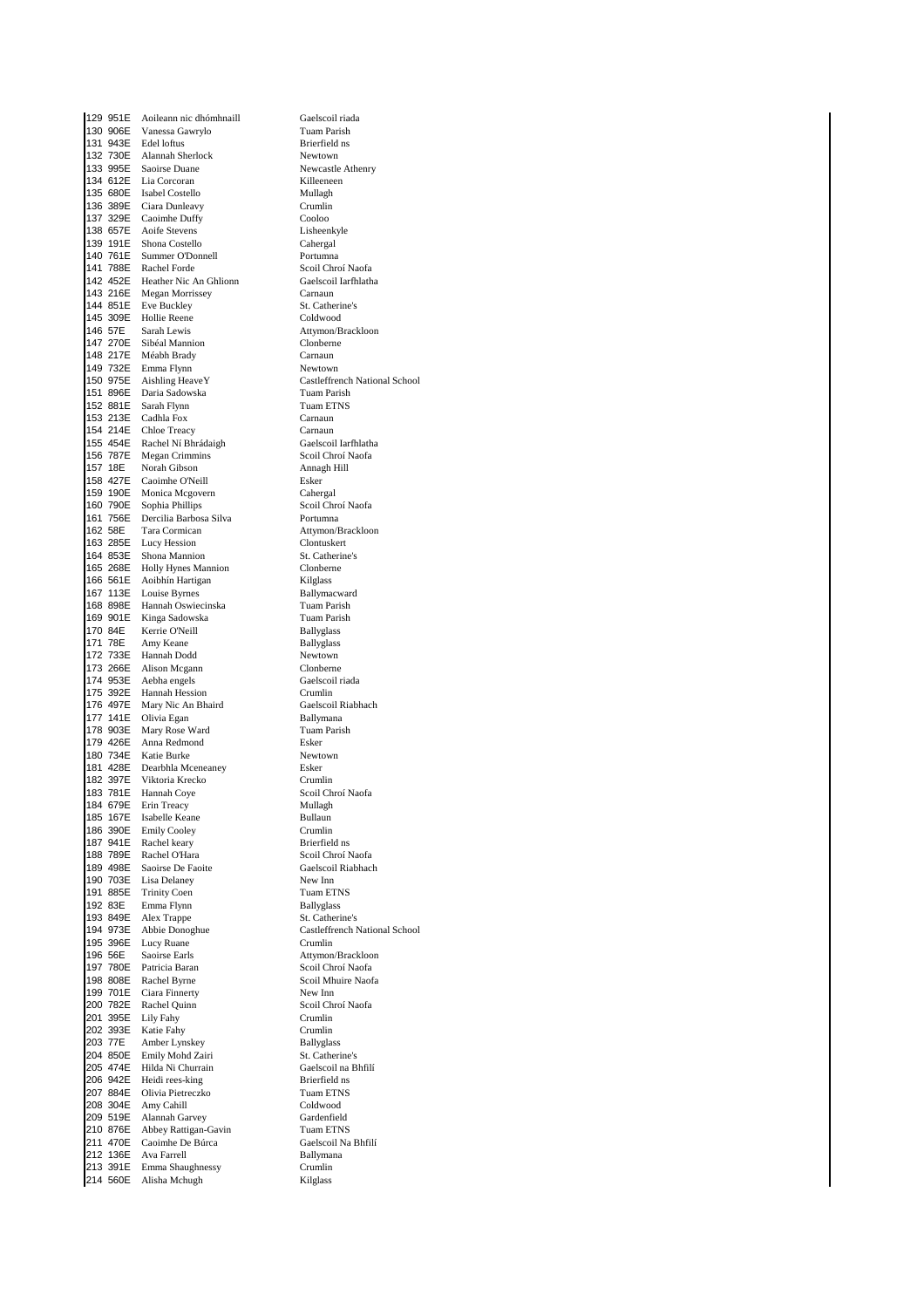129 951E Aoileann nic dhómhnaill Gaelscoil riada<br>130 906E Vanessa Gawrylo Tuam Parish 130 906E Vanessa Gawrylo<br>131 943E Edel loftus 132 730E Alannah Sherlock Newtown 133 995E Saoirse Duane<br>134 612E Lia Corcoran Milleeneen 134 612E Lia Corcoran and Killeene<br>135 680E Isabel Costello 135 Mullagh 135 680E Isabel Costello<br>136 389E Ciara Dunleavy 136 389E Ciara Dunleavy Crumlin<br>137 329E Caoimhe Duffy Cooloo 137 329E Caoimhe Duffy Cooloo Cooloo<br>138 657E Aoife Stevens Lisheenkyle 138 657E Aoife Stevens Lisheenky<br>139 191E Shona Costello Cahergal Shona Costello 140 761E Summer O'Donnell<br>141 788E Rachel Forde 140 761E Summer O'Donnell<br>141 788E Rachel Forde Scoil Chroí Naofa<br>142 452E Heather Nic An Ghlionn Gaelscoil Iarfhlatha 142 452E Heather Nic An Ghlionn<br>143 216E Megan Morrissey 143 216E Megan Morrissey Carnaun<br>144 851E Eve Buckley St. Cathe 144 851E Eve Buckley St. Catherine's<br>
144 851E Eve Buckley St. Catherine's<br>
145 309E Hollie Reene Coldwood 145 309E Hollie Reene<br>146 57E Sarah Lewis 147 270E Sibéal Mannion<br>148 217E Méabh Brady Carnaun 148 217E Méabh Brady Carnaun<br>149 732E Emma Flynn Newtown 149 732E Emma Flynn<br>150 975E Aishling Heave Y 150 975E Aishling Heave Y<br>
150 975E Aishling Heave Y<br>
151 896E Daria Sadowska<br>
151 896E Daria Sadowska<br>
151 896E Daria Sadowska 151 896E Daria Sadowska<br>152 881E Sarah Flynn 152 881E Sarah Flynn Tuam ETNS 153 213E Cadhla Fox Carnaun<br>154 214E Chloe Treacy Carnaun 154 214E Chloe Treacy Carnaun 155 454E Rachel Ní Bhrádaigh<br>155 454E Rachel Ní Bhrádaigh Gaelscoil Iarfhlath<br>156 787E Megan Crimmins Scoil Chroí Naofa 156 787E Megan Crimmins Scoil Chroí Naofa 157 18E Norah Gibson<br>158 427E Caoimhe O'Neil 158 427E Caoimhe O'Neill<br>158 427E Caoimhe O'Neill Esker<br>159 190E Monica Mcgovern Cahergal 159 190E Monica Mcgovern Cahergal<br>160 790E Sophia Phillips Scoil Chroí Naofa 160 790E Sophia Phillips Scoil Chronic Scoil Chronic Scoil Chronic Scoil Chronic Scoil Chronic Scoil Chronic S<br>161 756E Dercilia Barbosa Silva Scotland Scotland Scotland Scotland Scotland Scotland Scotland Scotland Scotl Dercilia Barbosa Silva 162 58E Tara Cormican Attymon/Brackloon<br>163 285E Lucy Hession Clontuskert 163 285E Lucy Hession Clontuskert<br>164 853E Shona Mannion St. Catherin 164 853E Shona Mannion<br>164 853E Shona Mannion St. Catherine's<br>165 268E Holly Hynes Mannion Clonberne 165 268E Holly Hynes Mannion Clonbern<br>166 561E Aoibhín Hartigan Rilelass 166 561E Aoibhín Hartigan<br>167 113E Louise Byrnes Ballymacward 167 113E Louise Byrnes **Ballymacward Ballymacward Ballymacward Ballymacward Ballymacward Ballymacward Ballymacward B** 168 898E Hannah Oswiecinska Tuam Parish Kinga Sadowska 170 84E Kerrie O'Neill Ballyglass<br>171 78E Amy Keane Ballyglass 171 78E Amy Keane<br>172 733E Hannah Dod 172 733E Hannah Dodd<br>173 266E Alison Mcgann<br>Clonberne 173 266E Alison Mcgann Clonberne 174 953E Aebha engels Gaelscoil Gaelscoil Caelscoil Crumlin<br>175 392E Hannah Hession Crumlin 175 392E Hannah Hession Crumlin Mary Nic An Bhaird 177 141E Olivia Egan Ballymana<br>178 903E Mary Rose Ward Ballymana Tuam Parish 178 903E Mary Rose Ward<br>179 426E Anna Redmond 179 426E Anna Redmond Esker 180 734E Katie Burke Newtown Newtown Newtown Newtown Newtown Newtown Newtown Newtown Newtown Newtown Newtown N<br>181 428E Dearbhla Mceneanev Nesker 181 428E Dearbhla Mceneaney Esker<br>182 397E Viktoria Krecko Crumlin 182 397E Viktoria Krecko<br>183 781E Hannah Coye 183 781E Hannah Coye Scoil Chroí Naofa<br>184 679E Erin Treacy Nullagh Erin Treacy 185 167E Isabelle Keane Bullaun<br>186 390E Emily Cooley Bullaun Crumlin 186 390E Emily Cooley Crumlin<br>187 941E Rachel keary Brierfield ns 187 941E Rachel keary<br>188 789E Rachel O'Hara 188 789E Rachel O'Hara Scoil Chroí Naofa<br>189 498E Saoirse De Faoite Gaelscoil Riabhac 189 498E Saoirse De Faoite<br>190 703E Lisa Delaney Gaelscoil Riabhach 190 703E Lisa Delaney New Inn<br>191 885E Trinity Coen Tuam ETNS 191 885E Trinity Coen Tuam ETN<br>192 83E Emma Flynn Ballyglass 192 83E Emma Flynn Ballyglass<br>193 849E Alex Tranne St. Catherine's 193 849E Alex Trappe<br>194 973E Abbie Donog 194 973E Abbie Donoghue Castleffrench National School<br>195 396E Lucy Ruane Castleffrench National School 195 396E Lucy Ruane<br>196 56E Saoirse Earls 196 56E Saoirse Earls<br>197 780E Patricia Baran Attymon/Brackloon<br>Scoil Chroi Naofa 197 780E Patricia Baran Scoil Chroí Naofa<br>198 808E Rachel Byrne Scoil Mhuire Naoi 198 808E Rachel Byrne<br>199 701E Ciara Finnerty<br>199 701E Ciara Finnerty 199 701E Ciara Finnerty<br>200 782E Rachel Quinn 201 395E Lily Fahy Crumlin<br>202 393E Katie Fahy Crumlin 202 393E Katie Fahy Crumlin<br>202 393E Katie Fahy Crumlin<br>203 77E Amber Lynskey Ballyglass 203 77E Amber Lynskey Ballyglass<br>204 850E Emily Mohd Zairi St. Catherine's 204 850E Emily Mohd Zairi St. Catherine's<br>205 474E Hilda Ni Churrain Staelscoil na Bhfilí 205 474E Hilda Ni Churrain Gaelscoil na Gaelscoil na Gaelscoil na Brierfield ns 206 942E Heidi rees-king<br>207 884E Olivia Pietreczko Brier Brussell Tuam ETNS 207 884E Olivia Pietreczko<br>208 304E Amy Cabill 208 304E Amy Cahill Coldwood<br>209 519E Alannah Garvey Cardenfield 209 519E Alannah Garvey Gardenfield<br>210 876E Abbey Rattigan-Gavin Tuam ETNS 210 876E Abbey Rattigan-Gavin<br>210 876E Abbey Rattigan-Gavin Tuam ETNS<br>211 470E Caoimhe De Búrca Gaelscoil Na Bhfilí 211 470E Caoimhe De Búrca Gaelscoil Na Bhaillinn ann an Sealanach Gaelscoil Na Bhaillinn an Am Bhaillinn an Bh Ava Farrell Ballyman<br>
Emma Shaughnessy Crumlin 213 391E Emma Shaughnessy Crumlin<br>213 391E Emma Shaughnessy Crumlin<br>214 560E Alisha Mchugh 214 560E Alisha Mchugh

Brierfield ns Attymon/Brackloon **2001 Chroí Naofa**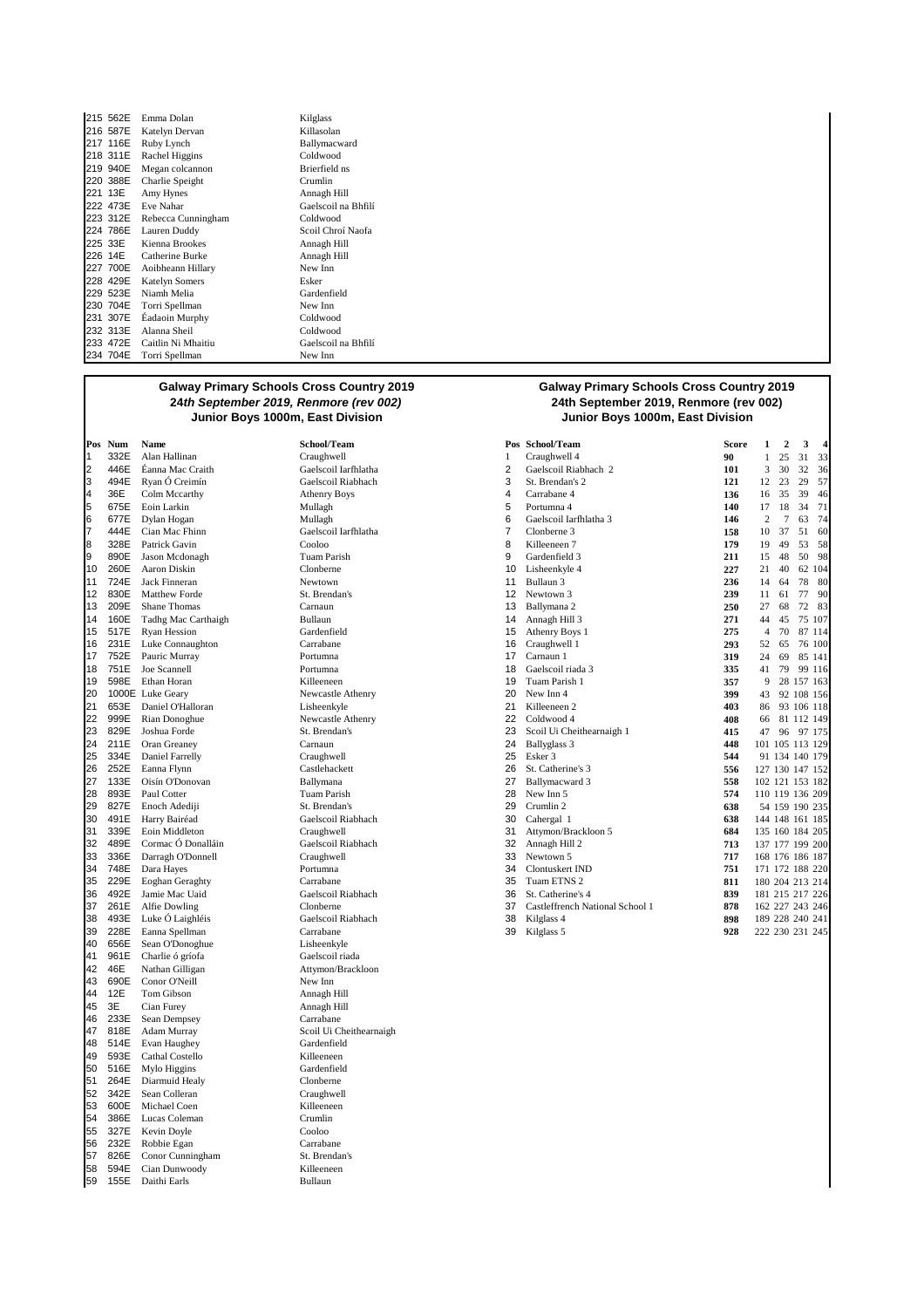|     | 215 562E | Emma Dolan            | Kilglass     |
|-----|----------|-----------------------|--------------|
|     | 216 587E | Katelyn Dervan        | Killasolan   |
|     | 217 116E | Ruby Lynch            | Ballymacwa   |
|     | 218 311E | Rachel Higgins        | Coldwood     |
|     | 219 940E | Megan colcannon       | Brierfield n |
|     | 220 388E | Charlie Speight       | Crumlin      |
|     | 221 13E  | Amy Hynes             | Annagh Hil   |
|     | 222 473E | Eve Nahar             | Gaelscoil na |
|     | 223 312E | Rebecca Cunningham    | Coldwood     |
|     | 224 786E | Lauren Duddy          | Scoil Chroí  |
|     | 225 33E  | Kienna Brookes        | Annagh Hil   |
|     | 226 14E  | Catherine Burke       | Annagh Hil   |
|     | 227 700E | Aoibheann Hillary     | New Inn      |
|     | 228 429E | <b>Katelyn Somers</b> | Esker        |
|     | 229 523E | Niamh Melia           | Gardenfield  |
|     | 230 704E | Torri Spellman        | New Inn      |
| 231 | 307E     | Éadaoin Murphy        | Coldwood     |
|     | 232 313E | Alanna Sheil          | Coldwood     |
|     | 233 472E | Caitlin Ni Mhaitiu    | Gaelscoil na |
|     | 234 704E | Torri Spellman        | New Inn      |

ymacward rfield ns agh Hill lscoil na Bhfilí<br>Iwood 2<br>22 Naofa agh Hill agh Hill scoil na Bhfilí

### **Galway Primary Schools Cross Country 2019 24th September 2019, Renmore (rev 002)**

7 444E Cian Mac Fhinn Gaelscoil Iarfhlatha<br>
728E Patrick Gavin<br>
<sup>2</sup> Cooloo 14 **160E** Tadhg Mac Carthaigh **Bullaun**<br>15 **517E** Ryan Hession **Bull 3 107 11** Gardenfield 16 231E Luke Connaughton Carrabane 16 Craughwell 1 **293** 52 65 76 100 20 1000E Luke Geary **New 21** 21 653E Daniel O'Halloran **1989** 1. Lisheenkyle 21 653E Daniel O'Halloran Lisheenkyle 21 Killeeneen 2 **403** 86 93 106 118 30 491E Harry Bairéad Gaelscoil Riabhach 30 Cahergal 1 **638** 144 148 161 185 36 492E Jamie Mac Uaid<br>37 261E Alfie Dowling Clonberne 38 493E Luke Ó Laighléis Gaelscoil Riabhach 38 Kilglass 4 **898** 189 228 240 241 40 656E Sean O'Donoghue Lisheenkyle<br>41 961E Charlie ó gríofa tha Gaelscoil riada 961 E Charlie ó gríofa<br>46 E Nathan Gilligan 42 46E Nathan Gilligan<br>43 690E Conor O'Neill Mew Inn New Inn 43 690E Conor O'Neill<br>44 12E Tom Gibson 44 12E Tom Gibson Annagh Hill 46 233E Sean Dempsey<br>47 818E Adam Murray 47 818E Adam Murray Scoil Ui Cheithearnaigh 514E Evan Haughey Gardenfield<br>
593E Cathal Costello Killeeneen 49 593E Cathal Costello **Killeeneen**<br>50 516E Mylo Higgins **Cardenfield** 50 516E Mylo Higgins Gardenfield Gardenfield Garden Garden Garden Garden Garden Garden Garden Garden Garden Garden Garden Garden Garden Garden Garden Garden Garden Garden Garden Garden Garden Garden Garden Garden Garden Ga 51 264E Diarmuid Healy<br>52 342E Sean-Colleran Conserved Craughwell Sean Colleran 53 600E Michael Coen Killeeneen 54 386E Lucas Coleman Crumlin<br>55 327E Kevin Dovle Cooloo 55 327E Kevin Doyle Cooloo 232E Robbie Egan Carrabane<br>566 236E Conor Cunningham St. Brendan's 57 826E Conor Cunningham St. Brendan<br>58 594E Cian Dunwoody Killeeneen 58 594E Cian Dunwoody Killeeneen Daithi Earls

Annagh Hill

#### **Galway Primary Schools Cross Country 2019 24th September 2019, Renmore (rev 002) Junior Boys 1000m, East Division Junior Boys 1000m, East Division**

|    | Pos Num | Name                   | School/Team          |                   | Pos School/Team                 | <b>Score</b> | 1              | 2               | 3          |        |
|----|---------|------------------------|----------------------|-------------------|---------------------------------|--------------|----------------|-----------------|------------|--------|
| 1  | 332E    | Alan Hallinan          | Craughwell           | 1                 | Craughwell 4                    | 90           |                | 25              | 31         | 33     |
| 2  | 446E    | Éanna Mac Craith       | Gaelscoil Iarfhlatha | 2                 | Gaelscoil Riabhach 2            | 101          | 3              | 30              | 32         | 36     |
| 3  | 494E    | Ryan Ó Creimín         | Gaelscoil Riabhach   | 3                 | St. Brendan's 2                 | 121          | 12             | 23              | 29         | 57     |
| 4  | 36E     | Colm Mccarthy          | <b>Athenry Boys</b>  | 4                 | Carrabane 4                     | 136          | 16             | 35              | 39         | 46     |
| 5  | 675E    | Eoin Larkin            | Mullagh              | 5                 | Portumna 4                      | 140          | 17             | 18              | 34         | 71     |
| 6  | 677E    | Dylan Hogan            | Mullagh              | 6                 | Gaelscoil Iarfhlatha 3          | 146          | 2              |                 | 63         | 74     |
| 7  | 444E    | Cian Mac Fhinn         | Gaelscoil Iarfhlatha | 7                 | Clonberne 3                     | 158          | 10             | 37              | 51         | 60     |
| 8  | 328E    | Patrick Gavin          | Cooloo               | 8                 | Killeeneen 7                    | 179          | 19             | 49              | 53         | 58     |
| 9  | 890E    | Jason Mcdonagh         | <b>Tuam Parish</b>   | 9                 | Gardenfield 3                   | 211          | 15             | 48              | 50         | -98    |
| 10 | 260E    | Aaron Diskin           | Clonberne            | 10                | Lisheenkyle 4                   | 227          | 21             | 40              |            | 62 104 |
| 11 | 724E    | <b>Jack Finneran</b>   | Newtown              | 11                | Bullaun 3                       | 236          | 14             | 64              | 78         | -80    |
| 12 | 830E    | Matthew Forde          | St. Brendan's        | $12 \overline{ }$ | Newtown 3                       | 239          | 11             | 61              | 77         | -90    |
| 13 | 209E    | <b>Shane Thomas</b>    | Carnaun              | 13                | Ballymana 2                     | 250          | 27             | 68              |            | 72 83  |
| 14 | 160E    | Tadhg Mac Carthaigh    | Bullaun              | 14                | Annagh Hill 3                   | 271          | 44             | 45              |            | 75 107 |
| 15 | 517E    | <b>Ryan Hession</b>    | Gardenfield          | 15                | Athenry Boys 1                  | 275          | $\overline{4}$ | 70              |            | 87 114 |
| 16 | 231E    | Luke Connaughton       | Carrabane            | 16                | Craughwell 1                    | 293          | 52             | 65              |            | 76 100 |
| 17 | 752E    | Pauric Murray          | Portumna             | 17                | Carnaun 1                       | 319          | 24             | 69              |            | 85 141 |
| 18 | 751E    | Joe Scannell           | Portumna             | 18                | Gaelscoil riada 3               | 335          | 41             | 79              |            | 99 116 |
| 19 | 598E    | Ethan Horan            | Killeeneen           | 19                | Tuam Parish 1                   | 357          | 9              |                 | 28 157 163 |        |
| 20 |         | 1000E Luke Geary       | Newcastle Athenry    | 20                | New Inn 4                       | 399          | 43             |                 | 92 108 156 |        |
| 21 | 653E    | Daniel O'Halloran      | Lisheenkyle          | 21                | Killeeneen 2                    | 403          | 86             |                 | 93 106 118 |        |
| 22 | 999E    | Rian Donoghue          | Newcastle Athenry    | 22                | Coldwood 4                      | 408          | 66             |                 | 81 112 149 |        |
| 23 | 829E    | Joshua Forde           | St. Brendan's        | 23                | Scoil Ui Cheithearnaigh 1       | 415          | 47             | 96              | 97 175     |        |
| 24 | 211E    | Oran Greaney           | Carnaun              | 24                | Ballyglass 3                    | 448          |                | 101 105 113 129 |            |        |
| 25 | 334E    | Daniel Farrelly        | Craughwell           | 25                | Esker 3                         | 544          |                | 91 134 140 179  |            |        |
| 26 | 252E    | Eanna Flynn            | Castlehackett        | 26                | St. Catherine's 3               | 556          |                | 127 130 147 152 |            |        |
| 27 | 133E    | Oisín O'Donovan        | Ballymana            | 27                | Ballymacward 3                  | 558          |                | 102 121 153 182 |            |        |
| 28 | 893E    | Paul Cotter            | Tuam Parish          | 28                | New Inn 5                       | 574          |                | 110 119 136 209 |            |        |
| 29 | 827E    | Enoch Adediji          | St. Brendan's        | 29                | Crumlin 2                       | 638          |                | 54 159 190 235  |            |        |
| 30 | 491E    | Harry Bairéad          | Gaelscoil Riabhach   | 30                | Cahergal 1                      | 638          |                | 144 148 161 185 |            |        |
| 31 | 339E    | Eoin Middleton         | Craughwell           | 31                | Attymon/Brackloon 5             | 684          |                | 135 160 184 205 |            |        |
| 32 | 489E    | Cormac Ó Donalláin     | Gaelscoil Riabhach   | 32                | Annagh Hill 2                   | 713          |                | 137 177 199 200 |            |        |
| 33 | 336E    | Darragh O'Donnell      | Craughwell           | 33                | Newtown 5                       | 717          |                | 168 176 186 187 |            |        |
| 34 | 748E    | Dara Hayes             | Portumna             | 34                | <b>Clontuskert IND</b>          | 751          |                | 171 172 188 220 |            |        |
| 35 | 229E    | <b>Eoghan Geraghty</b> | Carrabane            | 35                | Tuam ETNS 2                     | 811          |                | 180 204 213 214 |            |        |
| 36 | 492E    | Jamie Mac Uaid         | Gaelscoil Riabhach   | 36                | St. Catherine's 4               | 839          |                | 181 215 217 226 |            |        |
| 37 | 261E    | Alfie Dowling          | Clonberne            | 37                | Castleffrench National School 1 | 878          |                | 162 227 243 246 |            |        |
| 38 | 493E    | Luke Ó Laighléis       | Gaelscoil Riabhach   | 38                | Kilglass 4                      | 898          |                | 189 228 240 241 |            |        |
| 39 | 228E    | Eanna Spellman         | Carrabane            | 39                | Kilglass 5                      | 928          |                | 222 230 231 245 |            |        |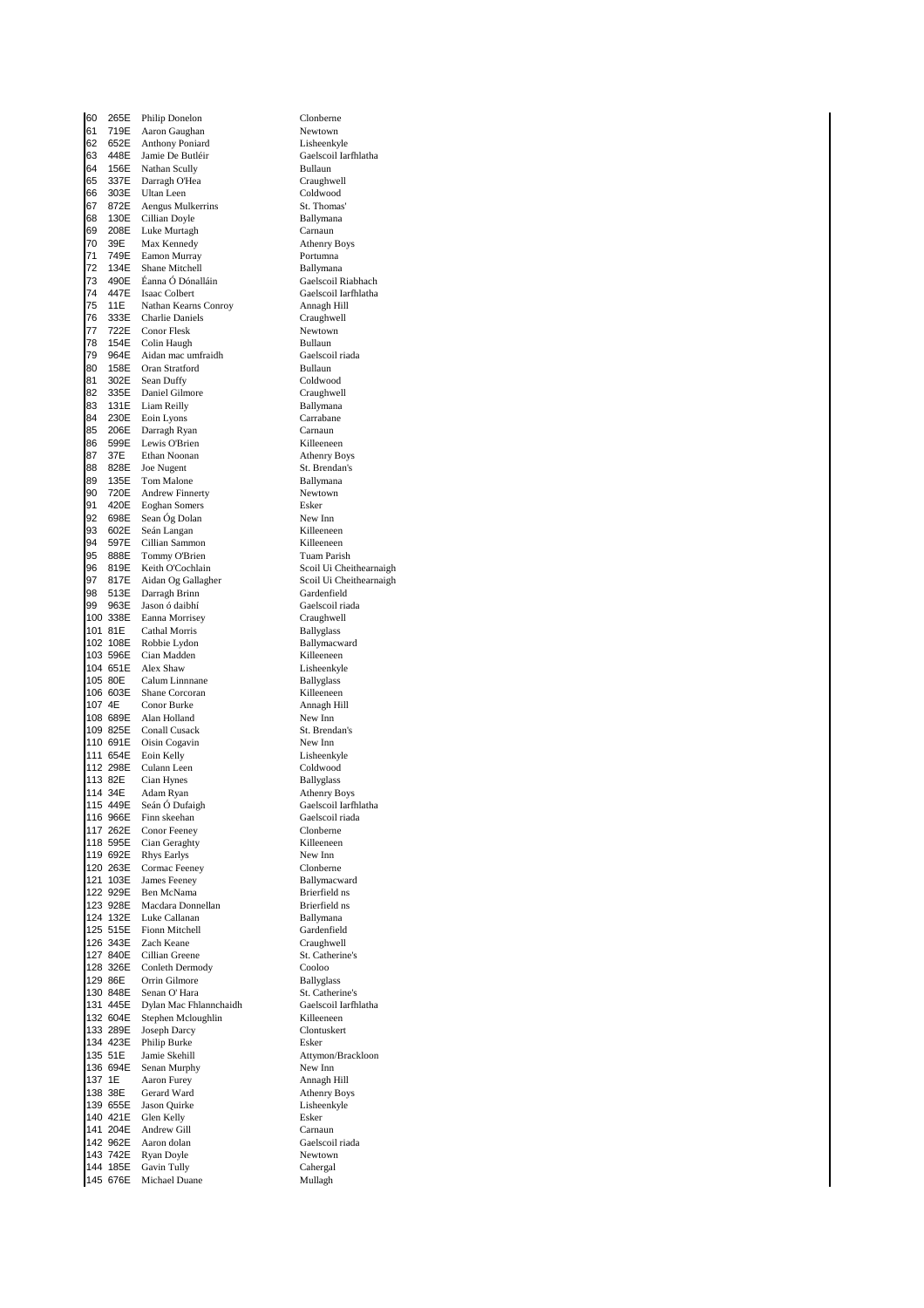60 265E Philip Donelon Clonberne<br>61 719E Aaron Gauehan Newtown 61 719E Aaron Gaughan Newtown<br>62 652E Anthony Poniard Lisheenkyle Anthony Poniard 63 448E Jamie De Butléir Gaelscoil Iarfhlatha 64 156E Nathan Scully Bullaun **65 337E Darragh O'Hea** Craughwell<br>**66 303E Ultan Leen** Coldwood Ultan Leen Coldwood<br>Aengus Mulkerrins St. Thomas 67 872E Aengus Mulkerrins St. Thomas<br>68 130E Cillian Dovle St. Ballymana 68 130E Cillian Doyle<br>68 130E Cillian Doyle Ballyman<br>69 208E Luke Murtagh Ballyman e 1998 69 208 Euke Murtagh Carnaun<br>1995 - The Max Kennedy Carnaun Athenry Boys Max Kennedy 21 749E Eamon Murray **Portumna**<br>22 134E Shane Mitchell **Rallymans 72 134E** Shane Mitchell **Ballymana**<br>**73 490E** Éanna Ó Dónalláin **Ballymana** Gaelscoil I 14 147 Isaac Colbert (Gaelscoil Iarfhlatha 15 16 16)<br>15 11 E Nathan Kearns Conroy (Annagh Hill 75 11E Nathan Kearns Conroy Annagh Hill **76 333E Charlie Daniels Craughweill Craughweill**<br>**77 722E Conor Flesk** Newtown 722E Conor Flesk<br>154E Colin Haugh<br>964E Aidan mac u **78 154E Colin Haugh Bullaun**<br>**79 964E Aidan mac umfraidh Bullaun Gaelscoil riada** 79 964E Aidan mac umfraidh Caelscoil Gaelscoil ann an t-80 158E Oran Stratford Bullaun 302E Sean Duffy Coldwood<br>335E Daniel Gilmore Craughwell 82 335E Daniel Gilmore<br>83 131E Liam Reilly Ballymana 83 131E Liam Reilly Ballymana<br>84 230E Eoin Lyons Carrabane 84 230E Eoin Lyons Carraban<br>85 206E Darragh Ryan Carnaun Darragh Ryan 86 599E Lewis O'Brien **Killeeneen**<br>87 37E Ethan Noonan Athenry Boys 87 37E Ethan Noonan<br>88 828E Joe Nugent 828E Joe Nugent St. Brendan's<br>135E Tom Malone Ballymana 89 135E Tom Malone Ballymana<br>90 720E Andrew Finnerty Bewtown 90 720E Andrew Finnerty<br>91 420E Eoghan Somers Sesker 91 420E Eoghan Somers<br>92 698E Sean Óg Dolan New Inn Sean Óg Dolan 93 602E Seán Langan Killeeneen 94 597E Cillian Sammon Killeeneen 95 888E Tommy O'Brien<br>96 819E Keith O'Cochlain 96 819E Keith O'Cochlain Scoil Ui Cheithearnaigh er Man (1997)<br>1971 - Scoil Ui Cheithearnaigh<br>1981 - Sardenfield Gardenfield e 1398 513 - Santa Brinn Gardenfield<br>1991 - Santa Garden, Santa Gaelscoil riada<br>1991 - Gaelscoil riada 99 963E Jason ó daibhí Gaelscoil riadachta<br>100 338E Eanna Morrisey Craughwell Eanna Morrisey 101 81E Cathal Morris Ballyglass<br>
102 108E Robbie Lydon Ballymacw 102 108E Robbie Lydon<br>103 596E Cian Madden Ballymacward<br>Killeeneen 103 596E Cian Madden<br>104 651E Alex Shaw 104 651E Alex Shaw Lisheenkyle<br>
105 80E Calum Linnnane Ballyglass 105 80E Calum Linnnane Ballyglass<br>106 603E Shane Corcoran Killeeneer 106 603E Shane Corcoran 107 4E Conor Burke 107 4E 107 4E Conor Burke<br>108 689E Alan Holland 108 689E Alan Holland New Inn<br>109 825E Conall Cusack St Brenc 109 825E Conall Cusack St. Brendan's<br>110 691E Oisin Cogavin New Inn 110 691E Oisin Cogavin<br>
111 654E Eoin Kelly<br>
Lisheenk 111 654E Eoin Kelly Lisheenkyle 112 298E Culann Leen Coldwood<br>113 82E Cian Hynes Ballyglass 113 82E Cian Hynes<br>114 34E Adam Ryan 114 34E Adam Ryan **Athenry Boys**<br>115 449E Seán Ó Dufaigh Caelscoil Iarf 115 449E Seán Ó Dufaigh Gaelscoil Iarfhlatha<br>116 966E Einn skeeban Gaelscoil riada 116 966E Finn skeehan Gaelscoil riada<br>117 262E Conor Feeney Glonberne Clonberne 117 262E Conor Feeney Clonberne 118 595E Cian Geraghty Killeeneen 119 692E Rhys Earlys New Inn<br>120 263E Cormac Feeney Clonberne 120 263E Cormac Feeney Clonberne<br>121 103E James Feeney Ballymacward 121 103E James Feeney<br>
122 929E Ben McNama<br>
122 929E Ben McNama 122 929E Ben McNama<br>123 928E Macdara Donnellan Brierfield ns 123 928E Macdara Donnellan<br>124 132E Luke Callanan 124 132E Luke Callanan Ballymana<br>125 515E Fionn Mitchell **Ballymana** Gardenfield 125 515E Fionn Mitchell Gardenfield<br>126 343E Zach Keane Craughwell 126 343E Zach Keane Craughwell<br>127 840E Cillian Greene St. Catherine's 127 840E Cillian Greene St. Catherine St. Catherine<br>128 326E Conleth Dermody Cooloo 128 326E Conleth Dermody Cooloo 129 86E Orrin Gilmore Ballyglass 130 848E Senan O' Hara St. Catherine's<br>131 445E Dylan Mac Ehlannchaidh Gaelscoil Iarthlatha Dylan Mac Fhlannchaidh 132 604E Stephen Mcloughlin Killeeneen<br>133 289E Joseph Darcy Clontuskert 133 289E Joseph Darcy<br>134 423E Philip Burke<br>Esker 134 423E Philip Burke<br>135 51E Jamie Skehill 135 51E Jamie Skehill Attymon/Brackloon<br>136 694E Senan Murphy New Inn 136 694E Senan Murphy New Inn 137 1E Aaron Furey<br>138 38E Gerard Ward 139 655E Jason Quirke Lisheenkyle 140 421E Glen Kelly Baker<br>141 204E Andrew Gill Carnaun  $141$  204E Andrew Gill<br> $142$  962E Aaron dolan erandrik 142 962E - Aaron dolan daar - Gaelscoil riada<br>143 742E - Ryan Doyle - Gaelscoil - Newtown 143 742E Ryan Doyle<br>144 185E Gavin Tully Cahergal 144 Gavin Tully Cahergal<br>
144 Michael Duane Mullagh 145 676E Michael Duane

73 490E Éanna Ó Dónalláin Gaelscoil Riabhach Athenry Boys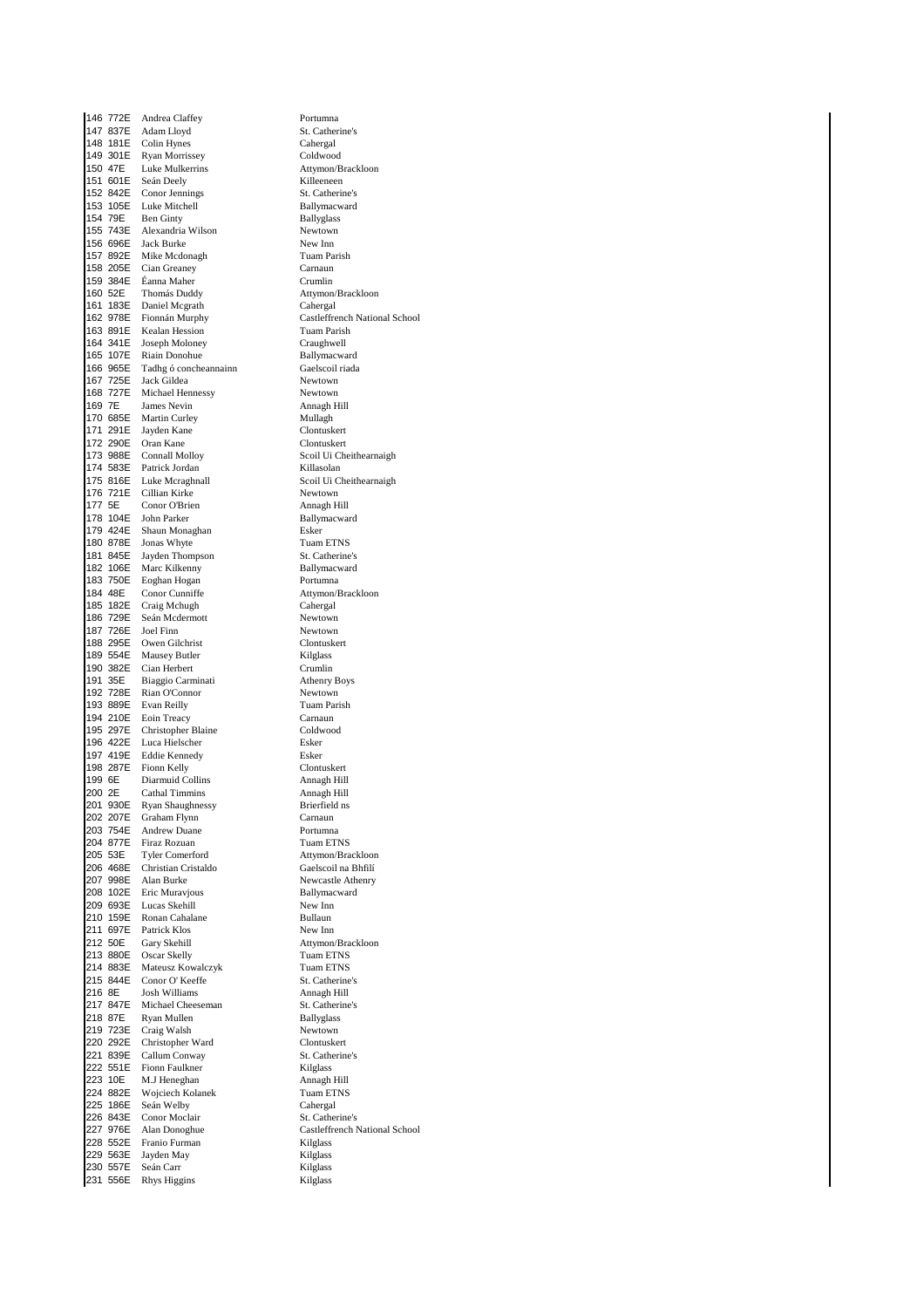146 772E Andrea Claffey<br>147 837E Adam Llovd St. Cather 147 837E Adam Lloyd St. Catherine's<br>148 181E Colin Hynes Cahergal Colin Hynes 149 301E Ryan Morrissey Coldwood 150 47E Luke Mulkerrins **Attymon/Brackloon**<br>151 601E Seán Deely **Attended** Killeeneen 151 601E Seán Deely<br>152 842E Conor Jennings St. Catheri 152 842E Conor Jennings<br>153 105E Luke Mitchell Ballymacward 153 105E Luke Mitchell Ballymacy<br>154 79E Ben Ginty Ballyglass 154 79E Ben Ginty Ballyglass 155 743E Alexandria Wilson Newtown 156 696E 157 892E Mike Mcdonagh Tuam Parish<br>158 205E Cian Greaney The Carnaun 158 205E Cian Greaney Carnaun<br>159 384E Éanna Maher Crumlin 159 384E Éanna Maher<br>160 52E Thomás Dudd 160 52E Thomás Duddy **Attymon/Brackloon**<br>161 183E Daniel Mcgrath **Attick** Cahergal 161 183E Daniel Mcgrath Cahergal<br>162 978E Fionnán Murphy Castleffre 162 978E Fionnán Murphy Castleffrench National School Kealan Hession 164 341E Joseph Moloney Craughwell<br>165 107E Bisin Dopohue Rallymacwa 165 107E Riain Donohue Ballymacward<br>166 965E Tadhg ó concheannainn Gaelscoil riada 166 Tadhg ó concheannainn<br>
1665 - Gaelscoil Rock Gildea 167 725E<br>168 727E 168 727E Michael Hennessy Newtown<br>169 7E James Nevin Annagh H 169 7E James Nevin **Annagh Hill**<br>170 685E Martin Curley **Mullagh** Mullagh 170 685E Martin Curley Mullagh Mullagh<br>171 291E Jayden Kane Mullagh Clontuskert 171 291 $E$  Jayden Kane 172 290E Oran Kane Clontuskert<br>173 988E Connall Mollov Scoil Ui Che 173 988E Connall Molloy<br>173 988E Connall Molloy Scoil Ui Cheithearnaigh<br>174 583E Patrick Jordan Nillasolan Killasolan 174 583E Patrick Jordan<br>175 816E Luke Mcraghnall 175 816E Luke Mcraghnall 175 816E Luke Mcraghnall 176 816E Luke Mcraghnall 176 721E Cillian Kirke 176 721E Cillian Kirke Newtown<br>177 5E Conor O'Brien Mannagh Hill 177 5E Conor O'Brien<br>178 104E John Parker 179 424E Shaun Monaghan<br>180 878E Ionas Whyte 180 878E Jonas Whyte Tuam ETNS 181 845E Jayden Thompson<br>182 106E Marc Kilkenny Sallymacward 182 106E Marc Kilkenny Ballymacward 183 750E Eoghan Hogan<br>184 48E Conor Cunniffe 184 48E Conor Cunniffe<br>185 182E Craig Mchugh Cahergal Cahergal 185 182E Craig Mchugh Cahergal<br>186 729E Seán Mcdermott Chevrown Seán Mcdermott 187 726E Joel Finn<br>188 295E Owen Gilchrist Newtown Clontuske 188 295E Owen Gilchrist Clontuskert<br>189 554E Mausey Butler Clontuskert Kilglass 189 554E Mausey Butler **Kilglass**<br>190 382E Cian Herbert **Crumlin** 190 382E Cian Herbert Crumlin<br>190 382E Cian Herbert Crumlin<br>191 35E Biaggio Carminati Athenry Boys 191 35E Biaggio Carminati Athenry Boys 192 728E Rian O'Connor<br>193 889E Evan Reilly 194 210E Eoin Treacy Carnaun<br>195 297E Christopher Blaine Coldwood 195 297E Christopher Blaine<br>196 422E Luca Hielscher 196 422E Luca Hielscher Esker<br>197 419E Eddie Kennedy Esker 197 419E Eddie Kennedy Esker 198 287E Fionn Kelly **Clontuskert**<br>199 6E Diarmuid Collins **Cloud Annagh Hill** 199 6E Diarmuid Collins<br>
200 2E Cathal Timmins<br>
200 2E Cathal Timmins<br>
200 2E Cathal Timmins 200 2E Cathal Timmins Annagh Hill<br>201 930E Byan Shaughnessy Rejection 201 930E Ryan Shaughnessy<br>202 207E Graham Flynn 202 207E Graham Flynn Carnaun Carnaun<br>203 754E Andrew Duane Carl Portumns 203 754E Andrew Duane Portumna<br>204 877E Firaz Rozuan Pruam ETNS 204 877E Firaz Rozuan<br>205 53E Tyler Comerford 205 53E Tyler Comerford Attymon/Brackloon<br>206 468E Christian Cristaldo Gaelscoil na Bhfilí 206 468E Christian Cristaldo<br>207 998E Alan Burke 207 998E Alan Burke Newcastle Athenry<br>208 102E Eric Muravjous Newcastle Ballymacward 208 102E Eric Muravjous Ballymac<br>209 693E Lucas Skebill New Inn 209 693E Lucas Skehill New Inn New Inn New Inn New Inn New Inn New Inn New Inn New Inn New Inn New Inn New Inn New Inn New Inn New Inn New Inn New Inn New Inn New Inn New Inn New Inn New Inn New Inn New Inn New Inn New Inn 210 159E Ronan Cahalane<br>211 697E Patrick Klos 211 697E Patrick Klos New Inn<br>212 50E Gary Skehill Attymon 212 50E Gary Skehill **Attymon/Brackloon**<br>213 880E Oscar Skelly **Attymon/Brackloon** 213 880E Oscar Skelly Tuam ETNS<br>214 883E Mateusz Kowalczyk Tuam ETNS 214 883E Mateusz Kowalczyk Tuam ETNS<br>215 844E Conor O'Keeffe St. Catherine's 215 844E Conor O' Keeffe St. Catherine<br>
216 8E Josh Williams Annach Hill 216 8E Josh Williams Annagh Hill<br>217 847E Michael Cheeseman St. Catherine's Michael Cheeseman 218 87E Ryan Mullen Ballyglass<br>219 723E Craig Walsh Newtown 219 723E Craig Walsh Newtown<br>220 292E Christopher Ward Clontuskert 220 292E Christopher Ward Clontuskert<br>221 839E Callum Conway St. Catherine's 221 839E Callum Conway St. Catherine St. Catherine<br>222 551E Fionn Faulkner Kilglass 222 551E Fionn Faulkner<br>223 10E M.J Heneghan Managh Hill 223 10E M.J Heneghan Annagh Hill<br>224 882E Woiciech Kolanek Annagh Hill Wojciech Kolanek 225 186E Seán Welby Cahergal<br>226 843E Conor Moclair St. Catherine's 226 843E Conor Moclair<br>227 976E Alan Donoghue 227 976E Alan Donoghue Castleffrench National School<br>228 552E Franio Furman Kilglass 228 552E Franio Furman<br>229 563E Jayden May 229 563E Jayden May Kilglass 230 Seán Carr (Kilglass (Kilglass (Kilglass (Kilglass (Kilglass (Kilglass (Kilglass (Kilglass (Kilglass (Kilglass (Kilglass (Kilglass (Kilglass (Kilglass (Kilglass (Kilglass (Kilglass (Kilglass (Kilglass (Kilglass (Kilglas 231 556E Rhys Higgins

Ballymacward Tuam Parish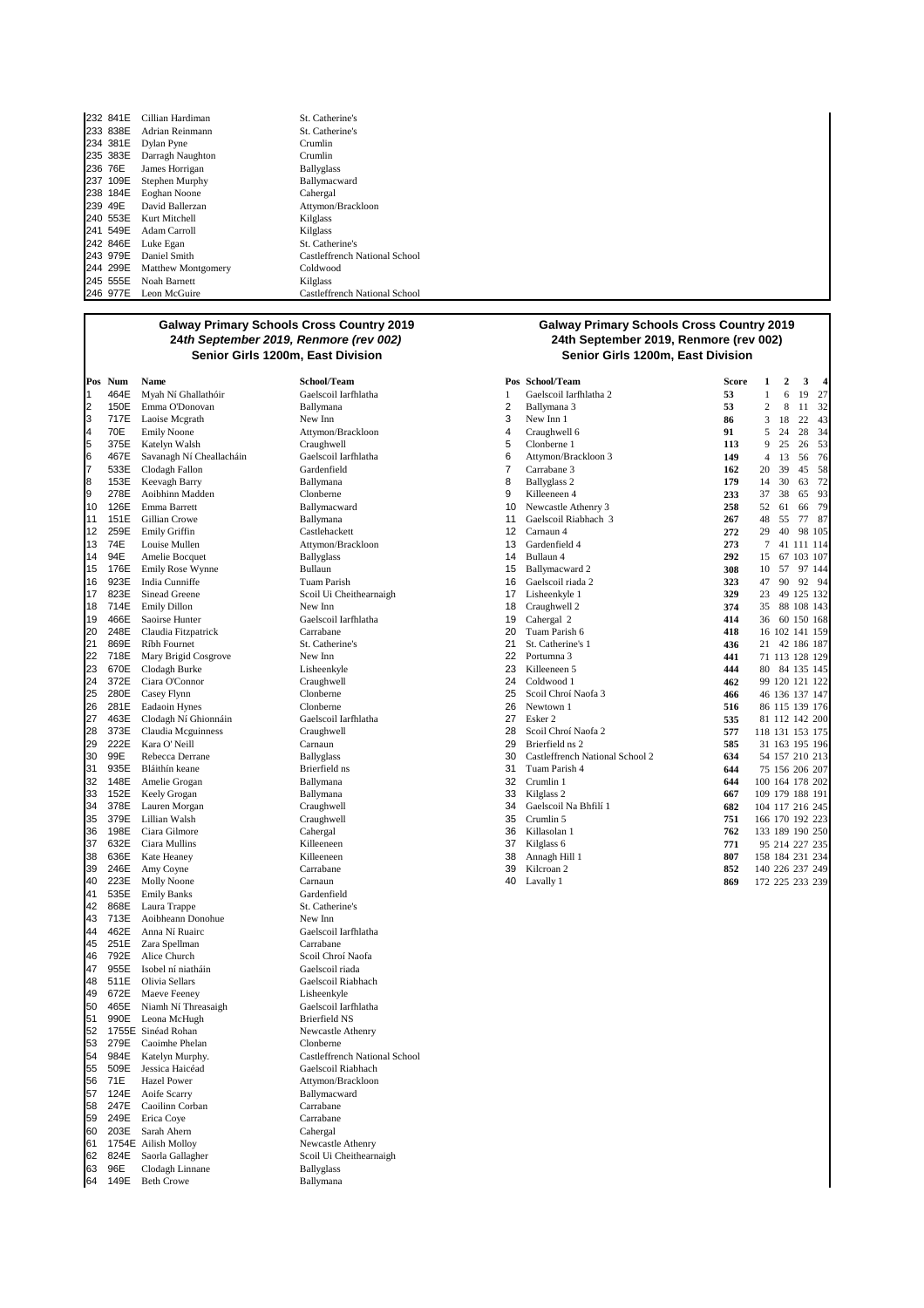| 232 841E | Cillian Hardiman          | St. Catherine's               |
|----------|---------------------------|-------------------------------|
| 233 838E | Adrian Reinmann           | St. Catherine's               |
| 234 381E | Dylan Pyne                | Crumlin                       |
| 235 383E | Darragh Naughton          | Crumlin                       |
| 236 76E  | James Horrigan            | <b>Ballyglass</b>             |
| 237 109E | Stephen Murphy            | Ballymacward                  |
| 238 184E | Eoghan Noone              | Cahergal                      |
| 239 49E  | David Ballerzan           | Attymon/Brackloon             |
|          | 240 553E Kurt Mitchell    | Kilglass                      |
| 241 549E | Adam Carroll              | Kilglass                      |
| 242 846E | Luke Egan                 | St. Catherine's               |
| 243 979E | Daniel Smith              | Castleffrench National School |
| 244 299E | <b>Matthew Montgomery</b> | Coldwood                      |
|          | 245 555E Noah Barnett     | Kilglass                      |
| 246 977E | Leon McGuire              | Castleffrench National School |

| Pos      | Num          | Name                            |
|----------|--------------|---------------------------------|
| 1        | 464E         | Myah Ní Ghallathóir             |
| 2        | 150E         | Emma O'Donovan                  |
| 3        | 717E         | Laoise Mcgrath                  |
| 4        | 70E          | <b>Emily Noone</b>              |
| 5        | 375E         | Katelyn Walsh                   |
| 6        | 467E         | Savanagh Ní Cheallacháin        |
| 7        | 533E         | Clodagh Fallon                  |
| 8        | 153E         | Keevagh Barry                   |
| 9        | 278E         | Aoibhinn Madden                 |
| 10       | 126E         | Emma Barrett                    |
| 11<br>12 | 151E         | Gillian Crowe                   |
| 13       | 259E<br>74E  | Emily Griffin<br>Louise Mullen  |
| 14       | 94E          | Amelie Bocquet                  |
| 15       | 176E         | Emily Rose Wynne                |
| 16       | 923E         | India Cunniffe                  |
| 17       | 823E         | Sinead Greene                   |
| 18       | 714E         | <b>Emily Dillon</b>             |
| 19       | 466E         | Saoirse Hunter                  |
| 20       | 248E         | Claudia Fitzpatrick             |
| 21       | 869E         | Ríbh Fournet                    |
| 22       | 718E         | Mary Brigid Cosgrove            |
| 23       | 670E         | Clodagh Burke                   |
| 24       | 372E         | Ciara O'Connor                  |
| 25       | 280E         | Casey Flynn                     |
| 26       | 281E         | Eadaoin Hynes                   |
| 27       | 463E         | Clodagh Ní Ghionnáin            |
| 28       | 373E         | Claudia Mcguinness              |
| 29       | 222E         | Kara O' Neill                   |
| 30       | 99E          | Rebecca Derrane                 |
| 31       | 935E         | Bláithín keane                  |
| 32       | 148E         | Amelie Grogan                   |
| 33       | 152E         | Keely Grogan                    |
| 34       | 378E         | Lauren Morgan                   |
| 35       | 379E         | Lillian Walsh                   |
| 36       | 198E         | Ciara Gilmore                   |
| 37<br>38 | 632E         | Ciara Mullins                   |
| 39       | 636E<br>246E | Kate Heaney                     |
| 40       | 223E         | Amy Coyne<br><b>Molly Noone</b> |
| 41       | 535E         | <b>Emily Banks</b>              |
| 42       | 868E         | Laura Trappe                    |
| 43       | 713E         | Aoibheann Donohue               |
| 44       | 462E         | Anna Ní Ruairc                  |
| 45       | 251E         | Zara Spellman                   |
| 46       | 792E         | Alice Church                    |
| 47       | 955E         | Isobel ní niatháin              |
| 48       | 511E         | Olivia Sellars                  |
| 49       | 672E         | Maeve Feeney                    |
| 50       | 465E         | Niamh Ní Threasaigh             |
| 51       | 990E         | Leona McHugh                    |
| 52       | 1755E        | Sinéad Rohan                    |
| 53       | 279E         | Caoimhe Phelan                  |
| 54       | 984E         | Katelyn Murphy.                 |
| 55       | 509E         | Jessica Haicéad                 |
| 56       | 71E          | Hazel Power                     |
| 57       | 124E         | Aoife Scarry                    |
| 58       | 247E         | Caoilinn Corban                 |
| 59       | 249E         | Erica Coye                      |
| 60       | 203E         | Sarah Ahern                     |
| 61       | 1754E        | Ailish Molloy                   |
| 62       | 824E         | Saorla Gallagher                |
| 63       | 96E          | Clodagh Linnane                 |
| 64       | 149E         | <b>Beth Crowe</b>               |

1 464E Myah Ní Ghallathóir Gaelscoil Iarfhlatha 1 Gaelscoil Iarfhlatha 2 **53** 1 6 19 27  $Atly mon/Brackloon$ <br>Craughwell Gaelscoil Iarfhlatha<br>Gardenfield  $\frac{1}{2}$ Attymon/Brackloon Ballyglass 1<sup>2</sup> 8231<br>Scoil Ui Cheithearnaigh<br>New Inn Gaelscoil Iarfhlatha<br>Carrabane Gaelscoil Iarfhlatha<br>Craughwell Gardenfield St. Catherine's  ${\hbox{New Inn}}$ Gaelscoil Iarfhlatha Carrabane Scoil Chroí Naofa Gaelscoil riada Gaelscoil Riabhach Lisheenkyle Gaelscoil Iarfhlatha Brierfield NS Newcastle Athenry Clonberne Castleffrench National School Gaelscoil Riabhach Attymon/Brackloon Ballymacward Carrabane Carrabane Cahergal Newcastle Athenry Scoil Ui Cheithearnaigh **Ballyglass** Ballymana

#### **Galway Primary Schools Cross Country 2019 24th September 2019, Renmore (rev 002) Senior Girls 1200m, East Division Senior Girls 1200m, East Division**

|    | Pos Num | Name                     | School/Team             |    | Pos School/Team                 | Score | 1               | 2              | 3          | 4      |
|----|---------|--------------------------|-------------------------|----|---------------------------------|-------|-----------------|----------------|------------|--------|
| 1  | 464E    | Myah Ní Ghallathóir      | Gaelscoil Iarfhlatha    | 1  | Gaelscoil Iarfhlatha 2          | 53    | 1               | 6              | 19         | 27     |
| 2  | 150E    | Emma O'Donovan           | Ballymana               | 2  | Ballymana 3                     | 53    | 2               | 8              | 11         | 32     |
| 3  | 717E    | Laoise Mcgrath           | New Inn                 | 3  | New Inn 1                       | 86    | 3               | 18             | 22         | 43     |
| 4  | 70E     | <b>Emily Noone</b>       | Attymon/Brackloon       | 4  | Craughwell 6                    | 91    | 5               | 24             | 28         | 34     |
| 5  | 375E    | Katelyn Walsh            | Craughwell              | 5  | Clonberne 1                     | 113   | 9               | 25             | 26         | 53     |
| 6  | 467E    | Savanagh Ní Cheallacháin | Gaelscoil Iarfhlatha    | 6  | Attymon/Brackloon 3             | 149   | $\overline{4}$  | 13             | 56         | 76     |
| 7  | 533E    | Clodagh Fallon           | Gardenfield             | 7  | Carrabane 3                     | 162   | 20              | 39             | 45         | 58     |
| 8  | 153E    | Keevagh Barry            | Ballymana               | 8  | <b>Ballyglass 2</b>             | 179   | 14              | 30             | 63         | 72     |
| 9  | 278E    | Aoibhinn Madden          | Clonberne               | 9  | Killeeneen 4                    | 233   | 37              | 38             | 65         | 93     |
| 10 | 126E    | Emma Barrett             | Ballymacward            | 10 | Newcastle Athenry 3             | 258   | 52              | 61             | 66         | 79     |
| 11 | 151E    | Gillian Crowe            | Ballymana               | 11 | Gaelscoil Riabhach 3            | 267   | 48              | 55             | 77         | 87     |
| 12 | 259E    | Emily Griffin            | Castlehackett           | 12 | Carnaun 4                       | 272   | 29              | 40             |            | 98 105 |
| 13 | 74E     | Louise Mullen            | Attymon/Brackloon       | 13 | Gardenfield 4                   | 273   | 7               |                | 41 111 114 |        |
| 14 | 94E     | Amelie Bocquet           | <b>Ballyglass</b>       | 14 | Bullaun 4                       | 292   | 15              | 67             | 103 107    |        |
| 15 | 176E    | Emily Rose Wynne         | Bullaun                 | 15 | Ballymacward 2                  | 308   | 10              | 57             |            | 97 144 |
| 16 | 923E    | India Cunniffe           | Tuam Parish             | 16 | Gaelscoil riada 2               | 323   | 47              | 90             |            | 92 94  |
| 17 | 823E    | Sinead Greene            | Scoil Ui Cheithearnaigh | 17 | Lisheenkyle 1                   | 329   | 23              | 49             | 125 132    |        |
| 18 | 714E    | <b>Emily Dillon</b>      | New Inn                 | 18 | Craughwell 2                    | 374   | 35              |                | 88 108 143 |        |
| 19 | 466E    | Saoirse Hunter           | Gaelscoil Iarfhlatha    | 19 | Cahergal 2                      | 414   | 36              |                | 60 150 168 |        |
| 20 | 248E    | Claudia Fitzpatrick      | Carrabane               | 20 | Tuam Parish 6                   | 418   |                 | 16 102 141 159 |            |        |
| 21 | 869E    | Ríbh Fournet             | St. Catherine's         | 21 | St. Catherine's 1               | 436   | 21              |                | 42 186 187 |        |
| 22 | 718E    | Mary Brigid Cosgrove     | New Inn                 | 22 | Portumna 3                      | 441   |                 | 71 113 128 129 |            |        |
| 23 | 670E    | Clodagh Burke            | Lisheenkyle             | 23 | Killeeneen 5                    | 444   |                 | 80 84 135 145  |            |        |
| 24 | 372E    | Ciara O'Connor           | Craughwell              | 24 | Coldwood 1                      | 462   |                 | 99 120 121 122 |            |        |
| 25 | 280E    | Casey Flynn              | Clonberne               | 25 | Scoil Chroí Naofa 3             | 466   |                 | 46 136 137 147 |            |        |
| 26 | 281E    | Eadaoin Hynes            | Clonberne               | 26 | Newtown 1                       | 516   |                 | 86 115 139 176 |            |        |
| 27 | 463E    | Clodagh Ní Ghionnáin     | Gaelscoil Iarfhlatha    | 27 | Esker 2                         | 535   |                 | 81 112 142 200 |            |        |
| 28 | 373E    | Claudia Mcguinness       | Craughwell              | 28 | Scoil Chroí Naofa 2             | 577   | 118 131 153 175 |                |            |        |
| 29 | 222E    | Kara O' Neill            | Carnaun                 | 29 | Brierfield ns 2                 | 585   |                 | 31 163 195 196 |            |        |
| 30 | 99E     | Rebecca Derrane          | <b>Ballyglass</b>       | 30 | Castleffrench National School 2 | 634   |                 | 54 157 210 213 |            |        |
| 31 | 935E    | Bláithín keane           | Brierfield ns           | 31 | Tuam Parish 4                   | 644   |                 | 75 156 206 207 |            |        |
| 32 | 148E    | Amelie Grogan            | Ballymana               | 32 | Crumlin 1                       | 644   | 100 164 178 202 |                |            |        |
| 33 | 152E    | Keely Grogan             | Ballymana               | 33 | Kilglass <sub>2</sub>           | 667   | 109 179 188 191 |                |            |        |
| 34 | 378E    | Lauren Morgan            | Craughwell              | 34 | Gaelscoil Na Bhfilí 1           | 682   | 104 117 216 245 |                |            |        |
| 35 | 379E    | Lillian Walsh            | Craughwell              | 35 | Crumlin 5                       | 751   | 166 170 192 223 |                |            |        |
| 36 | 198E    | Ciara Gilmore            | Cahergal                | 36 | Killasolan 1                    | 762   | 133 189 190 250 |                |            |        |
| 37 | 632E    | Ciara Mullins            | Killeeneen              | 37 | Kilglass 6                      | 771   |                 | 95 214 227 235 |            |        |
| 38 | 636E    | Kate Heaney              | Killeeneen              | 38 | Annagh Hill 1                   | 807   | 158 184 231 234 |                |            |        |
| 39 | 246E    | Amy Coyne                | Carrabane               | 39 | Kilcroan <sub>2</sub>           | 852   | 140 226 237 249 |                |            |        |
| 40 | 223E    | <b>Molly Noone</b>       | Carnaun                 | 40 | Lavally 1                       | 869   | 172 225 233 239 |                |            |        |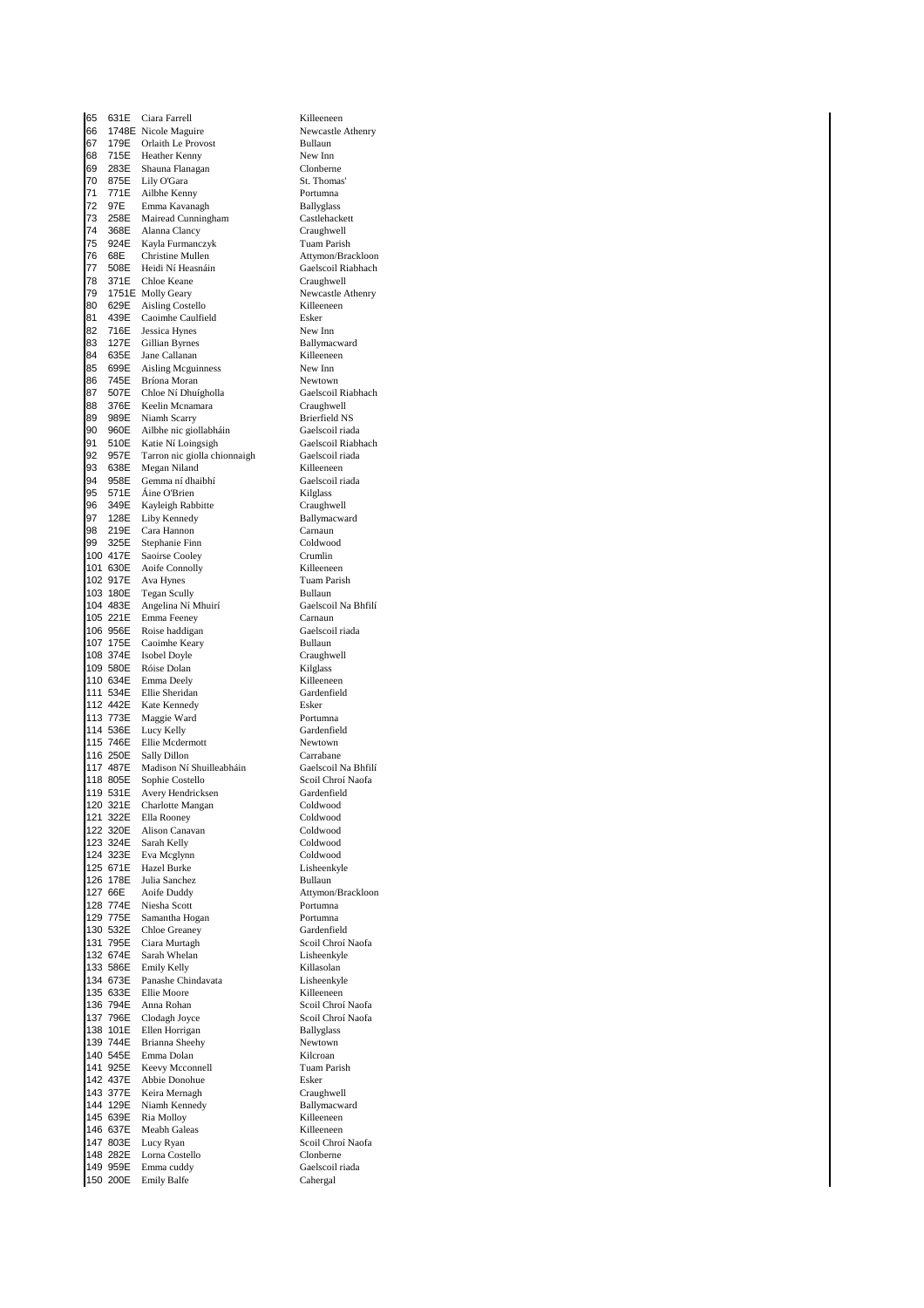65 631E Ciara Farrell Killeeneen 66 1748E Nicole Maguire 1986 1748E Newcastle Athenry Newcastle Athenry Newcastle Athenry Newcastle Athenry Newcastle Athenry Newcastle Athenry Newcastle Athenry Newcastle Athenry Newcastle Athenry Newcastle Athenry Newcast Orlaith Le Provost 68 715E Heather Kenny New Inn 69 283E Shauna-Flanagan Clonberne<br>70 875E Lily-O'Gara St Thomas 70 875E Lily O'Gara St. Thomas' 11 Ailbhe Kenny Portumna<br>171 - Emma Kavanagh Ballyglass 72 97E Emma Kavanagh Ballyglass 2012 73 258E Mairead Cunningham<br>2014 268E Alanna Clancy Craughwell 2008 74 368 Alanna Clancy<br>1992 - The Mayla Furmanczyk Craughwell<br>Tuam Parish Kayla Furmanczyk **76 68E** Christine Mullen **Attymon/Brackloon**<br>**77 508E** Heidi Ní Heasnáin **Attack Gaelscoil Riabhach** 77 508E Heidi Ní Heasnáin<br>78 371E Chloe Keane Craughwell Chloe Keane 79 1751E Molly Geary<br>
80 629E Aisling Costello<br>
Killeeneen Killeeneen 80 629E Aisling Costello<br>81 439E Caoimhe Caulfield **Killee** 81 439E Caoimhe Caulfield Esker<br>82 716E Jessica Hynes New Inn Jessica Hynes 83 127E Gillian Byrnes Ballymacward 84 635E Jane Callanan<br>85 699E Aisling Mcguinness New Inn 85 699E Aisling Mcguinness<br>86 745E Bríona Moran New Inn Newtown 86 745E Bríona Moran Newtown 87 507E Chloe Ní Dhuígholla Gaelscoil Riabhach 88 376E Keelin Mcnamara Craughwell<br>89 989E Niamh Scarry Brierfield NS 89 989E Niamh Scarry Brierfield NS<br>90 960E Ailbhe nic giollabháin Gaelscoil riada Ailbhe nic giollabháin 91 510E Katie Ní Loingsigh Gaelscoil Riabhach<br>92 957E Tarron nic siolla chionnaigh Gaelscoil riada 92 957E Tarron nic giolla chionnaigh Gaelscoil ri<br>93 638E Megan Niland Killeeneen 638E Megan Niland Killeeneen<br>958E Gemma ní dhaibhí Gaelscoil riada 94 958E Gemma ní dhaibhí Gaelscoil Gaelscoil Caelscoil anns an t-95 571E Áine O'Brien **Machais an Taitean Aonaich an Coimbia**<br>96 349E Kayleigh Rabbitte **Craughwell** 96 349E Kayleigh Rabbitte Craughwell<br>97 128E Liby Kennedy Ballymacward Liby Kennedy 98 219E Cara Hannon Carnaun 99 325E Stephanie Finn<br>100 417E Saoirse Cooley Crumlin 100 417E Saoirse Cooley Crumlin<br>101 630E Aoife Connolly Killeeneen 101 630E Aoife Connolly<br>102 917E Ava Hynes 102 917E Ava Hynes Tuam Parish<br>
103 180E Tegan Scully Bullaun<br>
103 180E Tegan Scully 103 180E Tegan Scully Bullaun<br>104 483E Angelina Ní Mhuirí (Gaelscoil Na Bhfilí 104 483E Angelina Ní Mhuirí Gaelscoil Gaelscoil Gaelscoil Gaelscoil Gaelscoil Carnaun 105 221E Emma Feeney Carnaun 106 956E Roise haddigan Gaelsco<br>107 175E Caoimhe Keary Rullaun 107 175E Caoimhe Keary **Bullaun**<br>108 374E Isobel Doyle **Bullaun** Craughwell 108 374E Isobel Doyle Craughwell Craughwell<br>109 580E Róise Dolan Craughwell Craughwell 109 580E Róise Dolan Kilglass<br>
110 634E Emma Deely Killeeneer 110 634E Emma Deely **Killeeneen**<br>111 534E Ellie Sheridan **Gardenfield** 111 534E Ellie Sheridan<br>112 442E Kate Kennedy Esker Kate Kennedy 113 773E Maggie Ward Portumna<br>114 536E Lucy Kelly Press Gardenfield 114 536E Lucy Kelly<br>115 746E Ellie Mcdern 115 746E Ellie Mcdermott Newtown 116 250E Sally Dillon Carrabane<br>
117 487E Madison Ní Shuilleabháin Gaelscoil Na Bhfilí 117 487E Madison Ní Shuilleabháin<br>118 805E Sophie Costello Scoil Chroí Naofa 118 805E Sophie Costello Scoil Chroí Naofa<br>119 531E Avery Hendricksen Gardenfield 119 531E Avery Hendricksen Gardenfield<br>120 321E Charlotte Mangan Goldwood 120 321E Charlotte Mangan Coldwood 121 322E Ella Rooney Coldwood<br>122 320E Alison Canavan Coldwood 122 320E Alison Canavan Coldwood 123 324E Sarah Kelly Coldwood<br>124 323E Eva Mcglynn Coldwood 124 323E Eva Mcglynn Coldwood 125 671E Hazel Burke Lisheen<br>126 178E Julia Sanchez Bullaun 126 178E Julia Sanchez<br>127 66E Aoife Duddy 127 66E Aoife Duddy Attymon/Brackloon<br>
128 774E Niesha Scott Att Portumna 128 774E Niesha Scott<br>129 775E Samantha Ho **129 Samantha Hogan Portumna** 130 532E Chloe Greaney Gardenfield<br>131 795E Ciara Murtagh Scoil Chroí 131 795E Ciara Murtagh Scoil Chroí Naofa<br>132 674E Sarah Whelan Lisheenkyle 132 674E Sarah Whelan Lisheenky<br>133 586E Emily Kelly Killasolan 133 586E Emily Kelly (Killasolan Killasolan Killasolan Killasolan Killasolan Killasolan (Killasolan Killasolan Killasolan Killasolan Killasolan Killasolan Killasolan Killasolan Killasolan Killasolan Killasolan Killasolan K 134 673E Panashe Chindavata Lisheenkyle Ellie Moore 136 794E Anna Rohan Scoil Chroí Naofa 137 796E Clodagh Joyce Scoil Chroí Naofa<br>138 101E Ellen Horrigan Ballyglass 138 101E Ellen Horrigan Ballyglass 139 744E Brianna Sheehy Newtown<br>140 545E Emma Dolan Newtown Kilcroan 140 545E Emma Dolan (Kilcroan Kilcroan (Kilcroan Kilcroan (Kilcroan Kilcroan (Kilcroan (Kilcroan Kilcroan (Kilcroan Kilcroan (Kilcroan Kilcroan (Kilcroan Kilcroan Kilcroan (Kilcroan Kilcroan Kilcroan Kilcroan Kilcroan Kilc 141 925E Keevy Mcconnell Tuam Tuam<br>142 437E Abbie Donohue – Fsker 142 437E Abbie Donohue Esker Keira Mernagh 144 129E Niamh Kennedy Ballymacward 145 639E Ria Molloy Billeeneen<br>146 637E Meabh Galeas Killeeneen 146 637E Machinery<br>146 637E Meabh Galeas<br>147 803E Lucy Ryan 147 803E Lucy Ryan Scoil Chroí Naofa 148 282E Lorna Costello Clonberne<br>149 959E Emma cuddy Gaelscoil riada 149 Emma cuddy Gaelscoil<br>1495 - Gaelscoil Cahergal 150 200E Emily Balfe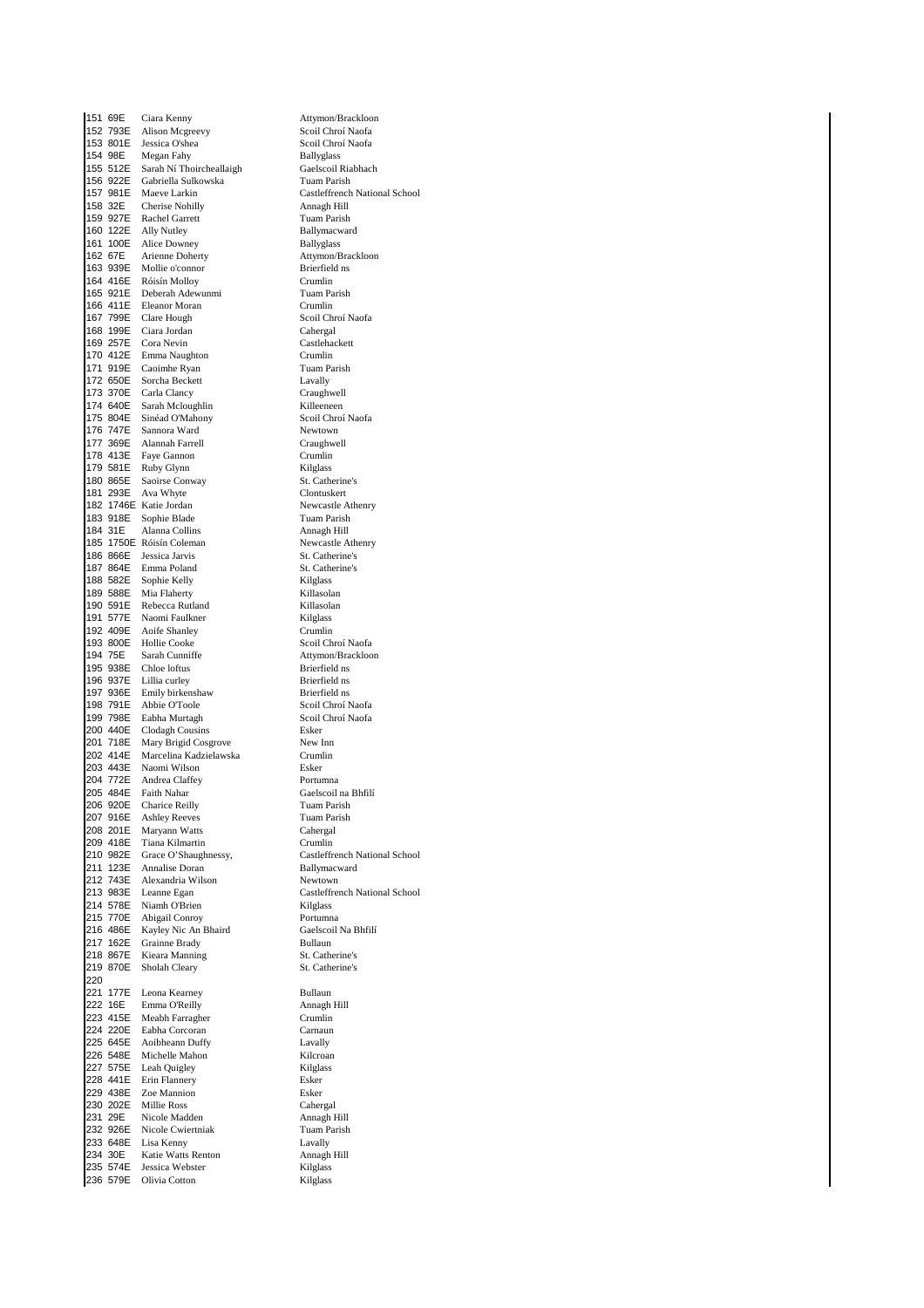|     |          | 151 69E Ciara Kenny                                     | Attymon/Brackloon                |
|-----|----------|---------------------------------------------------------|----------------------------------|
|     |          | 152 793E Alison Mcgreevy                                | Scoil Chroí Naofa                |
|     |          | 153 801E Jessica O'shea                                 | Scoil Chroí Naofa                |
|     |          | 154 98E Megan Fahy<br>155 512E Sarah Ní Thoircheallaigh | <b>Ballyglass</b>                |
|     |          |                                                         | Gaelscoil Riabhach               |
|     |          | 156 922E Gabriella Sulkowska                            | Tuam Parish                      |
|     |          | 157 981E Maeve Larkin                                   | Castleffrench Nation             |
|     | 158 32E  | Cherise Nohilly                                         | Annagh Hill                      |
|     |          | 159 927E Rachel Garrett                                 | <b>Tuam Parish</b>               |
|     |          | 160 122E Ally Nutley                                    | Ballymacward                     |
|     |          | 161 100E Alice Downey                                   | <b>Ballyglass</b>                |
|     | 162 67E  | Arienne Doherty                                         | Attymon/Brackloon                |
|     | 163 939E | Mollie o'connor                                         | Brierfield ns                    |
|     |          | 164 416E Róisín Molloy                                  | Crumlin                          |
|     |          |                                                         | Tuam Parish                      |
|     |          | 165 921E Deberah Adewunmi<br>166 411E Eleanor Moran     | Crumlin                          |
|     |          | 167 799E Clare Hough                                    | Scoil Chroí Naofa                |
|     |          |                                                         | Cahergal                         |
|     |          | 168 199E Ciara Jordan<br>169 257E Cora Nevin            | Castlehackett                    |
|     |          | 170 412E Emma Naughton                                  | Crumlin                          |
|     |          | 171 919E Caoimhe Ryan                                   | Tuam Parish                      |
|     |          | 172 650E Sorcha Beckett                                 | Lavally                          |
|     |          | 173 370E Carla Clancy                                   | Craughwell                       |
|     |          |                                                         | Killeeneen                       |
|     |          | 174 640E Sarah Mcloughlin<br>175 804E Sinéad O'Mahony   | Scoil Chroí Naofa                |
|     |          | 176 747E Sannora Ward                                   | Newtown                          |
|     |          | 177 369E Alannah Farrell                                | Craughwell                       |
|     |          | 178 413E Faye Gannon                                    | Crumlin                          |
|     |          | 179 581E Ruby Glynn                                     | Kilglass                         |
|     |          | 180 865E Saoirse Conway                                 | St. Catherine's                  |
|     |          | 181 293E Ava Whyte                                      | Clontuskert                      |
|     |          | 182 1746E Katie Jordan                                  |                                  |
|     | 183 918E | Sophie Blade                                            | Newcastle Athenry<br>Tuam Parish |
|     | 184 31E  | Alanna Collins                                          |                                  |
|     |          | 185 1750E Róisín Coleman                                | Annagh Hill                      |
|     |          |                                                         | Newcastle Athenry                |
|     |          | 186 866E Jessica Jarvis<br>187 864E Emma Poland         | St. Catherine's                  |
|     |          |                                                         | St. Catherine's                  |
|     |          | 188 582E Sophie Kelly                                   | Kilglass                         |
|     |          | 189 588E Mia Flaherty                                   | Killasolan                       |
|     |          | 190 591E Rebecca Rutland                                | Killasolan                       |
|     |          | 191 577E Naomi Faulkner                                 | Kilglass                         |
|     |          | 192 409E Aoife Shanley                                  | Crumlin                          |
|     |          | 193 800E Hollie Cooke                                   | Scoil Chroí Naofa                |
|     | 194 75E  | Sarah Cunniffe                                          | Attymon/Brackloon                |
|     |          | 195 938E Chloe loftus                                   | Brierfield ns                    |
|     |          | 196 937E Lillia curley                                  | Brierfield ns                    |
|     |          | 197 936E Emily birkenshaw                               | Brierfield ns                    |
|     |          | 198 791E Abbie O'Toole                                  | Scoil Chroí Naofa                |
|     |          | 199 798E Eabha Murtagh                                  | Scoil Chroí Naofa                |
|     |          | 200 440E Clodagh Cousins                                |                                  |
|     |          |                                                         | Esker                            |
|     | 201 718E | Mary Brigid Cosgrove                                    | New Inn                          |
|     |          | 202 414E Marcelina Kadzielawska                         | Crumlin                          |
|     |          | 203 443E Naomi Wilson                                   | Esker                            |
|     |          | 204 772E Andrea Claffey                                 | Portumna                         |
|     | 205 484E | Faith Nahar                                             | Gaelscoil na Bhfilí              |
|     | 206 920E | Charice Reilly                                          | Tuam Parish                      |
|     | 207 916E | <b>Ashley Reeves</b>                                    | Tuam Parish                      |
|     | 208 201E | Maryann Watts                                           | Cahergal                         |
|     |          | 209 418E Tiana Kilmartin                                | Crumlin                          |
|     |          | 210 982E Grace O'Shaughnessy,                           |                                  |
|     |          | 211 123E Annalise Doran                                 | Ballymacward                     |
|     |          | 212 743E Alexandria Wilson                              | Castleffrench Nation<br>Newtown  |
|     |          | 213 983E Leanne Egan                                    |                                  |
|     |          | 214 578E Niamh O'Brien                                  | Kilglass                         |
|     |          | 215 770E Abigail Conroy                                 | Castleffrench Nation<br>Portumna |
|     | 216 486E | Kayley Nic An Bhaird                                    | Gaelscoil Na Bhfilí              |
|     |          | 217 162E Grainne Brady                                  | Bullaun                          |
|     |          | 218 867E Kieara Manning                                 | St. Catherine's                  |
|     | 219 870E | Sholah Cleary                                           | St. Catherine's                  |
| 220 |          |                                                         |                                  |
|     |          | 221 177E Leona Kearney                                  | Bullaun                          |
|     | 222 16E  | Emma O'Reilly                                           | Annagh Hill                      |
|     |          | 223 415E Meabh Farragher                                | Crumlin                          |
|     |          | 224 220E Eabha Corcoran                                 | Carnaun                          |
|     |          | 225 645E Aoibheann Duffy                                | Lavally                          |
|     |          | 226 548E Michelle Mahon                                 | Kilcroan                         |
|     |          | 227 575E Leah Quigley                                   | Kilglass                         |
|     |          | 228 441E Erin Flannery                                  | Esker                            |
|     |          | 229 438E Zoe Mannion                                    | Esker                            |
|     |          | 230 202E Millie Ross                                    | Cahergal                         |
|     | 231 29E  | Nicole Madden                                           | Annagh Hill                      |
|     |          | 232 926E Nicole Cwiertniak                              | Tuam Parish                      |
|     |          | 233 648E Lisa Kenny                                     | Lavally                          |
|     | 234 30E  | Katie Watts Renton                                      | Annagh Hill                      |
|     | 236 579E | 235 574E Jessica Webster<br>Olivia Cotton               | Kilglass<br>Kilglass             |

Attymon/Brackloon Scoil Chroí Naofa Scoil Chroí Naofa Tuan: 1 arms Annagh Hill Tuam Parish Ballymacward Ballyglass Entended<br>
Crumlin Tuam Parish Crumlin Scoil Chroí Naofa  $Cahergal$ Castlehackett Crumlin Tuam Parish Killeeneen Scoil Chroí Naofa Newtown  $C$ raughwell Crumlin Kilglass St. Catherine's Clontuskert Newcastle Athenry Tuam Parish Annagh Hill St. Catherine's Kilglass Killasolan Killasolan  $\mathop{\rm Kilglass}\nolimits$ Brierfield ns Brierfield ns Scoil Chroí Naofa **1998 Scoil Chroí Naofa**<br>Esker New Inn 202 - Andrewska Crumlin  $E$ sker Portumna 205 484E Faith Nahar Gaelscoil na Bhfilí Tuam Parish Tuam Parish  ${\it Cahergal}$ Crumlin Castleffrench National School Ballymacward Newtown Castleffrench National School  $\mathbf{Kilglass}$ Portumna 216 486E Kayley Nic An Bhaird Gaelscoil Na Bhfilí 217 162E Grainne Brady Bullaun St. Catherine's St. Catherine's **Bullaun** Carnaun Lavally Kilcroan Kilglass Esker<br>Esker  $Cahergal$ Lavally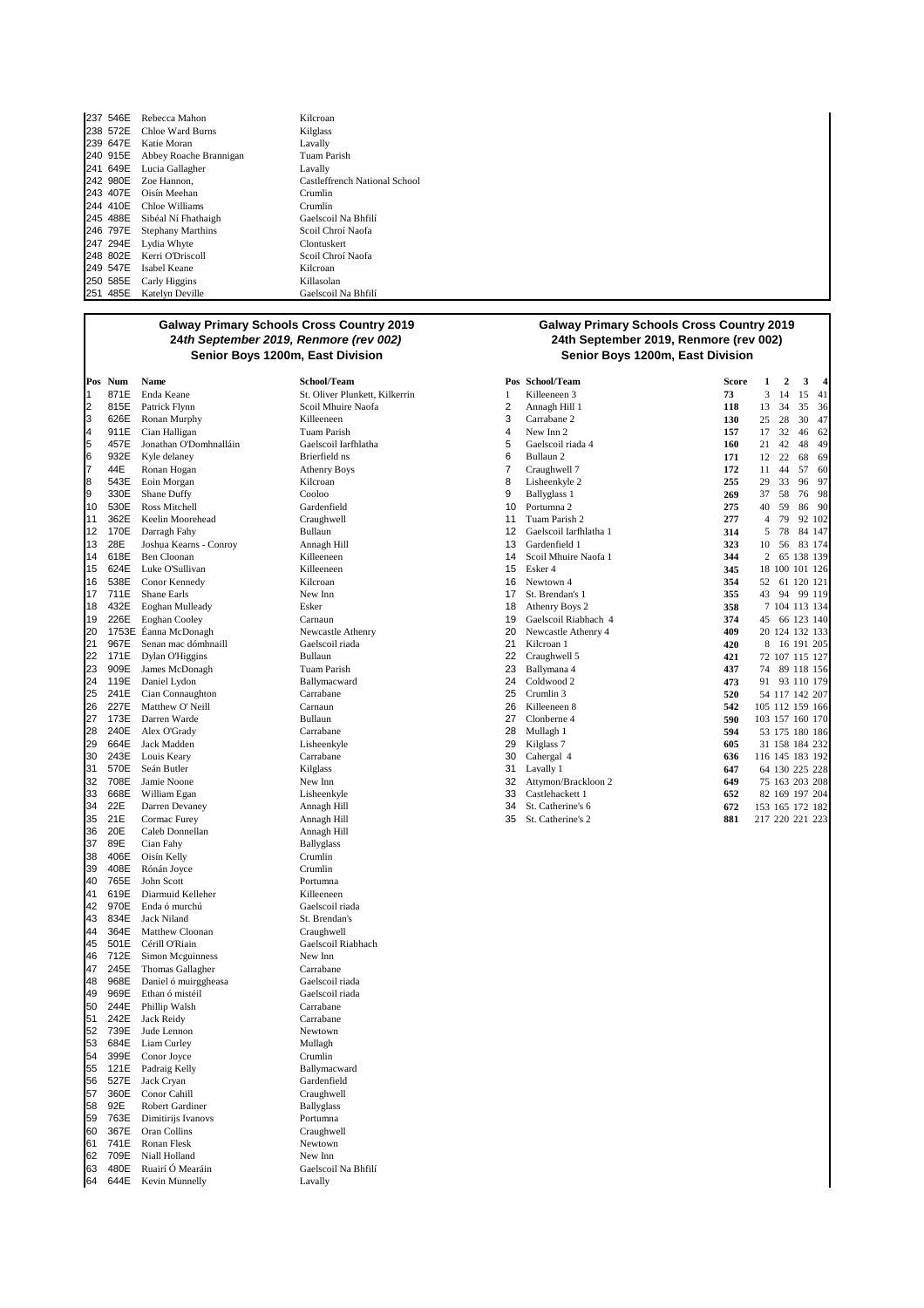|          | 237 546E Rebecca Mahon          | Kilcroan                      |
|----------|---------------------------------|-------------------------------|
|          | 238 572E Chloe Ward Burns       | Kilglass                      |
|          | 239 647E Katie Moran            | Lavally                       |
|          | 240 915E Abbey Roache Brannigan | Tuam Parish                   |
| 241 649E | Lucia Gallagher                 | Lavally                       |
| 242 980E | Zoe Hannon.                     | Castleffrench National School |
|          | 243 407E Oisín Meehan           | Crumlin                       |
|          | 244 410E Chloe Williams         | Crumlin                       |
|          | 245 488E Sibéal Ní Fhathaigh    | Gaelscoil Na Bhfilí           |
| 246 797E | <b>Stephany Marthins</b>        | Scoil Chroí Naofa             |
| 247 294E | Lydia Whyte                     | Clontuskert                   |
|          | 248 802E Kerri O'Driscoll       | Scoil Chroí Naofa             |
| 249 547E | Isabel Keane                    | Kilcroan                      |
| 250 585E | Carly Higgins                   | Killasolan                    |
| 251 485E | Katelyn Deville                 | Gaelscoil Na Bhfilí           |

| Pos      | Num          | Name                                    | School/Team                  |
|----------|--------------|-----------------------------------------|------------------------------|
| 1        | 871E         | Enda Keane                              | St. Oliver Plunkett,         |
| 2        |              | 815E Patrick Flynn                      | Scoil Mhuire Naofa           |
| 3        |              | 626E Ronan Murphy                       | Killeeneen                   |
| 4        | 911E         | Cian Halligan                           | Tuam Parish                  |
| 5        | 457E         | Jonathan O'Domhnalláin                  | Gaelscoil Iarfhlatha         |
| 6        | 932E         | Kyle delaney                            | Brierfield ns                |
| 7        | 44E          | Ronan Hogan                             | <b>Athenry Boys</b>          |
| 8        | 543E         | Eoin Morgan                             | Kilcroan                     |
| 9        | 330E         | Shane Duffy                             | Cooloo                       |
| 10       | 530E         | Ross Mitchell                           | Gardenfield                  |
| 11<br>12 | 362E         | Keelin Moorehead<br>170E Darragh Fahy   | Craughwell<br>Bullaun        |
| 13       | 28E          | Joshua Kearns - Conroy                  | Annagh Hill                  |
| 14       | 618E         | Ben Cloonan                             | Killeeneen                   |
| 15       |              | 624E Luke O'Sullivan                    | Killeeneen                   |
| 16       |              | 538E Conor Kennedy                      | Kilcroan                     |
| 17       | 711E         | Shane Earls                             | New Inn                      |
| 18       |              | 432E Eoghan Mulleady                    | Esker                        |
| 19       | 226E         | Eoghan Cooley                           | Carnaun                      |
| 20       |              | 1753E Éanna McDonagh                    | Newcastle Athenry            |
| 21       | 967E         | Senan mac dómhnaill                     | Gaelscoil riada              |
| 22       |              | 171E Dylan O'Higgins                    | Bullaun                      |
| 23       | 909E         | James McDonagh                          | Tuam Parish                  |
| 24       | 119E         | Daniel Lydon                            | Ballymacward                 |
| 25       | 241E         | Cian Connaughton                        | Carrabane                    |
| 26       | 227E         | Matthew O'Neill                         | Carnaun                      |
| 27       |              | 173E Darren Warde                       | Bullaun                      |
| 28       |              | 240E Alex O'Grady                       | Carrabane                    |
| 29<br>30 |              | 664E Jack Madden<br>243E Louis Keary    | Lisheenkyle                  |
| 31       | 570E         | Seán Butler                             | Carrabane<br>Kilglass        |
| 32       | 708E         | Jamie Noone                             | New Inn                      |
| 33       | 668E         | William Egan                            | Lisheenkyle                  |
| 34       | 22E          | Darren Devaney                          | Annagh Hill                  |
| 35       | 21E          | Cormac Furey                            | Annagh Hill                  |
| 36       | 20E          | Caleb Donnellan                         | Annagh Hill                  |
| 37       | 89E          | Cian Fahy                               | <b>Ballyglass</b>            |
| 38       |              | 406E Oisín Kelly                        | Crumlin                      |
| 39       | 408E         | Rónán Joyce                             | Crumlin                      |
| 40       | 765E         | John Scott                              | Portumna                     |
| 41       | 619E         | Diarmuid Kelleher                       | Killeeneen                   |
| 42       | 970E         | Enda ó murchú                           | Gaelscoil riada              |
| 43       | 834E         | Jack Niland                             | St. Brendan's                |
| 44       | 364E         | Matthew Cloonan                         | Craughwell                   |
| 45       | 501E         | Cérill O'Riain                          | Gaelscoil Riabhach           |
| 46       | 712E         | Simon Mcguinness                        | New Inn                      |
| 47<br>48 | 245E<br>968E | Thomas Gallagher                        | Carrabane<br>Gaelscoil riada |
| 49       | 969E         | Daniel ó muirggheasa<br>Ethan ó mistéil | Gaelscoil riada              |
| 50       | 244E         | Phillip Walsh                           | Carrabane                    |
| 51       | 242E         | Jack Reidy                              | Carrabane                    |
| 52       | 739E         | Jude Lennon                             | Newtown                      |
| 53       | 684E         | Liam Curley                             | Mullagh                      |
| 54       | 399E         | Conor Joyce                             | Crumlin                      |
| 55       |              | 121E Padraig Kelly                      | Ballymacward                 |
| 56       | 527E         | Jack Cryan                              | Gardenfield                  |
| 57       | 360E         | Conor Cahill                            | Craughwell                   |
| 58       | 92E          | Robert Gardiner                         | <b>Ballyglass</b>            |
| 59       | 763E         | Dimitirijs Ivanovs                      | Portumna                     |
| 60       | 367E         | Oran Collins                            | Craughwell                   |
| 61       | 741E         | Ronan Flesk                             | Newtown                      |
| 62       | 709E         | Niall Holland                           | New Inn                      |
| 63       | 480E         | Ruairí Ó Mearáin                        | Gaelscoil Na Bhfilí          |
| 64       | 644E         | Kevin Munnelly                          | Lavally                      |

5 457E Jonathan O'Domhnalláin Gaelscoil Iarfhlatha 5 Gaelscoil riada 4 **160** 21 42 48 49 Newcastle Athenry Gaelscoil riada Annagh Hill Crumlin Portumna Killeeneen Gaelscoil riada St. Brendan's New  $\operatorname{Inn}$ Carrabane Gaelscoil riada Gaelscoil riada Carrabane Carrabane Newtown 53 684E Liam Curley Mullagh Crumlin Ballymacward Gardenfield Craughwell Ballyglass Portumna Craughwell Newtown New Inn Gaelscoil Na Bhfilí

#### **Galway Primary Schools Cross Country 2019 24th September 2019, Renmore (rev 002) Senior Boys 1200m, East Division Senior Boys 1200m, East Division**

|    | Pos Num | Name                   | School/Team                    |    | Pos School/Team        | <b>Score</b> | 1              | $\overline{\mathbf{2}}$ | 3               | 4  |
|----|---------|------------------------|--------------------------------|----|------------------------|--------------|----------------|-------------------------|-----------------|----|
| 1  | 871E    | Enda Keane             | St. Oliver Plunkett, Kilkerrin |    | Killeeneen 3           | 73           | 3              | 14                      | 15              | 41 |
| 2  | 815E    | Patrick Flynn          | Scoil Mhuire Naofa             | 2  | Annagh Hill 1          | 118          | 13             | 34                      | 35              | 36 |
| 3  | 626E    | Ronan Murphy           | Killeeneen                     | 3  | Carrabane 2            | 130          | 25             | 28                      | 30              | 47 |
| 4  | 911E    | Cian Halligan          | <b>Tuam Parish</b>             | 4  | New Inn 2              | 157          | 17             | 32                      | 46              | 62 |
| 5  | 457E    | Jonathan O'Domhnalláin | Gaelscoil Iarfhlatha           | 5  | Gaelscoil riada 4      | 160          | 21             | 42                      | 48              | 49 |
| 6  | 932E    | Kyle delaney           | Brierfield ns                  | 6  | Bullaun <sub>2</sub>   | 171          | 12             | 22                      | 68              | 69 |
| 7  | 44E     | Ronan Hogan            | <b>Athenry Boys</b>            | 7  | Craughwell 7           | 172          | 11             | 44                      | 57              | 60 |
| 8  | 543E    | Eoin Morgan            | Kilcroan                       | 8  | Lisheenkyle 2          | 255          | 29             | 33                      | 96              | 97 |
| 9  | 330E    | Shane Duffy            | Cooloo                         | 9  | Ballyglass 1           | 269          | 37             | 58                      | 76              | 98 |
| 10 | 530E    | Ross Mitchell          | Gardenfield                    | 10 | Portumna 2             | 275          | 40             | 59                      | 86              | 90 |
| 11 | 362E    | Keelin Moorehead       | Craughwell                     | 11 | Tuam Parish 2          | 277          | $\overline{4}$ | 79                      | 92 102          |    |
| 12 | 170E    | Darragh Fahy           | Bullaun                        | 12 | Gaelscoil Iarfhlatha 1 | 314          | 5              | 78                      | 84 147          |    |
| 13 | 28E     | Joshua Kearns - Conroy | Annagh Hill                    | 13 | Gardenfield 1          | 323          | 10             | 56                      | 83 174          |    |
| 14 | 618E    | <b>Ben Cloonan</b>     | Killeeneen                     | 14 | Scoil Mhuire Naofa 1   | 344          | $\overline{c}$ |                         | 65 138 139      |    |
| 15 | 624E    | Luke O'Sullivan        | Killeeneen                     | 15 | Esker 4                | 345          | 18             |                         | 100 101 126     |    |
| 16 | 538E    | Conor Kennedy          | Kilcroan                       | 16 | Newtown 4              | 354          | 52             |                         | 61 120 121      |    |
| 17 | 711E    | Shane Earls            | New Inn                        | 17 | St. Brendan's 1        | 355          | 43             | 94                      | 99 119          |    |
| 18 | 432E    | Eoghan Mulleady        | Esker                          | 18 | Athenry Boys 2         | 358          |                |                         | 7 104 113 134   |    |
| 19 | 226E    | <b>Eoghan Cooley</b>   | Carnaun                        | 19 | Gaelscoil Riabhach 4   | 374          | 45             |                         | 66 123 140      |    |
| 20 |         | 1753E Éanna McDonagh   | Newcastle Athenry              | 20 | Newcastle Athenry 4    | 409          |                |                         | 20 124 132 133  |    |
| 21 | 967E    | Senan mac dómhnaill    | Gaelscoil riada                | 21 | Kilcroan 1             | 420          | 8              |                         | 16 191 205      |    |
| 22 | 171E    | Dylan O'Higgins        | Bullaun                        | 22 | Craughwell 5           | 421          |                |                         | 72 107 115 127  |    |
| 23 | 909E    | James McDonagh         | <b>Tuam Parish</b>             | 23 | Ballymana 4            | 437          | 74             |                         | 89 118 156      |    |
| 24 | 119E    | Daniel Lydon           | Ballymacward                   | 24 | Coldwood 2             | 473          | 91             |                         | 93 110 179      |    |
| 25 | 241E    | Cian Connaughton       | Carrabane                      | 25 | Crumlin <sub>3</sub>   | 520          |                |                         | 54 117 142 207  |    |
| 26 | 227E    | Matthew O' Neill       | Carnaun                        | 26 | Killeeneen 8           | 542          |                |                         | 105 112 159 166 |    |
| 27 | 173E    | Darren Warde           | Bullaun                        | 27 | Clonberne 4            | 590          |                |                         | 103 157 160 170 |    |
| 28 | 240E    | Alex O'Grady           | Carrabane                      | 28 | Mullagh 1              | 594          |                |                         | 53 175 180 186  |    |
| 29 | 664E    | <b>Jack Madden</b>     | Lisheenkyle                    | 29 | Kilglass <sub>7</sub>  | 605          |                |                         | 31 158 184 232  |    |
| 30 | 243E    | Louis Keary            | Carrabane                      | 30 | Cahergal 4             | 636          |                |                         | 116 145 183 192 |    |
| 31 | 570E    | Seán Butler            | Kilglass                       | 31 | Lavally 1              | 647          |                |                         | 64 130 225 228  |    |
| 32 | 708E    | Jamie Noone            | New Inn                        | 32 | Attymon/Brackloon 2    | 649          |                |                         | 75 163 203 208  |    |
| 33 | 668E    | William Egan           | Lisheenkyle                    | 33 | Castlehackett 1        | 652          |                |                         | 82 169 197 204  |    |
| 34 | 22E     | Darren Devaney         | Annagh Hill                    | 34 | St. Catherine's 6      | 672          |                |                         | 153 165 172 182 |    |
| 35 | 21E     | Cormac Furey           | Annagh Hill                    | 35 | St. Catherine's 2      | 881          |                |                         | 217 220 221 223 |    |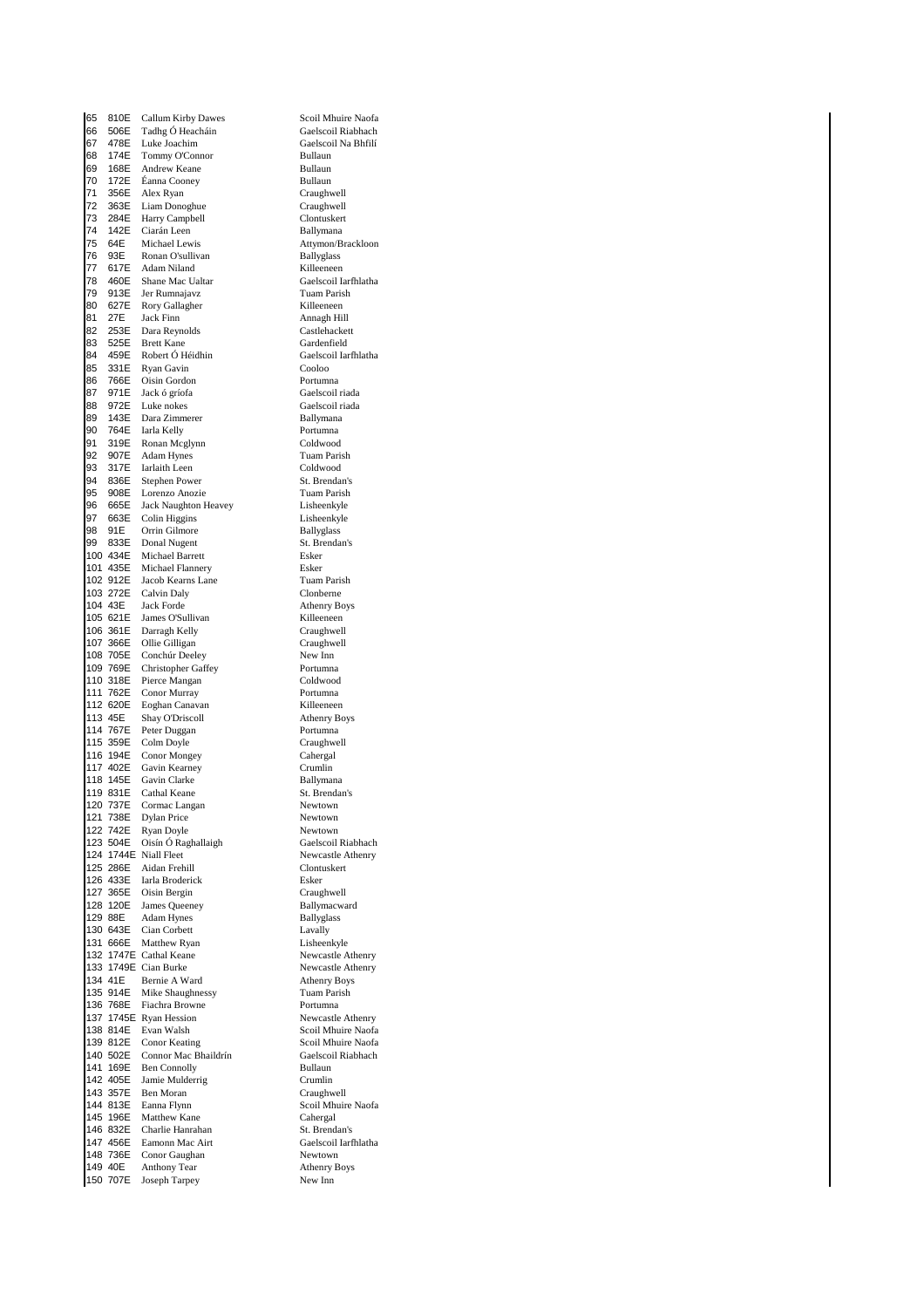65 810E Callum Kirby Dawes Scoil Mhuire Naofa 56 506E Tadhg Ó Heacháin<br>67 478E Luke Joachim Gaelscoil Na Bhfilí Luke Joachim 68 174E Tommy O'Connor Bullaun 69 168E Andrew Keane Bullaun<br>70 172E Éanna Cooney Bullaun 70 172E Éanna Cooney<br>71 356E Alex Ryan 356E Alex Ryan Craughwell<br>363E Liam Donoghue Craughwell 72 363E Liam Donoghue Craughwell<br>73 284E Harry Campbell Clontuskert 73 284E Harry Campbell Clontuskert 74 142E Ciarán Leen<br>75 64E Michael Lewis 1930 76 931 Ronan O'sullivan Ballyglass<br>1951 - Adam Niland Ballyglass (Killeeneen 77 617E Adam Niland **Killeeneen**<br>78 460E Shane Mac Ualtar **Kristen Gaelscoil** 460E Shane Mac Ualtar Gaelscoil Iarfhlatha<br>913E Jer Rumnajavz Tuam Parish 79 913E Jer Rumnajavz Tuam Parish 80 627E Rory Gallagher<br>81 27E Jack Finn 81 27E Jack Finn<br>82 253E Dara Reynolds Castlehackett Dara Reynolds 83 525E Brett Kane Gardenfield 84 459E Robert Ó Héidhin Gaelscoil Iarfhlatha 85 331E Ryan Gavin Cooloo Cooloo Cooloo Cooloo Cooloo Cooloo Cooloo Cooloo Cooloo Cooloo Cooloo Cooloo Cooloo Cooloo Cooloo Cooloo Cooloo Cooloo Cooloo Cooloo Cooloo Cooloo Cooloo Cooloo Cooloo Cooloo Cooloo Cooloo Cooloo 86 766E Oisin Gordon<br>87 971E Jack ó gríofa 87 971E Jack ó gríofa **Gaelscoil riada**<br>188 972E Luke nokes Gaelscoil riada 88 972E Luke nokes Gaelscoil riada 89 143E Dara Zimmerer Ballymana<br>90 764E Iarla Kelly Portumna Iarla Kelly 91 319E Ronan Mcglynn Coldwood<br>92 907E Adam Hynes Coldwood Tuam Parish 92 907E Adam Hynes Tuam Paris<br>93 317E Iarlaith Leen Coldwood 317E Iarlaith Leen Coldwood<br>836E Stephen Power St. Brendan's 94 836E Stephen Power St. Brendan's<br>95 908E Lorenzo Anozie Tuam Parish 95 908E Lorenzo Anozie Tuam Parish<br>96 665E Jack Naughton Heavey Lisheenkyle 96 665E Jack Naughton Heavey Lisheenkyle<br>97 663E Colin Higgins Lisheenkyle Colin Higgins 98 91E Orrin Gilmore Ballyglass<br>
98 933E Donal Nugent St Branda 99 833E Donal Nugent St. Brendan's<br>100 434E Michael Barrett St. Brendan's 100 434E Michael Barrett Esker<br>101 435E Michael Flannery Esker 101 435E Michael Flannery<br>102 912E Jacob Kearns Lane Tuam Parish 102 912E Jacob Kearns Lane Tuam Pari<br>103 272E Calvin Daly Clonberne 103 272E Calvin Daly<br>104 43E Jack Forde 104 43E Jack Forde Athenry Boys<br>
105 621E James O'Sullivan Killeeneen James O'Sullivan 106 361E Darragh Kelly<br>107 366E Ollie Gilligan Craughwell 107 366E Ollie Gilligan Craughwell<br>
108 705E Conchúr Deeley New Inn 108 705E Conchúr Deeley New Inn<br>109 769E Christopher Gaffey Portumna 109 769E Christopher Gaffey Portumna 110 318E Pierce Mangan Coldwood<br>111 762E Conor Murray Portumna 111 762E Conor Murray **Portuman**<br>112 620E Eoghan Canavan **Propinsi Portuman** Eoghan Canavan 113 45E Shay O'Driscoll Athenry Boys<br>
114 767E Peter Duggan Bortumna 114 767E Peter Duggan Portumna<br>115 359E Colm Dovle Press Craushwell 115 359E Colm Doyle Craughwell<br>116 194E Conor Mongey Cahergal 116 194E Conor Mongey Caherga<br>117 402E Gavin Kearney Crumlin 117 402E Gavin Kearney Crumlin<br>118 145E Gavin Clarke Ballymana 118 145E Gavin Clarke Ballymana<br>119 831E Cathal Keane St. Brendan's 119 831E Cathal Keane St. Brendan<br>120 737E Cormac Langan Sewtown Cormac Langan 121 738E Dylan Price Newtown<br>
122 742E Ryan Doyle Newtown 122 742E Ryan Doyle<br>
123 504E Oisín Ó Raghallaigh Caelscoil Riabhach 123 September of Charles Caelscoil Riabhach<br>
123 September Oisín Ó Raghallaigh<br>
123 September Oisíne<br>
123 Newcastle Athenry 124 1744E Niall Fleet Newcastle Athenry Newcastle Athenry Newcastle Athenry Newcastle Athenry Newcastle Athenry 125 286E Aidan Frehill Clontus<br>126 433E Iarla Broderick Clontusker 126 433E Iarla Broderick Esker 127 365E Oisin Bergin<br>128 120E James Oueeney Charles Ballymacward 128 120E James Queeney<br>129 88E Adam Hynes Adam Hynes Ballyglass 130 643E Cian Corbett Lavally<br>131 666E Matthew Ryan Lisheenkyle Matthew Ryan Lisheenkyle<br>
Cathal Keane Newcastle Athenry 132 1747E Cathal Keane<br>133 1749E Cian Burke Newcastle Athenry 133 1749E Cian Burke Newcastle Athenry Boys<br>134 41E Bernie A Ward Athenry Boys 134 41E Bernie A Ward Athenry Boy<br>135 914E Mike Shaughnessy Tuam Parish 135 914E Mike Shaughnessy<br>136 768E Fiachra Browne Fiachra Browne **1368 Portumna**<br>1368 Ryan Hession **Property** Portumna 137 1745E Ryan Hession<br>138 814E Evan Walsh 138 814E Evan Walsh Scoil Mhuire Naofa<br>139 812E Conor Keating Scoil Mhuire Naofa 139 812E Conor Keating Scoil Mhuire Naofa<br>140 502E Connor Mac Bhaildrín Gaelscoil Riabhach 140 502E Connor Mac Bhaildrín Gaelsco<br>141 169E Ben Connolly Bullaun 141 169E Ben Connolly Bullaun<br>142 405E Jamie Mulderrig Crumlin 142 405E Jamie Mulderrig Crumlin<br>143 357E Ben Moran Craushwell Ben Moran 144 813E Eanna Flynn Scoil Mhuire Naofa 145 196E Matthew Kane<br>146 832E Charlie Hanrahan St. Brendan's 146 832E Charlie Hanrahan<br>147 456E Eamonn Mac Airt 148 736E Conor Gaughan Newtown 149 Anthony Tear Athenry 1<br>
1992 - Joseph Tarpey Rew Inn 150 707E Joseph Tarpey

Attymon/Brackloon Gaelscoil Iarfhlatha